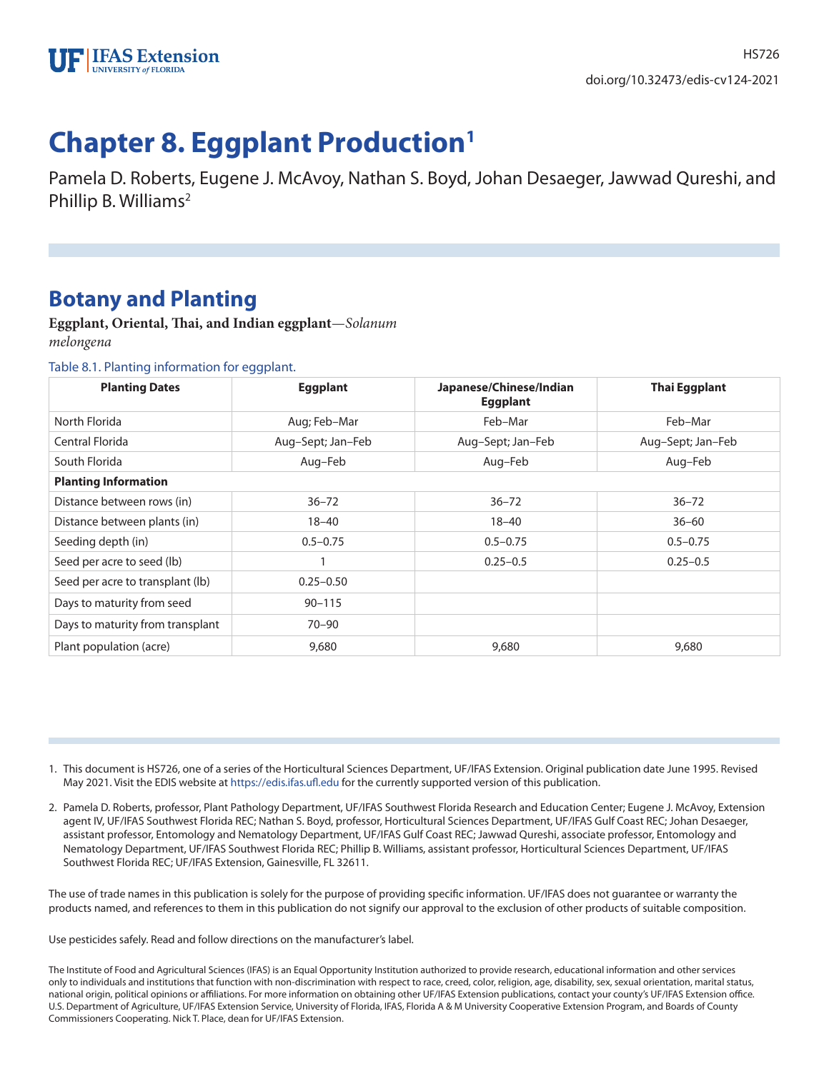

# **Chapter 8. Eggplant Production1**

Pamela D. Roberts, Eugene J. McAvoy, Nathan S. Boyd, Johan Desaeger, Jawwad Qureshi, and Phillip B. Williams<sup>2</sup>

## **Botany and Planting**

**Eggplant, Oriental, Thai, and Indian eggplant**—*Solanum melongena*

#### Table 8.1. Planting information for eggplant.

| <b>Planting Dates</b>            | <b>Eggplant</b>   | Japanese/Chinese/Indian<br><b>Eggplant</b> | <b>Thai Eggplant</b> |
|----------------------------------|-------------------|--------------------------------------------|----------------------|
| North Florida                    | Aug; Feb-Mar      | Feb-Mar                                    | Feb-Mar              |
| Central Florida                  | Aug-Sept; Jan-Feb | Aug-Sept; Jan-Feb                          | Aug-Sept; Jan-Feb    |
| South Florida                    | Aug-Feb           | Aug-Feb                                    | Aug-Feb              |
| <b>Planting Information</b>      |                   |                                            |                      |
| Distance between rows (in)       | $36 - 72$         | $36 - 72$                                  | $36 - 72$            |
| Distance between plants (in)     | $18 - 40$         | $18 - 40$                                  | $36 - 60$            |
| Seeding depth (in)               | $0.5 - 0.75$      | $0.5 - 0.75$                               | $0.5 - 0.75$         |
| Seed per acre to seed (lb)       |                   | $0.25 - 0.5$                               | $0.25 - 0.5$         |
| Seed per acre to transplant (lb) | $0.25 - 0.50$     |                                            |                      |
| Days to maturity from seed       | $90 - 115$        |                                            |                      |
| Days to maturity from transplant | $70 - 90$         |                                            |                      |
| Plant population (acre)          | 9,680             | 9,680                                      | 9,680                |

- 1. This document is HS726, one of a series of the Horticultural Sciences Department, UF/IFAS Extension. Original publication date June 1995. Revised May 2021. Visit the EDIS website at https://edis.ifas.ufl.edu for the currently supported version of this publication.
- 2. Pamela D. Roberts, professor, Plant Pathology Department, UF/IFAS Southwest Florida Research and Education Center; Eugene J. McAvoy, Extension agent IV, UF/IFAS Southwest Florida REC; Nathan S. Boyd, professor, Horticultural Sciences Department, UF/IFAS Gulf Coast REC; Johan Desaeger, assistant professor, Entomology and Nematology Department, UF/IFAS Gulf Coast REC; Jawwad Qureshi, associate professor, Entomology and Nematology Department, UF/IFAS Southwest Florida REC; Phillip B. Williams, assistant professor, Horticultural Sciences Department, UF/IFAS Southwest Florida REC; UF/IFAS Extension, Gainesville, FL 32611.

The use of trade names in this publication is solely for the purpose of providing specific information. UF/IFAS does not guarantee or warranty the products named, and references to them in this publication do not signify our approval to the exclusion of other products of suitable composition.

Use pesticides safely. Read and follow directions on the manufacturer's label.

The Institute of Food and Agricultural Sciences (IFAS) is an Equal Opportunity Institution authorized to provide research, educational information and other services only to individuals and institutions that function with non-discrimination with respect to race, creed, color, religion, age, disability, sex, sexual orientation, marital status, national origin, political opinions or affiliations. For more information on obtaining other UF/IFAS Extension publications, contact your county's UF/IFAS Extension office. U.S. Department of Agriculture, UF/IFAS Extension Service, University of Florida, IFAS, Florida A & M University Cooperative Extension Program, and Boards of County Commissioners Cooperating. Nick T. Place, dean for UF/IFAS Extension.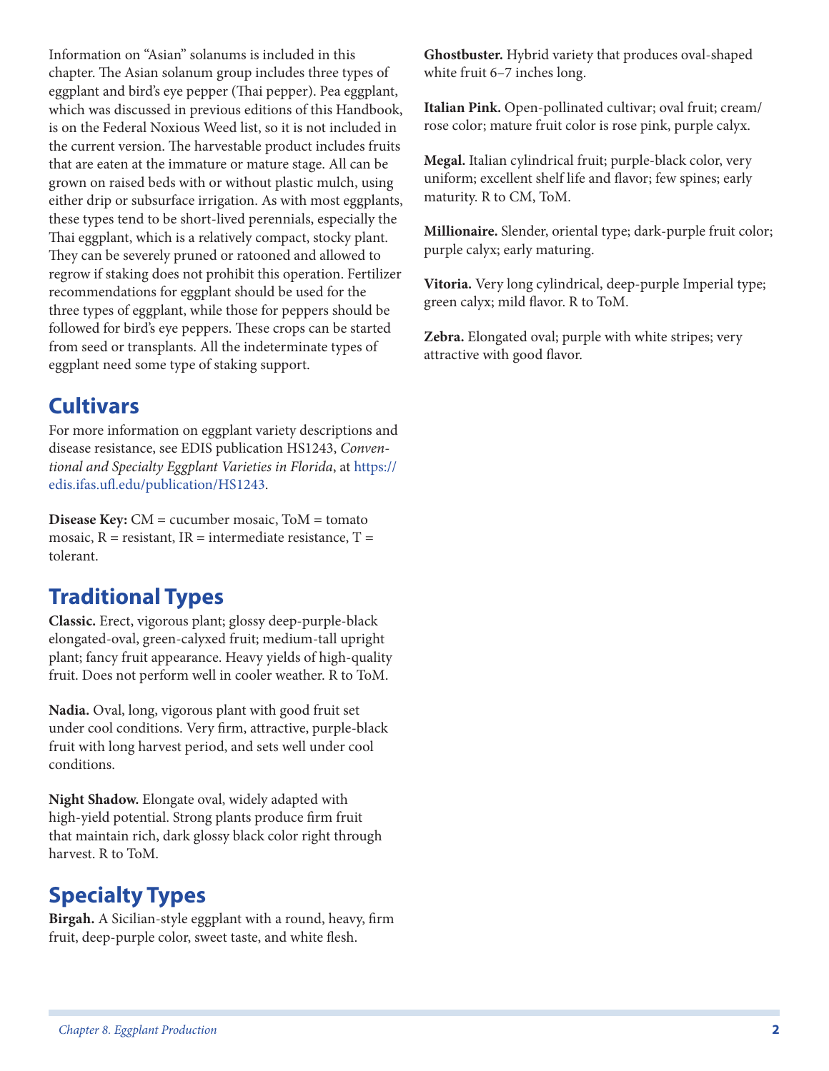Information on "Asian" solanums is included in this chapter. The Asian solanum group includes three types of eggplant and bird's eye pepper (Thai pepper). Pea eggplant, which was discussed in previous editions of this Handbook, is on the Federal Noxious Weed list, so it is not included in the current version. The harvestable product includes fruits that are eaten at the immature or mature stage. All can be grown on raised beds with or without plastic mulch, using either drip or subsurface irrigation. As with most eggplants, these types tend to be short-lived perennials, especially the Thai eggplant, which is a relatively compact, stocky plant. They can be severely pruned or ratooned and allowed to regrow if staking does not prohibit this operation. Fertilizer recommendations for eggplant should be used for the three types of eggplant, while those for peppers should be followed for bird's eye peppers. These crops can be started from seed or transplants. All the indeterminate types of eggplant need some type of staking support.

# **Cultivars**

For more information on eggplant variety descriptions and disease resistance, see EDIS publication HS1243, *Conventional and Specialty Eggplant Varieties in Florida*, at https:// edis.ifas.ufl.edu/publication/HS1243.

**Disease Key:** CM = cucumber mosaic, ToM = tomato mosaic,  $R =$  resistant,  $IR =$  intermediate resistance,  $T =$ tolerant.

# **Traditional Types**

**Classic.** Erect, vigorous plant; glossy deep-purple-black elongated-oval, green-calyxed fruit; medium-tall upright plant; fancy fruit appearance. Heavy yields of high-quality fruit. Does not perform well in cooler weather. R to ToM.

**Nadia.** Oval, long, vigorous plant with good fruit set under cool conditions. Very firm, attractive, purple-black fruit with long harvest period, and sets well under cool conditions.

**Night Shadow.** Elongate oval, widely adapted with high-yield potential. Strong plants produce firm fruit that maintain rich, dark glossy black color right through harvest. R to ToM.

# **Specialty Types**

**Birgah.** A Sicilian-style eggplant with a round, heavy, firm fruit, deep-purple color, sweet taste, and white flesh.

**Ghostbuster.** Hybrid variety that produces oval-shaped white fruit 6–7 inches long.

**Italian Pink.** Open-pollinated cultivar; oval fruit; cream/ rose color; mature fruit color is rose pink, purple calyx.

**Megal.** Italian cylindrical fruit; purple-black color, very uniform; excellent shelf life and flavor; few spines; early maturity. R to CM, ToM.

**Millionaire.** Slender, oriental type; dark-purple fruit color; purple calyx; early maturing.

**Vitoria.** Very long cylindrical, deep-purple Imperial type; green calyx; mild flavor. R to ToM.

**Zebra.** Elongated oval; purple with white stripes; very attractive with good flavor.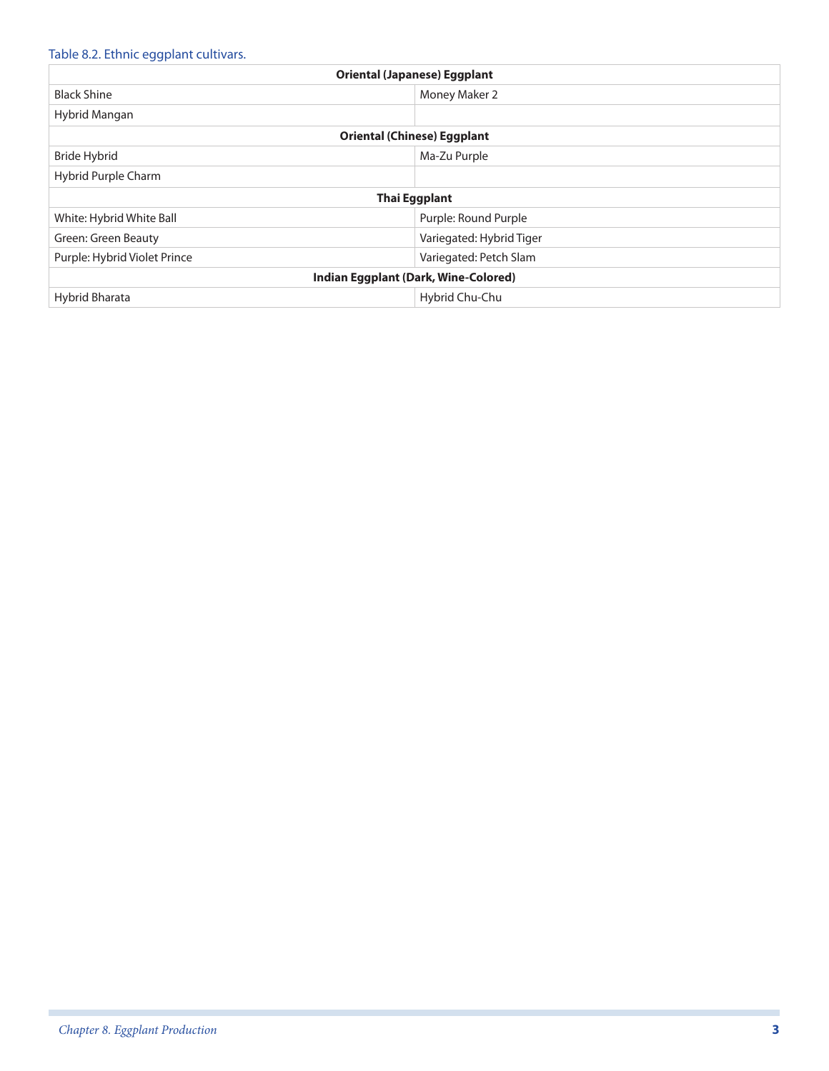### Table 8.2. Ethnic eggplant cultivars.

|                              | <b>Oriental (Japanese) Eggplant</b>  |
|------------------------------|--------------------------------------|
| <b>Black Shine</b>           | Money Maker 2                        |
| Hybrid Mangan                |                                      |
|                              | <b>Oriental (Chinese) Eggplant</b>   |
| Bride Hybrid                 | Ma-Zu Purple                         |
| Hybrid Purple Charm          |                                      |
|                              | Thai Eggplant                        |
| White: Hybrid White Ball     | Purple: Round Purple                 |
| Green: Green Beauty          | Variegated: Hybrid Tiger             |
| Purple: Hybrid Violet Prince | Variegated: Petch Slam               |
|                              | Indian Eggplant (Dark, Wine-Colored) |
| Hybrid Bharata               | Hybrid Chu-Chu                       |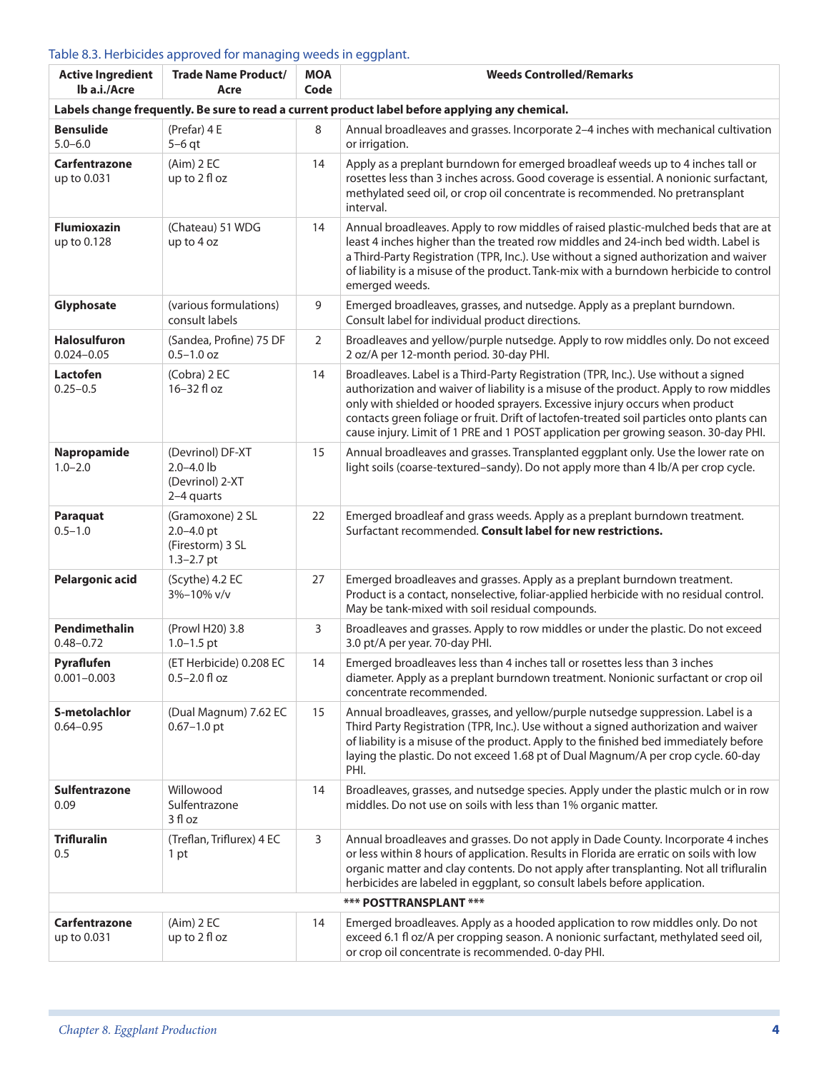#### Table 8.3. Herbicides approved for managing weeds in eggplant.

| <b>Active Ingredient</b><br>lb a.i./Acre | <b>Trade Name Product/</b><br>Acre                                       | <b>MOA</b><br>Code | <b>Weeds Controlled/Remarks</b>                                                                                                                                                                                                                                                                                                                                                                                                                 |
|------------------------------------------|--------------------------------------------------------------------------|--------------------|-------------------------------------------------------------------------------------------------------------------------------------------------------------------------------------------------------------------------------------------------------------------------------------------------------------------------------------------------------------------------------------------------------------------------------------------------|
|                                          |                                                                          |                    | Labels change frequently. Be sure to read a current product label before applying any chemical.                                                                                                                                                                                                                                                                                                                                                 |
| <b>Bensulide</b><br>$5.0 - 6.0$          | (Prefar) 4 E<br>$5-6$ qt                                                 | 8                  | Annual broadleaves and grasses. Incorporate 2-4 inches with mechanical cultivation<br>or irrigation.                                                                                                                                                                                                                                                                                                                                            |
| Carfentrazone<br>up to 0.031             | $(Aim)$ 2 EC<br>up to 2 fl oz                                            | 14                 | Apply as a preplant burndown for emerged broadleaf weeds up to 4 inches tall or<br>rosettes less than 3 inches across. Good coverage is essential. A nonionic surfactant,<br>methylated seed oil, or crop oil concentrate is recommended. No pretransplant<br>interval.                                                                                                                                                                         |
| <b>Flumioxazin</b><br>up to 0.128        | (Chateau) 51 WDG<br>up to 4 oz                                           | 14                 | Annual broadleaves. Apply to row middles of raised plastic-mulched beds that are at<br>least 4 inches higher than the treated row middles and 24-inch bed width. Label is<br>a Third-Party Registration (TPR, Inc.). Use without a signed authorization and waiver<br>of liability is a misuse of the product. Tank-mix with a burndown herbicide to control<br>emerged weeds.                                                                  |
| Glyphosate                               | (various formulations)<br>consult labels                                 | 9                  | Emerged broadleaves, grasses, and nutsedge. Apply as a preplant burndown.<br>Consult label for individual product directions.                                                                                                                                                                                                                                                                                                                   |
| <b>Halosulfuron</b><br>$0.024 - 0.05$    | (Sandea, Profine) 75 DF<br>$0.5 - 1.0$ oz                                | $\overline{2}$     | Broadleaves and yellow/purple nutsedge. Apply to row middles only. Do not exceed<br>2 oz/A per 12-month period. 30-day PHI.                                                                                                                                                                                                                                                                                                                     |
| Lactofen<br>$0.25 - 0.5$                 | (Cobra) 2 EC<br>16-32 fl oz                                              | 14                 | Broadleaves. Label is a Third-Party Registration (TPR, Inc.). Use without a signed<br>authorization and waiver of liability is a misuse of the product. Apply to row middles<br>only with shielded or hooded sprayers. Excessive injury occurs when product<br>contacts green foliage or fruit. Drift of lactofen-treated soil particles onto plants can<br>cause injury. Limit of 1 PRE and 1 POST application per growing season. 30-day PHI. |
| Napropamide<br>$1.0 - 2.0$               | (Devrinol) DF-XT<br>$2.0 - 4.0$ lb<br>(Devrinol) 2-XT<br>2-4 quarts      | 15                 | Annual broadleaves and grasses. Transplanted eggplant only. Use the lower rate on<br>light soils (coarse-textured-sandy). Do not apply more than 4 lb/A per crop cycle.                                                                                                                                                                                                                                                                         |
| Paraquat<br>$0.5 - 1.0$                  | (Gramoxone) 2 SL<br>$2.0 - 4.0$ pt<br>(Firestorm) 3 SL<br>$1.3 - 2.7$ pt | 22                 | Emerged broadleaf and grass weeds. Apply as a preplant burndown treatment.<br>Surfactant recommended. Consult label for new restrictions.                                                                                                                                                                                                                                                                                                       |
| <b>Pelargonic acid</b>                   | (Scythe) 4.2 EC<br>3%-10% v/v                                            | 27                 | Emerged broadleaves and grasses. Apply as a preplant burndown treatment.<br>Product is a contact, nonselective, foliar-applied herbicide with no residual control.<br>May be tank-mixed with soil residual compounds.                                                                                                                                                                                                                           |
| Pendimethalin<br>$0.48 - 0.72$           | (Prowl H20) 3.8<br>$1.0 - 1.5$ pt                                        | 3                  | Broadleaves and grasses. Apply to row middles or under the plastic. Do not exceed<br>3.0 pt/A per year. 70-day PHI.                                                                                                                                                                                                                                                                                                                             |
| Pyraflufen<br>$0.001 - 0.003$            | (ET Herbicide) 0.208 EC<br>$0.5 - 2.0$ fl oz                             | 14                 | Emerged broadleaves less than 4 inches tall or rosettes less than 3 inches<br>diameter. Apply as a preplant burndown treatment. Nonionic surfactant or crop oil<br>concentrate recommended.                                                                                                                                                                                                                                                     |
| S-metolachlor<br>$0.64 - 0.95$           | (Dual Magnum) 7.62 EC<br>$0.67 - 1.0$ pt                                 | 15                 | Annual broadleaves, grasses, and yellow/purple nutsedge suppression. Label is a<br>Third Party Registration (TPR, Inc.). Use without a signed authorization and waiver<br>of liability is a misuse of the product. Apply to the finished bed immediately before<br>laying the plastic. Do not exceed 1.68 pt of Dual Magnum/A per crop cycle. 60-day<br>PHI.                                                                                    |
| Sulfentrazone<br>0.09                    | Willowood<br>Sulfentrazone<br>3 fl oz                                    | 14                 | Broadleaves, grasses, and nutsedge species. Apply under the plastic mulch or in row<br>middles. Do not use on soils with less than 1% organic matter.                                                                                                                                                                                                                                                                                           |
| <b>Trifluralin</b><br>0.5                | (Treflan, Triflurex) 4 EC<br>1 pt                                        | 3                  | Annual broadleaves and grasses. Do not apply in Dade County. Incorporate 4 inches<br>or less within 8 hours of application. Results in Florida are erratic on soils with low<br>organic matter and clay contents. Do not apply after transplanting. Not all trifluralin<br>herbicides are labeled in eggplant, so consult labels before application.                                                                                            |
|                                          |                                                                          |                    | *** POSTTRANSPLANT ***                                                                                                                                                                                                                                                                                                                                                                                                                          |
| Carfentrazone<br>up to 0.031             | $(Aim)$ 2 EC<br>up to 2 fl oz                                            | 14                 | Emerged broadleaves. Apply as a hooded application to row middles only. Do not<br>exceed 6.1 fl oz/A per cropping season. A nonionic surfactant, methylated seed oil,<br>or crop oil concentrate is recommended. 0-day PHI.                                                                                                                                                                                                                     |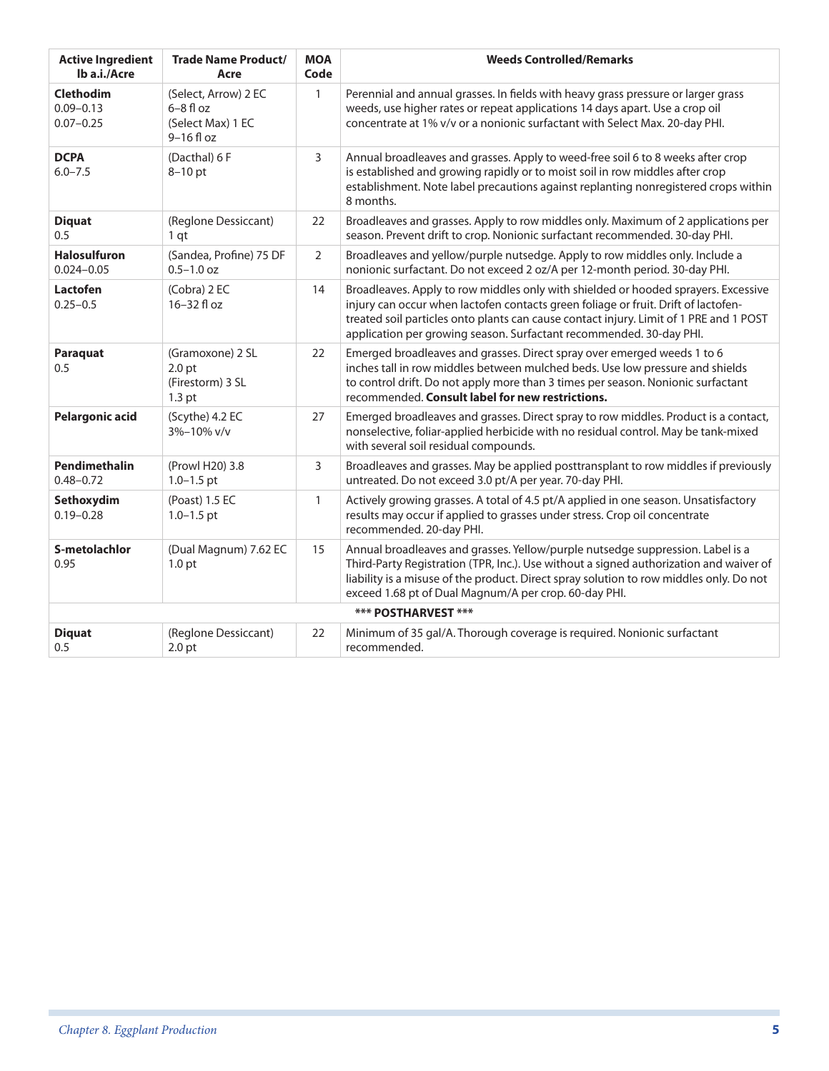| <b>Active Ingredient</b><br>lb a.i./Acre    | <b>Trade Name Product/</b><br>Acre                                             | <b>MOA</b><br>Code | <b>Weeds Controlled/Remarks</b>                                                                                                                                                                                                                                                                                                           |
|---------------------------------------------|--------------------------------------------------------------------------------|--------------------|-------------------------------------------------------------------------------------------------------------------------------------------------------------------------------------------------------------------------------------------------------------------------------------------------------------------------------------------|
| Clethodim<br>$0.09 - 0.13$<br>$0.07 - 0.25$ | (Select, Arrow) 2 EC<br>$6-8f$ loz<br>(Select Max) 1 EC<br>$9-16f$ loz         | $\mathbf{1}$       | Perennial and annual grasses. In fields with heavy grass pressure or larger grass<br>weeds, use higher rates or repeat applications 14 days apart. Use a crop oil<br>concentrate at 1% v/v or a nonionic surfactant with Select Max. 20-day PHI.                                                                                          |
| <b>DCPA</b><br>$6.0 - 7.5$                  | (Dacthal) 6 F<br>$8-10$ pt                                                     | 3                  | Annual broadleaves and grasses. Apply to weed-free soil 6 to 8 weeks after crop<br>is established and growing rapidly or to moist soil in row middles after crop<br>establishment. Note label precautions against replanting nonregistered crops within<br>8 months.                                                                      |
| <b>Diquat</b><br>0.5                        | (Reglone Dessiccant)<br>1 <sub>qt</sub>                                        | 22                 | Broadleaves and grasses. Apply to row middles only. Maximum of 2 applications per<br>season. Prevent drift to crop. Nonionic surfactant recommended. 30-day PHI.                                                                                                                                                                          |
| <b>Halosulfuron</b><br>$0.024 - 0.05$       | (Sandea, Profine) 75 DF<br>$0.5 - 1.0$ oz                                      | $\overline{2}$     | Broadleaves and yellow/purple nutsedge. Apply to row middles only. Include a<br>nonionic surfactant. Do not exceed 2 oz/A per 12-month period. 30-day PHI.                                                                                                                                                                                |
| Lactofen<br>$0.25 - 0.5$                    | (Cobra) 2 EC<br>16-32 fl oz                                                    | 14                 | Broadleaves. Apply to row middles only with shielded or hooded sprayers. Excessive<br>injury can occur when lactofen contacts green foliage or fruit. Drift of lactofen-<br>treated soil particles onto plants can cause contact injury. Limit of 1 PRE and 1 POST<br>application per growing season. Surfactant recommended. 30-day PHI. |
| Paraquat<br>0.5                             | (Gramoxone) 2 SL<br>2.0 <sub>pt</sub><br>(Firestorm) 3 SL<br>1.3 <sub>pt</sub> | 22                 | Emerged broadleaves and grasses. Direct spray over emerged weeds 1 to 6<br>inches tall in row middles between mulched beds. Use low pressure and shields<br>to control drift. Do not apply more than 3 times per season. Nonionic surfactant<br>recommended. Consult label for new restrictions.                                          |
| <b>Pelargonic acid</b>                      | (Scythe) 4.2 EC<br>3%-10% v/v                                                  | 27                 | Emerged broadleaves and grasses. Direct spray to row middles. Product is a contact,<br>nonselective, foliar-applied herbicide with no residual control. May be tank-mixed<br>with several soil residual compounds.                                                                                                                        |
| Pendimethalin<br>$0.48 - 0.72$              | (Prowl H20) 3.8<br>$1.0 - 1.5$ pt                                              | 3                  | Broadleaves and grasses. May be applied posttransplant to row middles if previously<br>untreated. Do not exceed 3.0 pt/A per year. 70-day PHI.                                                                                                                                                                                            |
| Sethoxydim<br>$0.19 - 0.28$                 | (Poast) 1.5 EC<br>$1.0 - 1.5$ pt                                               | $\mathbf{1}$       | Actively growing grasses. A total of 4.5 pt/A applied in one season. Unsatisfactory<br>results may occur if applied to grasses under stress. Crop oil concentrate<br>recommended. 20-day PHI.                                                                                                                                             |
| S-metolachlor<br>0.95                       | (Dual Magnum) 7.62 EC<br>1.0 <sub>pt</sub>                                     | 15                 | Annual broadleaves and grasses. Yellow/purple nutsedge suppression. Label is a<br>Third-Party Registration (TPR, Inc.). Use without a signed authorization and waiver of<br>liability is a misuse of the product. Direct spray solution to row middles only. Do not<br>exceed 1.68 pt of Dual Magnum/A per crop. 60-day PHI.              |
|                                             |                                                                                |                    | *** POSTHARVEST ***                                                                                                                                                                                                                                                                                                                       |
| <b>Diquat</b><br>0.5                        | (Reglone Dessiccant)<br>2.0 <sub>pt</sub>                                      | 22                 | Minimum of 35 gal/A. Thorough coverage is required. Nonionic surfactant<br>recommended.                                                                                                                                                                                                                                                   |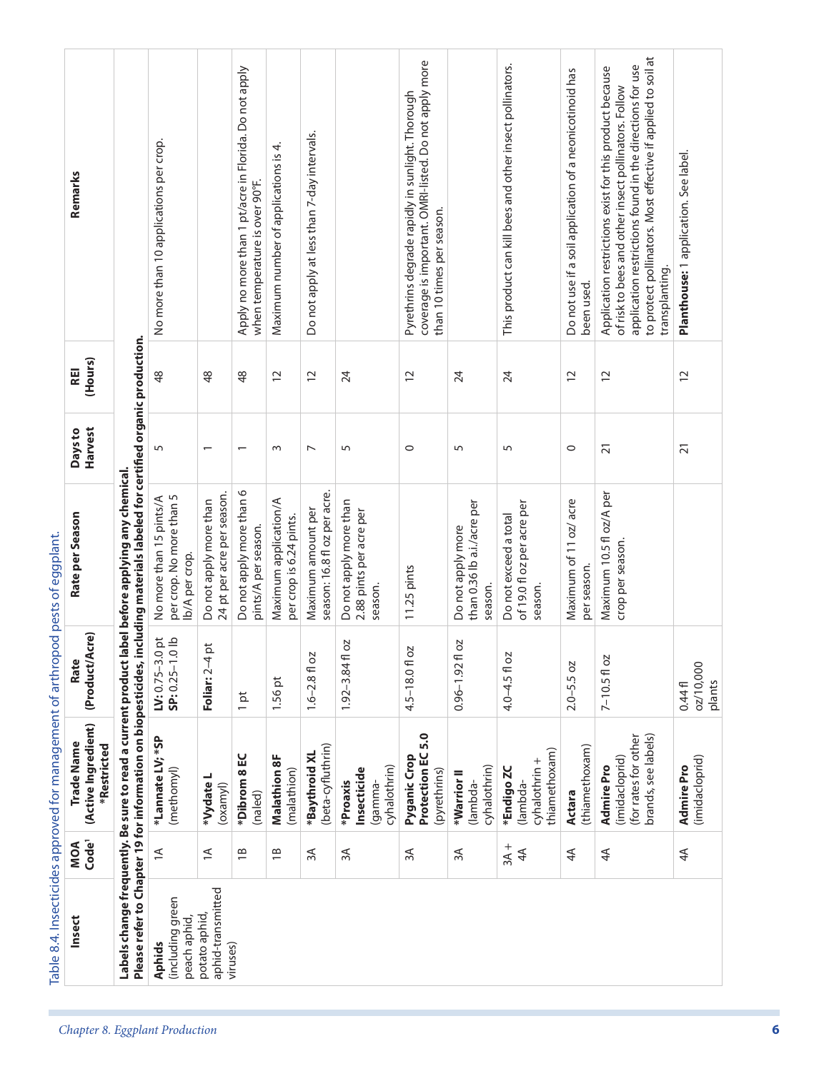| Remarks                                          |                                                                                                                                                                  | No more than 10 applications per crop.                                |                                                      | Apply no more than 1 pt/acre in Florida. Do not apply<br>when temperature is over 90°F. | 4.<br>Maximum number of applications is          | Do not apply at less than 7-day intervals.         |                                                              | coverage is important. OMRI-listed. Do not apply more<br>Pyrethrins degrade rapidly in sunlight. Thorough<br>than 10 times per season. |                                                            | This product can kill bees and other insect pollinators.       | Do not use if a soil application of a neonicotinoid has<br>been used. | to protect pollinators. Most effective if applied to soil at<br>application restrictions found in the directions for use<br>Application restrictions exist for this product because<br>of risk to bees and other insect pollinators. Follow<br>transplanting. | Planthouse: 1 application. See label. |
|--------------------------------------------------|------------------------------------------------------------------------------------------------------------------------------------------------------------------|-----------------------------------------------------------------------|------------------------------------------------------|-----------------------------------------------------------------------------------------|--------------------------------------------------|----------------------------------------------------|--------------------------------------------------------------|----------------------------------------------------------------------------------------------------------------------------------------|------------------------------------------------------------|----------------------------------------------------------------|-----------------------------------------------------------------------|---------------------------------------------------------------------------------------------------------------------------------------------------------------------------------------------------------------------------------------------------------------|---------------------------------------|
| (Hours)<br>REI                                   |                                                                                                                                                                  | $\frac{8}{3}$                                                         | $\frac{8}{3}$                                        | $\frac{8}{3}$                                                                           | $\overline{c}$                                   | $\overline{C}$                                     | 24                                                           | $\overline{C}$                                                                                                                         | 24                                                         | 24                                                             | $\overline{c}$                                                        | $\overline{c}$                                                                                                                                                                                                                                                | $\overline{c}$                        |
| Harvest<br>Days to                               |                                                                                                                                                                  | 5                                                                     |                                                      | $\overline{\phantom{0}}$                                                                | $\sim$                                           | $\overline{ }$                                     | 5                                                            | $\circ$                                                                                                                                | 5                                                          | 5                                                              | $\circ$                                                               | $\overline{2}1$                                                                                                                                                                                                                                               | $\overline{2}1$                       |
| Rate per Season                                  | Please refer to Chapter 19 for information on biopesticides, including materials labeled for certified organic production.<br>abel before applying any chemical. | per crop. No more than 5<br>No more than 15 pints/A<br>Ib/A per crop. | 24 pt per acre per season.<br>Do not apply more than | Do not apply more than 6<br>pints/A per season.                                         | Maximum application/A<br>per crop is 6.24 pints. | season: 16.8 fl oz per acre.<br>Maximum amount per | Do not apply more than<br>2.88 pints per acre per<br>season. | 11.25 pints                                                                                                                            | than 0.36 lb a.i./acre per<br>Do not apply more<br>season. | of 19.0 fl oz per acre per<br>Do not exceed a total<br>season. | Maximum of 11 oz/ acre<br>per season.                                 | Maximum 10.5 fl oz/A per<br>crop per season.                                                                                                                                                                                                                  |                                       |
| (Product/Acre)<br>Rate                           |                                                                                                                                                                  | LV: $0.75 - 3.0$ pt<br>SP: $0.25 - 1.0$ lb                            | $\vec{p}$<br>Foliar: 2-4                             | ă<br>$\overline{\phantom{0}}$                                                           | 1.56 pt                                          | $1.6 - 2.8$ fl oz                                  | ΟZ<br>$1.92 - 3.84$ fl                                       | 4.5-18.0 fl oz                                                                                                                         | 2O<br>$0.96 - 1.92$ fl                                     | 4.0-4.5 fl oz                                                  | $2.0 - 5.5$ oz                                                        | $7 - 10.5f$ oz                                                                                                                                                                                                                                                | 02/10,000<br>plants<br>0.44f          |
| (Active Ingredient)<br>Trade Name<br>*Restricted | Labels change frequently. Be sure to read a current product                                                                                                      | *Lannate LV; *SP<br>(methomyl)                                        | *Vydate L<br>(oxamy)                                 | *Dibrom 8 EC<br>(naled)                                                                 | <b>Malathion 8F</b><br>(malathion)               | (beta-cyfluthrin)<br>*Baythroid XL                 | cyhalothrin)<br>Insecticide<br>*Proaxis<br>lgamma-           | Protection EC 5.0<br>Pyganic Crop<br>(pyrethrins)                                                                                      | cyhalothrin)<br>*Warrior II<br>lambda-                     | thiamethoxam)<br>cyhalothrin +<br>*Endigo ZC<br>(lambda-       | (thiamethoxam)<br>Actara                                              | brands, see labels)<br>(for rates for other<br>(imidacloprid)<br><b>Admire Pro</b>                                                                                                                                                                            | (imidacloprid)<br><b>Admire Pro</b>   |
| Code <sup>1</sup><br>MOA                         |                                                                                                                                                                  | $\preceq$                                                             | $\preceq$                                            | $\overline{18}$                                                                         | $\overline{18}$                                  | $\approx$                                          | ЗA                                                           | 3A                                                                                                                                     | 3A                                                         | $3A +$<br>4 <sup>4</sup>                                       | $4\overline{4}$                                                       | $4\overline{4}$                                                                                                                                                                                                                                               | $4\overline{4}$                       |
| Insect                                           |                                                                                                                                                                  | (including green<br>peach aphid,<br><b>Aphids</b>                     | aphid-transmitted<br>potato aphid,<br>viruses)       |                                                                                         |                                                  |                                                    |                                                              |                                                                                                                                        |                                                            |                                                                |                                                                       |                                                                                                                                                                                                                                                               |                                       |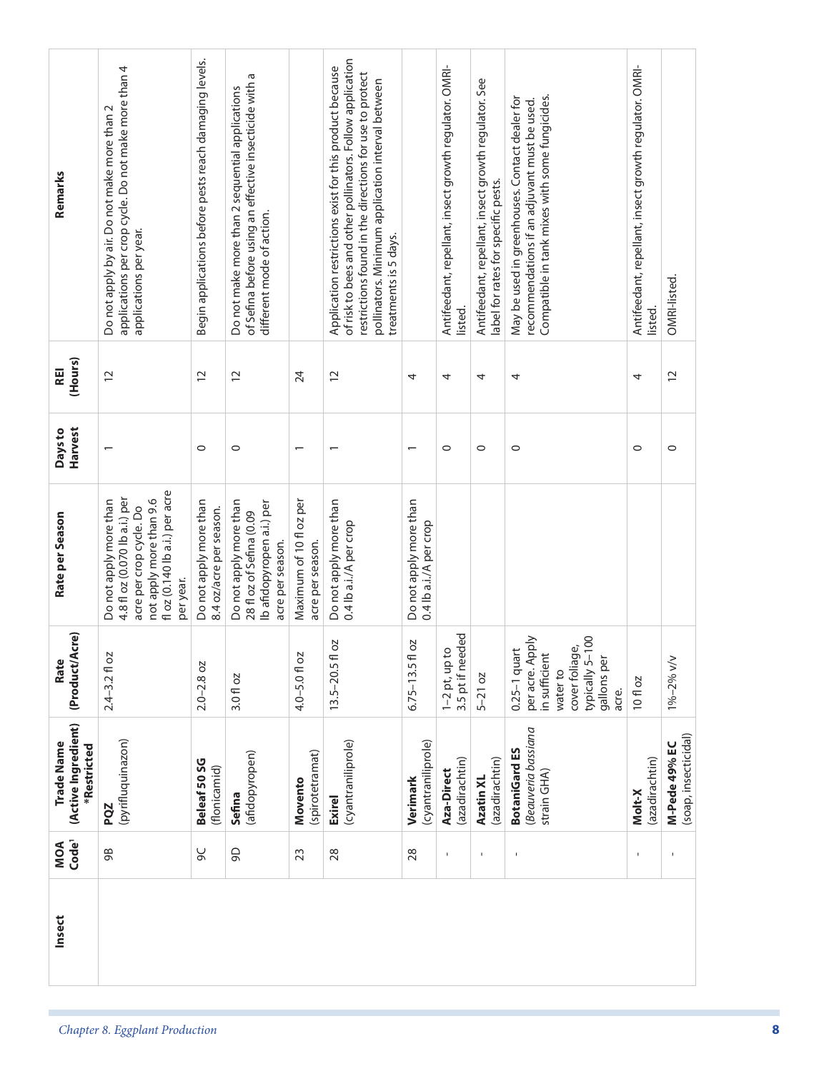|                                                                                                                                    |                                                                             |                                                                           |                                             |                                                  | $\overline{\phantom{0}}$                         | $\circ$                                                | $\circ$                     | $\circ$                                                                                                                     | $\circ$                  | $\circ$       |
|------------------------------------------------------------------------------------------------------------------------------------|-----------------------------------------------------------------------------|---------------------------------------------------------------------------|---------------------------------------------|--------------------------------------------------|--------------------------------------------------|--------------------------------------------------------|-----------------------------|-----------------------------------------------------------------------------------------------------------------------------|--------------------------|---------------|
| fl oz (0.140 lb a.i.) per acre<br>4.8 fl oz (0.070 lb a.i.) per<br>not apply more than 9.6<br>acre per crop cycle. Do<br>per year. | Do not apply more than<br>Do not apply more than<br>8.4 oz/acre per season. | Ib afidopyropen a.i.) per<br>28 fl oz of Sefina (0.09<br>acre per season. | Maximum of 10 fl oz per<br>acre per season. | Do not apply more than<br>0.4 lb a.i./A per crop | Do not apply more than<br>0.4 lb a.i./A per crop |                                                        |                             |                                                                                                                             |                          |               |
|                                                                                                                                    | 3.0 fl oz                                                                   |                                                                           | 4.0-5.0 fl oz                               | ΟZ<br>$13.5 - 20.5$ fl                           | ΟZ<br>$6.75 - 13.5f$                             | 3.5 pt if needed<br>$\overline{O}$<br>$1 - 2$ pt, up t | $5-21$ oz                   | cover foliage,<br>typically 5-100<br>per acre. Apply<br>$0.25-1$ quart<br>in sufficient<br>gallons per<br>water to<br>acre. | 10fl oz                  | 1%-2% v/v     |
| (pyrifluquinazon)                                                                                                                  | (flonicamid)<br>Sefina                                                      |                                                                           | (spirotetramat)<br>Movento                  | (cyantraniliprole)<br><b>Exirel</b>              | (cyantraniliprole)<br>Verimark                   | (azadirachtin)<br>Aza-Direct                           | (azadirachtin)<br>Azatin XL | Beauveria bassiana<br><b>BotaniGard ES</b><br>strain GHA)                                                                   | (azadirachtin)<br>Molt-X | M-Pede 49% EC |
|                                                                                                                                    | இ                                                                           |                                                                           | 23                                          | 28                                               | 28                                               | $\mathbf I$                                            | $\mathbf{I}$                |                                                                                                                             |                          |               |
|                                                                                                                                    |                                                                             | $2.0 - 2.8$ oz<br>Beleaf 50 SG<br>9C                                      | (afidopyropen)                              |                                                  |                                                  |                                                        |                             |                                                                                                                             |                          |               |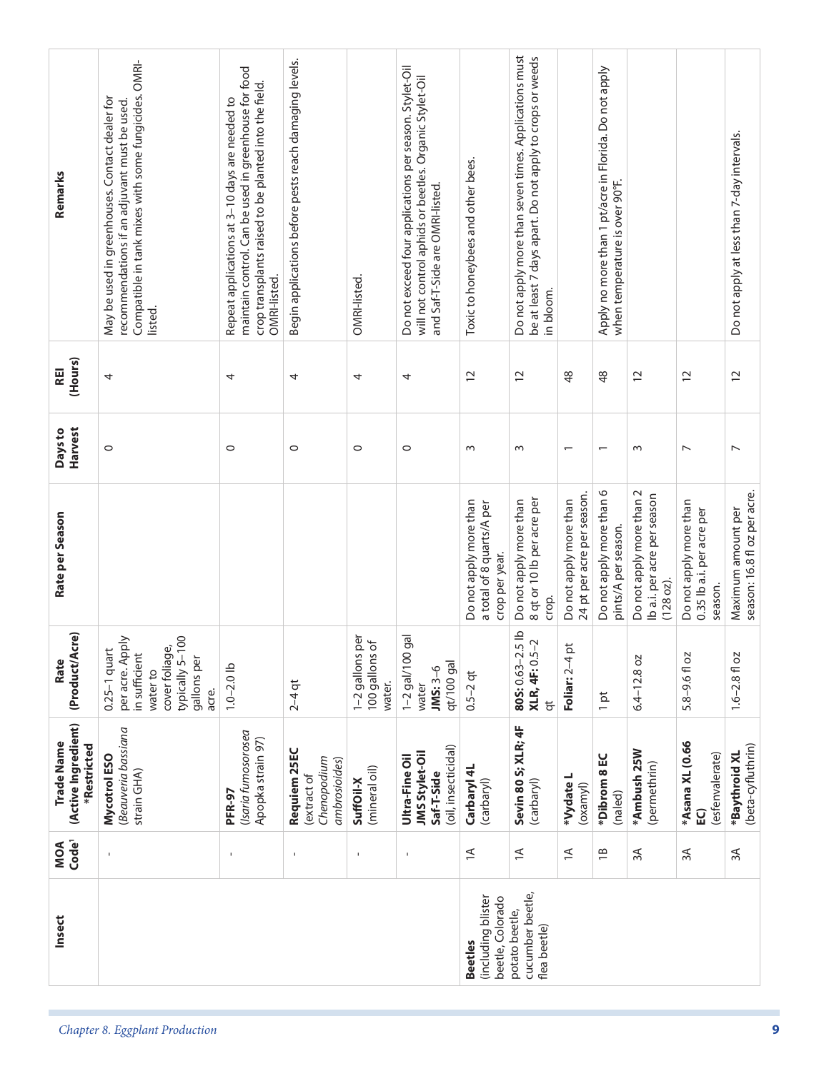| Remarks                                          | Compatible in tank mixes with some fungicides. OMRI-<br>May be used in greenhouses. Contact dealer for<br>recommendations if an adjuvant must be used.<br>listed. | maintain control. Can be used in greenhouse for food<br>crop transplants raised to be planted into the field.<br>Repeat applications at 3-10 days are needed to<br>OMRI-listed. | Begin applications before pests reach damaging levels.     | OMRI-listed.                                            | Do not exceed four applications per season. Stylet-Oil<br>will not control aphids or beetles. Organic Stylet-Oil<br>and Saf-T-Side are OMRI-listed. | Toxic to honeybees and other bees.                                    | Do not apply more than seven times. Applications must<br>be at least 7 days apart. Do not apply to crops or weeds<br>in bloom. |                                                      | Apply no more than 1 pt/acre in Florida. Do not apply<br>when temperature is over 90°F. |                                                                      |                                                                | Do not apply at less than 7-day intervals.         |
|--------------------------------------------------|-------------------------------------------------------------------------------------------------------------------------------------------------------------------|---------------------------------------------------------------------------------------------------------------------------------------------------------------------------------|------------------------------------------------------------|---------------------------------------------------------|-----------------------------------------------------------------------------------------------------------------------------------------------------|-----------------------------------------------------------------------|--------------------------------------------------------------------------------------------------------------------------------|------------------------------------------------------|-----------------------------------------------------------------------------------------|----------------------------------------------------------------------|----------------------------------------------------------------|----------------------------------------------------|
| (Hours)<br>REI                                   | 4                                                                                                                                                                 | 4                                                                                                                                                                               | 4                                                          | 4                                                       | 4                                                                                                                                                   | $\overline{C}$                                                        | $\overline{c}$                                                                                                                 | $\frac{8}{3}$                                        | $\frac{8}{3}$                                                                           | $\overline{c}$                                                       | $\overline{C}$                                                 | $\overline{C}$                                     |
| Harvest<br>Days to                               | $\circ$                                                                                                                                                           | 0                                                                                                                                                                               | $\circ$                                                    | $\circ$                                                 | $\circ$                                                                                                                                             | $\sim$                                                                | $\sim$                                                                                                                         | $\overline{\phantom{0}}$                             | $\overline{\phantom{0}}$                                                                | $\sim$                                                               | $\overline{ }$                                                 | $\overline{ }$                                     |
| Rate per Season                                  |                                                                                                                                                                   |                                                                                                                                                                                 |                                                            |                                                         |                                                                                                                                                     | Do not apply more than<br>a total of 8 quarts/A per<br>crop per year. | 8 qt or 10 lb per acre per<br>Do not apply more than<br>crop.                                                                  | 24 pt per acre per season.<br>Do not apply more than | Do not apply more than 6<br>pints/A per season.                                         | Do not apply more than 2<br>Ib a.i. per acre per season<br>(128 oz). | Do not apply more than<br>0.35 lb a.i. per acre per<br>season. | season: 16.8 fl oz per acre.<br>Maximum amount per |
| (Product/Acre)<br>Rate                           | $-100$<br>per acre. Apply<br>cover foliage,<br>$0.25-1$ quart<br>in sufficient<br>gallons per<br>typically 5-<br>water to<br>acre.                                | $1.0 - 2.0$ lb                                                                                                                                                                  | $2 - 4$ qt                                                 | per<br>$\sigma$<br>1-2 gallons<br>100 gallons<br>water. | 1-2 gal/100 gal<br>qt/100 gal<br>$JMS:3-6$<br>water                                                                                                 | $0.5 - 2$ qt                                                          | 805: 0.63-2.5 lb<br>XLR, 4F: 0.5-2<br>$\overline{a}$                                                                           | þ<br>Foliar: 2-4                                     | $\frac{1}{2}$                                                                           | $6.4 - 12.8$ oz                                                      | $5.8 - 9.6$ fl oz                                              | $1.6 - 2.8$ fl oz                                  |
| (Active Ingredient)<br>Trade Name<br>*Restricted | Beauveria bassiana<br>Mycotrol ESO<br>strain GHA)                                                                                                                 | (Isaria fumosorosea<br>Apopka strain 97)<br>PFR-97                                                                                                                              | Requiem 25EC<br>Chenopodium<br>ambrosioides)<br>extract of | (mineral oil)<br>SuffOil-X                              | (oil, insecticidal)<br><b>JMS Stylet-Oil</b><br>Ultra-Fine Oil<br>Saf-T-Side                                                                        | Carbaryl 4L<br>(carbaryl)                                             | Sevin 80 S; XLR; 4F<br>(carbaryl)                                                                                              | *Vydate L<br>(oxamy)                                 | *Dibrom 8 EC<br>(naled)                                                                 | *Ambush 25W<br>(permethrin)                                          | *Asana XL (0.66<br>(esfenvalerate)<br>$\overline{a}$           | (beta-cyfluthrin)<br>*Baythroid XL                 |
| Code <sup>1</sup><br>MOA                         | $\mathbf I$                                                                                                                                                       | $\blacksquare$                                                                                                                                                                  | $\mathbf{I}$                                               | $\mathbf{I}$                                            | $\mathbf{I}$                                                                                                                                        | $\preceq$                                                             | $\preceq$                                                                                                                      | $\leq$                                               | $\frac{1}{1}$                                                                           | ЗÁ                                                                   | ЗÃ                                                             | ЗÁ                                                 |
| Insect                                           |                                                                                                                                                                   |                                                                                                                                                                                 |                                                            |                                                         |                                                                                                                                                     | (including blister<br>beetle, Colorado<br><b>Beetles</b>              | cucumber beetle,<br>potato beetle,<br>flea beetle)                                                                             |                                                      |                                                                                         |                                                                      |                                                                |                                                    |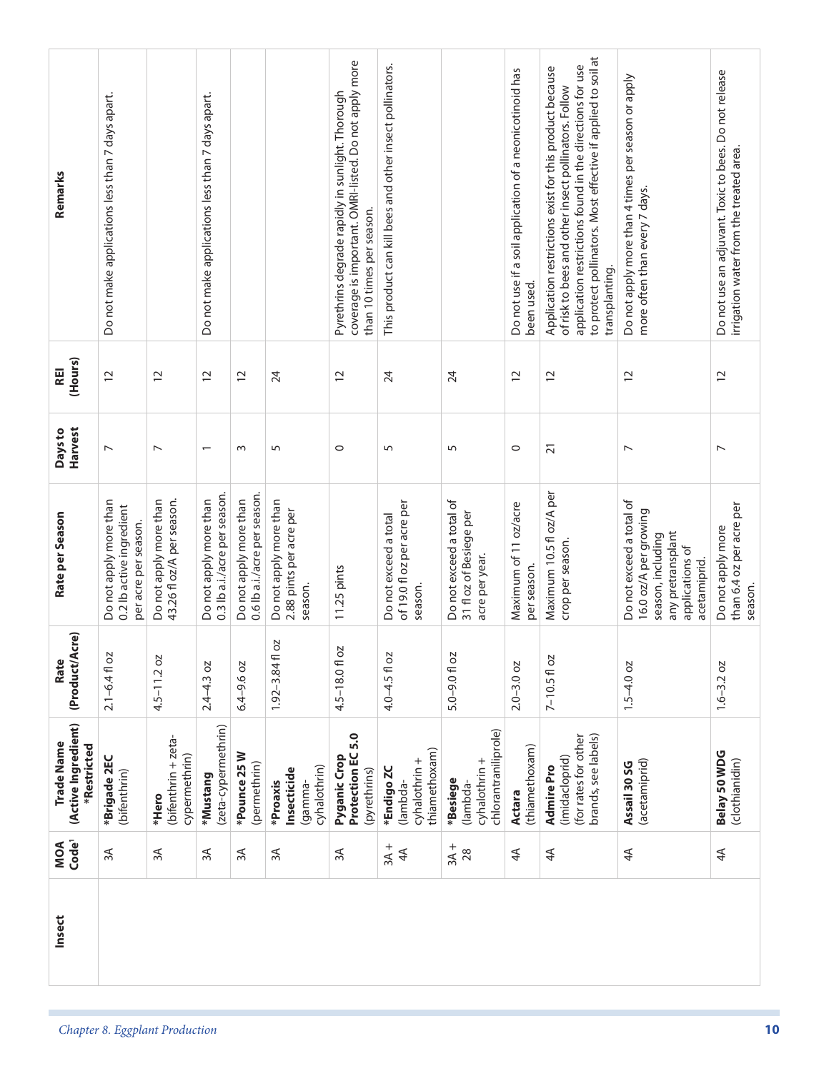| Remarks<br>(Hours)<br><b>REI</b>                 | Do not make applications less than 7 days apart.<br>$\overline{c}$         | $\overline{c}$                                      | Do not make applications less than 7 days apart.<br>$\overline{c}$ | $\overline{c}$                                         | 24                                                           | coverage is important. OMRI-listed. Do not apply more<br>Pyrethrins degrade rapidly in sunlight. Thorough<br>than 10 times per season.<br>$\overline{c}$ | This product can kill bees and other insect pollinators.<br>24 | 24                                                                    | Do not use if a soil application of a neonicotinoid has<br>been used.<br>$\overline{c}$ | to protect pollinators. Most effective if applied to soil at<br>application restrictions found in the directions for use<br>Application restrictions exist for this product because<br>of risk to bees and other insect pollinators. Follow<br>transplanting.<br>$\overline{c}$ | Do not apply more than 4 times per season or apply<br>more often than every 7 days.<br>$\overline{c}$                          | Do not use an adjuvant. Toxic to bees. Do not release<br>irrigation water from the treated area.<br>$\overline{C}$ |
|--------------------------------------------------|----------------------------------------------------------------------------|-----------------------------------------------------|--------------------------------------------------------------------|--------------------------------------------------------|--------------------------------------------------------------|----------------------------------------------------------------------------------------------------------------------------------------------------------|----------------------------------------------------------------|-----------------------------------------------------------------------|-----------------------------------------------------------------------------------------|---------------------------------------------------------------------------------------------------------------------------------------------------------------------------------------------------------------------------------------------------------------------------------|--------------------------------------------------------------------------------------------------------------------------------|--------------------------------------------------------------------------------------------------------------------|
| Harvest<br>Days to                               | $\overline{ }$                                                             | $\overline{ }$                                      | $\overline{\phantom{0}}$                                           | $\sim$                                                 | 5                                                            | $\circ$                                                                                                                                                  | 5                                                              | 5                                                                     | $\circ$                                                                                 | $\overline{2}1$                                                                                                                                                                                                                                                                 | $\overline{ }$                                                                                                                 | $\overline{\phantom{0}}$                                                                                           |
| Rate per Season                                  | Do not apply more than<br>0.2 lb active ingredient<br>per acre per season. | 43.26 fl oz/A per season.<br>Do not apply more than | 0.3 lb a.i./acre per season.<br>Do not apply more than             | 0.6 lb a.i./acre per season.<br>Do not apply more than | Do not apply more than<br>2.88 pints per acre per<br>season. | 11.25 pints                                                                                                                                              | of 19.0 fl oz per acre per<br>Do not exceed a total<br>season. | Do not exceed a total of<br>31 fl oz of Besiege per<br>acre per year. | Maximum of 11 oz/acre<br>per season.                                                    | Maximum 10.5 fl oz/A per<br>crop per season.                                                                                                                                                                                                                                    | Do not exceed a total of<br>16.0 oz/A per growing<br>any pretransplant<br>season, including<br>applications of<br>acetamiprid. | than 6.4 oz per acre per<br>Do not apply more<br>season.                                                           |
| <b>\cre)</b><br>(Product/A<br>Rate               | $2.1 - 6.4$ fl oz                                                          | $4.5 - 11.2$ oz                                     | $2.4 - 4.3$ oz                                                     | $6.4 - 9.6$ oz                                         | SO<br>$1.92 - 3.84$ fl                                       | 4.5-18.01 oz                                                                                                                                             | $4.0 - 4.5$ fl oz                                              | $5.0 - 9.0$ fl oz                                                     | $2.0 - 3.0$ oz                                                                          | $7 - 10.5f$ oz                                                                                                                                                                                                                                                                  | $1.5 - 4.0$ oz                                                                                                                 | $1.6 - 3.2 oz$                                                                                                     |
| (Active Ingredient)<br>Trade Name<br>*Restricted | *Brigade 2EC<br>(bifenthrin)                                               | (bifenthrin + zeta-<br>cypermethrin)<br>*Hero       | (zeta-cypermethrin)<br>*Mustang                                    | *Pounce 25 W<br>(permethrin)                           | cyhalothrin)<br>Insecticide<br>*Proaxis<br>lgamma-           | Protection EC 5.0<br>Pyganic Crop<br>(pyrethrins)                                                                                                        | thiamethoxam)<br>cyhalothrin +<br>*Endigo ZC<br>lambda-        | chlorantraniliprole)<br>cyhalothrin +<br>*Besiege<br>(lambda-         | (thiamethoxam)<br><b>Actara</b>                                                         | brands, see labels)<br>(for rates for other<br>(imidacloprid)<br><b>Admire Pro</b>                                                                                                                                                                                              | (acetamiprid)<br>Assail 30 SG                                                                                                  | Belay 50 WDG<br>(clothianidin)                                                                                     |
| Code <sup>1</sup><br>MOA                         | 3A                                                                         | ЗA                                                  | ЗÁ                                                                 | 3A                                                     | ЗA                                                           | 3A                                                                                                                                                       | $3A +$<br>4 <sup>4</sup>                                       | $3A + 28$                                                             | 4 <sup>4</sup>                                                                          | 4 <sup>4</sup>                                                                                                                                                                                                                                                                  | 4 <sup>4</sup>                                                                                                                 | 4 <sup>4</sup>                                                                                                     |
| Insect                                           |                                                                            |                                                     |                                                                    |                                                        |                                                              |                                                                                                                                                          |                                                                |                                                                       |                                                                                         |                                                                                                                                                                                                                                                                                 |                                                                                                                                |                                                                                                                    |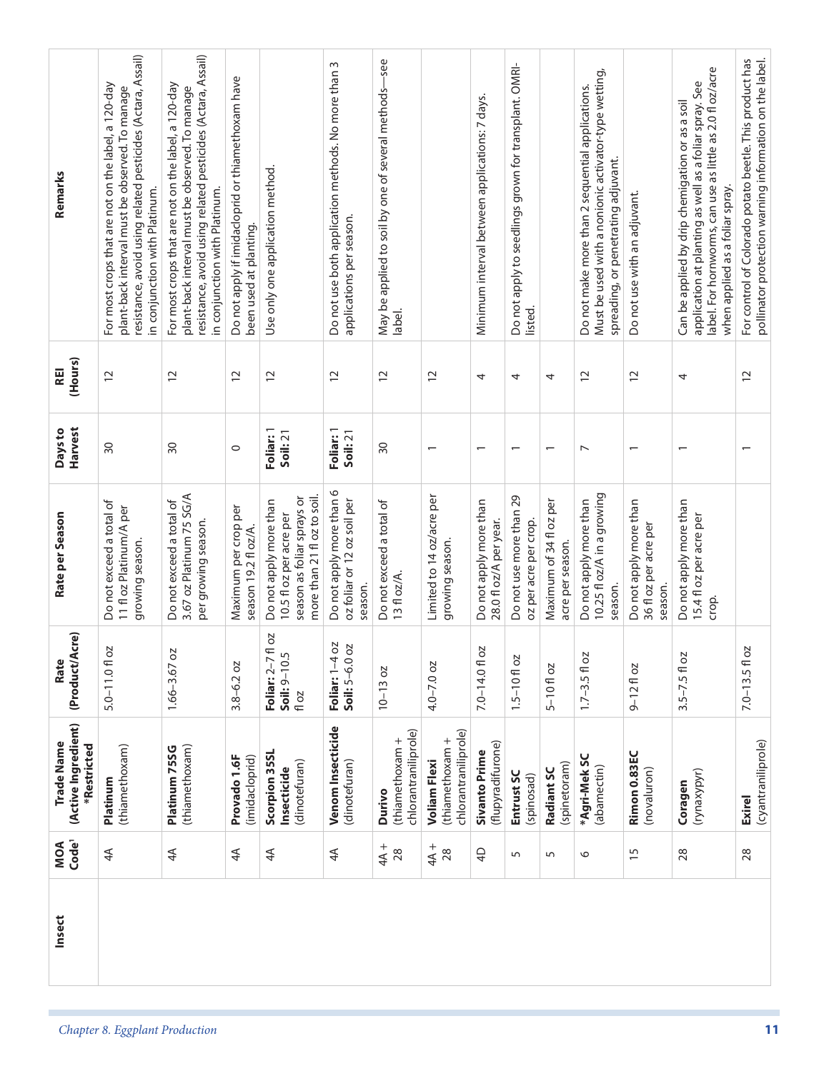| Remarks                                          | resistance, avoid using related pesticides (Actara, Assail)<br>For most crops that are not on the label, a 120-day<br>plant-back interval must be observed. To manage<br>in conjunction with Platinum. | resistance, avoid using related pesticides (Actara, Assail)<br>For most crops that are not on the label, a 120-day<br>plant-back interval must be observed. To manage<br>in conjunction with Platinum. | Do not apply if imidacloprid or thiamethoxam have<br>been used at planting. | Use only one application method.                                                                               | Do not use both application methods. No more than 3<br>applications per season. | May be applied to soil by one of several methods-see<br>label. |                                                                | Minimum interval between applications: 7 days.   | Do not apply to seedlings grown for transplant. OMRI-<br>listed. |                                             | Must be used with a nonionic activator-type wetting,<br>Do not make more than 2 sequential applications.<br>spreading, or penetrating adjuvant. | Do not use with an adjuvant.                               | label. For hornworms, can use as little as 2.0 fl oz/acre<br>application at planting as well as a foliar spray. See<br>Can be applied by drip chemigation or as a soil<br>when applied as a foliar spray. | For control of Colorado potato beetle. This product has<br>pollinator protection warning information on the label. |
|--------------------------------------------------|--------------------------------------------------------------------------------------------------------------------------------------------------------------------------------------------------------|--------------------------------------------------------------------------------------------------------------------------------------------------------------------------------------------------------|-----------------------------------------------------------------------------|----------------------------------------------------------------------------------------------------------------|---------------------------------------------------------------------------------|----------------------------------------------------------------|----------------------------------------------------------------|--------------------------------------------------|------------------------------------------------------------------|---------------------------------------------|-------------------------------------------------------------------------------------------------------------------------------------------------|------------------------------------------------------------|-----------------------------------------------------------------------------------------------------------------------------------------------------------------------------------------------------------|--------------------------------------------------------------------------------------------------------------------|
| (Hours)<br>REI                                   | $\tilde{c}$                                                                                                                                                                                            | $\overline{c}$                                                                                                                                                                                         | $\overline{C}$                                                              | $\overline{c}$                                                                                                 | $\overline{c}$                                                                  | $\overline{C}$                                                 | $\overline{c}$                                                 | 4                                                | 4                                                                | 4                                           | $\overline{12}$                                                                                                                                 | $\overline{C}$                                             | 4                                                                                                                                                                                                         | $\overline{C}$                                                                                                     |
| Harvest<br>Days to                               | $\overline{50}$                                                                                                                                                                                        | 30                                                                                                                                                                                                     | $\circ$                                                                     | Foliar: 1<br>Soil:21                                                                                           | Foliar: 1<br>Soil:21                                                            | 30                                                             | $\overline{ }$                                                 | $\overline{\phantom{0}}$                         | $\overline{\phantom{0}}$                                         | $\overline{\phantom{0}}$                    | $\overline{ }$                                                                                                                                  | $\overline{\phantom{0}}$                                   | $\overline{\phantom{0}}$                                                                                                                                                                                  | $\overline{\phantom{0}}$                                                                                           |
| Rate per Season                                  | Do not exceed a total of<br>11 fl oz Platinum/A per<br>growing season.                                                                                                                                 | 3.67 oz Platinum 75 SG/A<br>Do not exceed a total of<br>per growing season.                                                                                                                            | Maximum per crop per<br>season 19.2 fl oz/A.                                | more than 21 fl oz to soil.<br>season as foliar sprays or<br>Do not apply more than<br>10.5 fl oz per acre per | Do not apply more than 6<br>oz foliar or 12 oz soil per<br>season.              | Do not exceed a total of<br>13 fl oz/A.                        | Limited to 14 oz/acre per<br>growing season.                   | Do not apply more than<br>28.0 fl oz/A per year. | Do not use more than 29<br>oz per acre per crop.                 | Maximum of 34 fl oz per<br>acre per season. | 10.25 fl oz/A in a growing<br>Do not apply more than<br>season.                                                                                 | Do not apply more than<br>36 fl oz per acre per<br>season. | Do not apply more than<br>15.4 fl oz per acre per<br>crop.                                                                                                                                                |                                                                                                                    |
| cre)<br>(Product/A<br>Rate                       | Й<br>$5.0 - 11.0f$ o                                                                                                                                                                                   | 1.66-3.67 oz                                                                                                                                                                                           | $3.8 - 6.2$ oz                                                              | fl oz<br>Soil: 9-10.5<br>Foliar: 2-7<br>fl oz                                                                  | SO<br>Soil: 5-6.0 oz<br>Foliar: 1-4                                             | $10 - 13 oz$                                                   | $4.0 - 7.0$ oz                                                 | Й<br>$7.0 - 14.0f$ o                             | $1.5 - 10f$ oz                                                   | $5 - 10f$ oz                                | $1.7 - 3.5 f$ oz                                                                                                                                | $9 - 12f$ oz                                               | $3.5 - 7.5$ fl oz                                                                                                                                                                                         | $7.0 - 13.5 f$ oz                                                                                                  |
| (Active Ingredient)<br>Trade Name<br>*Restricted | (thiamethoxam)<br>Platinum                                                                                                                                                                             | (thiamethoxam)<br>Platinum 75SG                                                                                                                                                                        | Provado 1.6F<br>(imidacloprid)                                              | Scorpion 35SL<br>(dinotefuran)<br>Insecticide                                                                  | Venom Insecticide<br>(dinotefuran)                                              | chlorantraniliprole)<br>(thiamethoxam +<br>Durivo              | chlorantraniliprole)<br>(thiamethoxam +<br><b>Voliam Flexi</b> | (flupyradifurone)<br><b>Sivanto Prime</b>        | Entrust SC<br>(spinosad)                                         | (spinetoram)<br>Radiant SC                  | *Agri-Mek SC<br>(abamectin)                                                                                                                     | Rimon 0.83EC<br>(novaluron)                                | (rynaxypyr)<br>Coragen                                                                                                                                                                                    | (cyantraniliprole)<br><b>Exirel</b>                                                                                |
| Code <sup>1</sup><br>MOA                         | 4 <sup>4</sup>                                                                                                                                                                                         | $\overline{4}$                                                                                                                                                                                         | ₹                                                                           | $4\overline{4}$                                                                                                | 4 <sup>4</sup>                                                                  | $+84$<br>28                                                    | $4A +$<br>28                                                   | $\overline{4}$                                   | 5                                                                | $\sqrt{2}$                                  | $\circ$                                                                                                                                         | $\overline{15}$                                            | 28                                                                                                                                                                                                        | 28                                                                                                                 |
| Insect                                           |                                                                                                                                                                                                        |                                                                                                                                                                                                        |                                                                             |                                                                                                                |                                                                                 |                                                                |                                                                |                                                  |                                                                  |                                             |                                                                                                                                                 |                                                            |                                                                                                                                                                                                           |                                                                                                                    |
|                                                  | Chapter 8. Eggplant Production                                                                                                                                                                         |                                                                                                                                                                                                        |                                                                             |                                                                                                                |                                                                                 |                                                                |                                                                |                                                  |                                                                  |                                             |                                                                                                                                                 |                                                            |                                                                                                                                                                                                           | 11                                                                                                                 |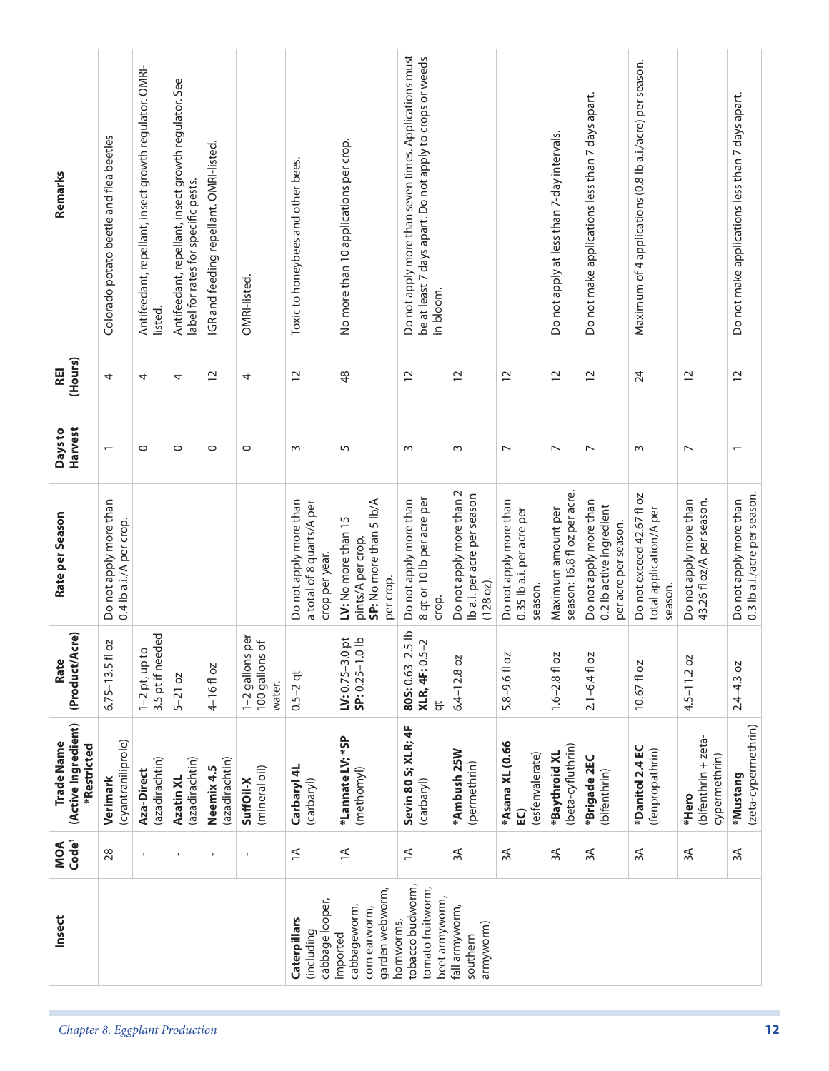| Remarks                                          | Colorado potato beetle and flea beetles           | Antifeedant, repellant, insect growth regulator. OMRI- | Antifeedant, repellant, insect growth regulator. See<br>label for rates for specific pests. | IGR and feeding repellant. OMRI-listed. |                                                         | Toxic to honeybees and other bees.                                    | No more than 10 applications per crop.                                           | Do not apply more than seven times. Applications must<br>be at least 7 days apart. Do not apply to crops or weeds |                                                                      |                                                                | Do not apply at less than 7-day intervals.         | Do not make applications less than 7 days apart.                           | Maximum of 4 applications (0.8 lb a.i./acre) per season.        |                                                     | Do not make applications less than 7 days apart.       |
|--------------------------------------------------|---------------------------------------------------|--------------------------------------------------------|---------------------------------------------------------------------------------------------|-----------------------------------------|---------------------------------------------------------|-----------------------------------------------------------------------|----------------------------------------------------------------------------------|-------------------------------------------------------------------------------------------------------------------|----------------------------------------------------------------------|----------------------------------------------------------------|----------------------------------------------------|----------------------------------------------------------------------------|-----------------------------------------------------------------|-----------------------------------------------------|--------------------------------------------------------|
|                                                  |                                                   | listed.                                                |                                                                                             |                                         | OMRI-listed.                                            |                                                                       |                                                                                  | in bloom.                                                                                                         |                                                                      |                                                                |                                                    |                                                                            |                                                                 |                                                     |                                                        |
| (Hours)<br><b>REI</b>                            | 4                                                 | 4                                                      | 4                                                                                           | $\overline{c}$                          | 4                                                       | $\overline{c}$                                                        | \$                                                                               | $\overline{12}$                                                                                                   | $\overline{c}$                                                       | $\overline{c}$                                                 | $\overline{c}$                                     | $\overline{c}$                                                             | 24                                                              | 12                                                  | $\overline{c}$                                         |
| <b>Harvest</b><br>Days to                        |                                                   | $\circ$                                                | $\circ$                                                                                     | $\circ$                                 | $\circ$                                                 | $\sim$                                                                | 5                                                                                | $\sim$                                                                                                            | $\sim$                                                               | $\overline{ }$                                                 | $\overline{ }$                                     | $\overline{ }$                                                             | $\sim$                                                          | $\overline{ }$                                      |                                                        |
| Rate per Season                                  | Do not apply more than<br>0.4 lb a.i./A per crop. |                                                        |                                                                                             |                                         |                                                         | Do not apply more than<br>a total of 8 quarts/A per<br>crop per year. | SP: No more than 5 lb/A<br>LV: No more than 15<br>pints/A per crop.<br>per crop. | 8 qt or 10 lb per acre per<br>Do not apply more than<br>crop.                                                     | Do not apply more than 2<br>Ib a.i. per acre per season<br>(128 oz). | Do not apply more than<br>0.35 lb a.i. per acre per<br>season. | season: 16.8 fl oz per acre.<br>Maximum amount per | Do not apply more than<br>0.2 lb active ingredient<br>per acre per season. | Do not exceed 42.67 fl oz<br>total application/A per<br>season. | 43.26 fl oz/A per season.<br>Do not apply more than | 0.3 lb a.i./acre per season.<br>Do not apply more than |
| (Product/Acre)<br>Rate                           | ΟZ<br>$6.75 - 13.5$ fl                            | 3.5 pt if needed<br>$\Omega$<br>$1-2$ pt, up t         | $5 - 21$ oz                                                                                 | 4-16fl oz                               | per<br>$\sigma$<br>1-2 gallons<br>100 gallons<br>water. | $0.5 - 2$ qt                                                          | LV: $0.75 - 3.0$ pt<br>SP: $0.25 - 1.0$ lb                                       | 805: 0.63-2.5 lb<br>XLR, 4F: 0.5-2<br>$\overline{5}$                                                              | $6.4 - 12.8$ oz                                                      | 5.8-9.6 fl oz                                                  | $1.6 - 2.8$ fl oz                                  | $2.1 - 6.4$ fl oz                                                          | 10.67 fl oz                                                     | $4.5 - 11.2$ oz                                     | $2.4 - 4.3$ oz                                         |
| (Active Ingredient)<br>Trade Name<br>*Restricted | (cyantraniliprole)<br>Verimark                    | (azadirachtin)<br>Aza-Direct                           | (azadirachtin)<br>Azatin XL                                                                 | (azadirachtin)<br>Neemix 4.5            | (mineral oil)<br>SuffOil-X                              | Carbaryl 4L<br>(carbaryl)                                             | *Lannate LV; *SP<br>(methomyl)                                                   | Sevin 80 S; XLR; 4F<br>(carbaryl)                                                                                 | *Ambush 25W<br>(permethrin)                                          | *Asana XL (0.66<br>(esfenvalerate)<br>EQ                       | (beta-cyfluthrin)<br>*Baythroid XL                 | *Brigade 2EC<br>(bifenthrin)                                               | *Danitol 2.4 EC<br>(fenpropathrin)                              | (bifenthrin + zeta-<br>cypermethrin)<br>*Hero       | (zeta-cypermethrin)<br>*Mustang                        |
| Code <sup>1</sup><br>MOA                         | $28$                                              | $\mathbf{I}$                                           | $\mathbf{I}$                                                                                | $\mathbf I$                             | $\mathbf{I}$                                            | $\preceq$                                                             | $\preceq$                                                                        | $\preceq$                                                                                                         | $\approx$                                                            | 3A                                                             | $\approx$                                          | $\approx$                                                                  | $3A$                                                            | $\approx$                                           | $\approx$                                              |
| Insect                                           |                                                   |                                                        |                                                                                             |                                         |                                                         | cabbage looper,<br>Caterpillars<br>(including                         | garden webworm,<br>cabbageworm,<br>corn earworm,<br>hornworms,<br>imported       | tobacco budworm,<br>tomato fruitworm,<br>beet armyworm,                                                           | fall armyworm,<br>armyworm)<br>southern                              |                                                                |                                                    |                                                                            |                                                                 |                                                     |                                                        |
| Chapter 8. Eggplant Production                   |                                                   |                                                        |                                                                                             |                                         |                                                         |                                                                       |                                                                                  |                                                                                                                   |                                                                      |                                                                |                                                    |                                                                            |                                                                 |                                                     | 12                                                     |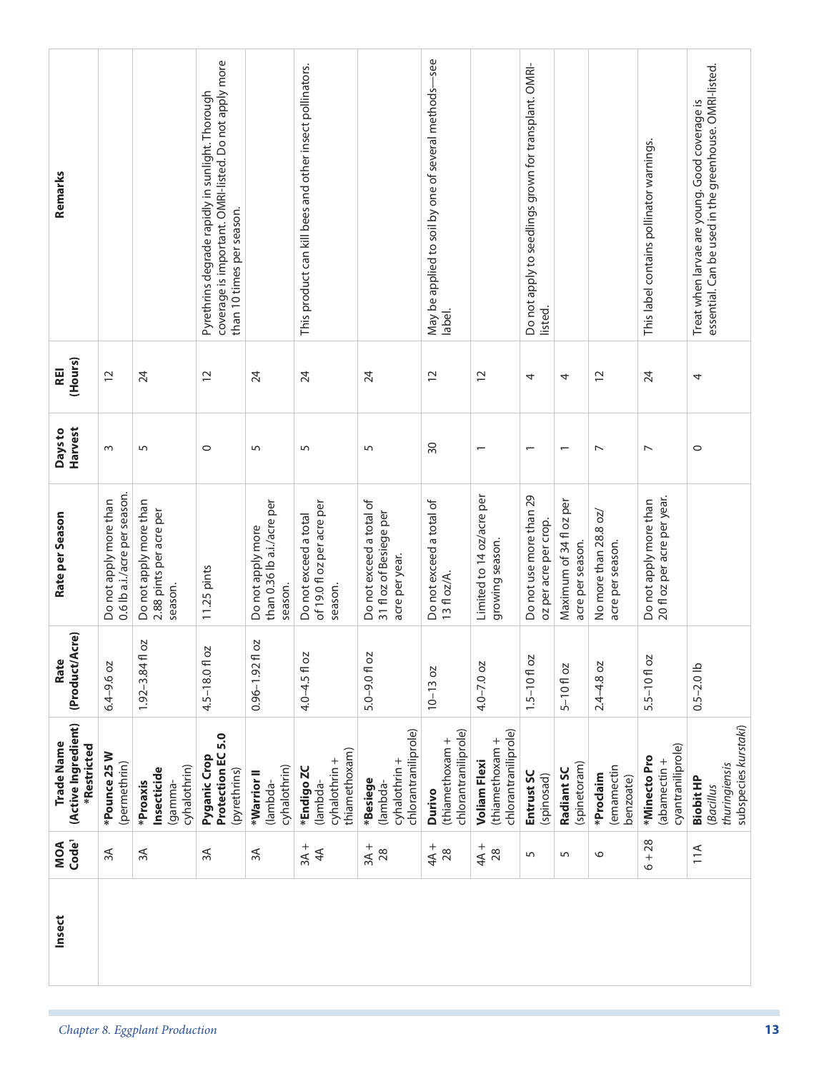| Remarks                                          |                                                        |                                                              | coverage is important. OMRI-listed. Do not apply more<br>Pyrethrins degrade rapidly in sunlight. Thorough |                                                            | This product can kill bees and other insect pollinators.       |                                                                       | May be applied to soil by one of several methods-see |                                                                | Do not apply to seedlings grown for transplant. OMRI- |                                             |                                           | This label contains pollinator warnings.              | essential. Can be used in the greenhouse. OMRI-listed.<br>Treat when larvae are young. Good coverage is |
|--------------------------------------------------|--------------------------------------------------------|--------------------------------------------------------------|-----------------------------------------------------------------------------------------------------------|------------------------------------------------------------|----------------------------------------------------------------|-----------------------------------------------------------------------|------------------------------------------------------|----------------------------------------------------------------|-------------------------------------------------------|---------------------------------------------|-------------------------------------------|-------------------------------------------------------|---------------------------------------------------------------------------------------------------------|
|                                                  |                                                        |                                                              | than 10 times per season.                                                                                 |                                                            |                                                                |                                                                       | label.                                               |                                                                | listed.                                               |                                             |                                           |                                                       |                                                                                                         |
| (Hours)<br><b>REI</b>                            | $\overline{C}$                                         | 24                                                           | $\overline{C}$                                                                                            | 24                                                         | 24                                                             | 24                                                                    | $\overline{c}$                                       | $\overline{c}$                                                 | 4                                                     | 4                                           | $\overline{12}$                           | 24                                                    | 4                                                                                                       |
| Harvest<br>Days to                               | $\sim$                                                 | 5                                                            | $\circ$                                                                                                   | 5                                                          | 5                                                              | 5                                                                     | $\overline{50}$                                      | $\overline{\phantom{0}}$                                       | $\overline{\phantom{0}}$                              | $\overline{\phantom{0}}$                    | $\overline{ }$                            | $\overline{ }$                                        | $\circ$                                                                                                 |
| Rate per Season                                  | 0.6 lb a.i./acre per season.<br>Do not apply more than | Do not apply more than<br>2.88 pints per acre per<br>season. | 11.25 pints                                                                                               | than 0.36 lb a.i./acre per<br>Do not apply more<br>season. | of 19.0 fl oz per acre per<br>Do not exceed a total<br>season. | Do not exceed a total of<br>31 fl oz of Besiege per<br>acre per year. | Do not exceed a total of<br>13 fl oz/A.              | Limited to 14 oz/acre per<br>growing season.                   | Do not use more than 29<br>oz per acre per crop.      | Maximum of 34 fl oz per<br>acre per season. | No more than 28.8 oz/<br>acre per season. | 20 fl oz per acre per year.<br>Do not apply more than |                                                                                                         |
| <b>\cre)</b><br>(Product/A<br>Rate               | $6.4 - 9.6$ oz                                         | <b>DZ</b><br>$1.92 - 3.84$ fl                                | 4.5-18.01 oz                                                                                              | 5O<br>$0.96 - 1.92$ fl                                     | 4.0-4.5 fl oz                                                  | 5.0-9.0 fl oz                                                         | $10 - 13 oz$                                         | $4.0 - 7.0$ oz                                                 | $1.5 - 10f$ oz                                        | $5 - 10$ floz                               | $2.4 - 4.8$ oz                            | 5.5-10 fl oz                                          | $0.5 - 2.0$ lb                                                                                          |
| (Active Ingredient)<br>Trade Name<br>*Restricted | *Pounce 25 W<br>(permethrin)                           | cyhalothrin)<br>Insecticide<br>*Proaxis<br>lgamma-           | Protection EC 5.0<br>Pyganic Crop<br>(pyrethrins)                                                         | cyhalothrin)<br>*Warrior II<br>lambda-                     | thiamethoxam)<br>cyhalothrin +<br>*Endigo ZC<br>(lambda-       | chlorantraniliprole)<br>cyhalothrin +<br>*Besiege<br>(lambda-         | chlorantraniliprole)<br>(thiamethoxam +<br>Durivo    | chlorantraniliprole)<br>(thiamethoxam +<br><b>Voliam Flexi</b> | Entrust SC<br>(spinosad)                              | (spinetoram)<br>Radiant SC                  | (emamectin<br>*Proclaim<br>benzoate)      | cyantraniliprole)<br>*Minecto Pro<br>(abamectin +     | subspecies kurstaki)<br>thuringiensis<br><b>Biobit HP</b><br>(Bacillus                                  |
| MOA<br>Code <sup>1</sup>                         | $\approx$                                              | $\approx$                                                    | $\approx$                                                                                                 | 3A                                                         | $3A +$<br>4 <sup>4</sup>                                       | $3A +$<br>28                                                          | $4A +$<br>28                                         | $4A + 28$                                                      | 5                                                     | 5                                           | $\circ$                                   | $6 + 28$                                              | 11A                                                                                                     |
| Insect                                           |                                                        |                                                              |                                                                                                           |                                                            |                                                                |                                                                       |                                                      |                                                                |                                                       |                                             |                                           |                                                       |                                                                                                         |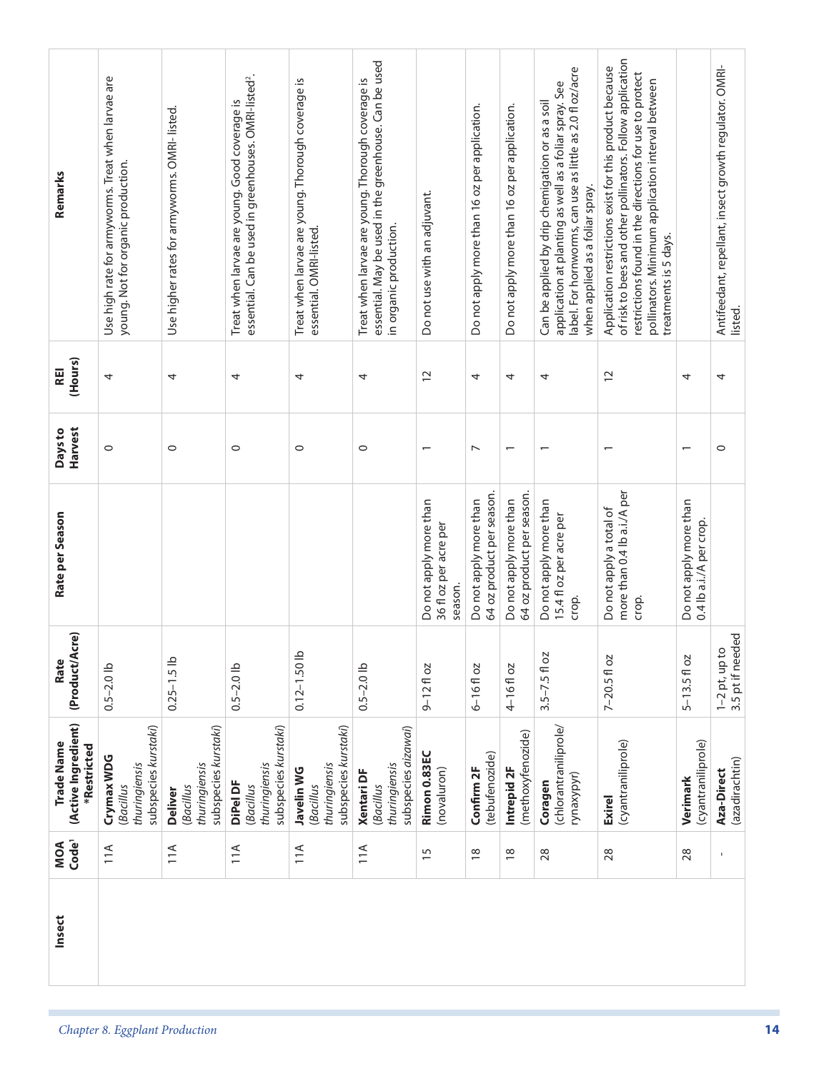| Remarks                                                 | Use high rate for armyworms. Treat when larvae are<br>young. Not for organic production. | Use higher rates for armyworms. OMRI-listed.                         | essential. Can be used in greenhouses. OMRI-listed <sup>2</sup> .<br>Treat when larvae are young. Good coverage is | Treat when larvae are young. Thorough coverage is<br>essential. OMRI-listed. | essential. May be used in the greenhouse. Can be used<br>Treat when larvae are young. Thorough coverage is<br>in organic production. | Do not use with an adjuvant.                               | Do not apply more than 16 oz per application.       | Do not apply more than 16 oz per application.       | label. For hornworms, can use as little as 2.0 fl oz/acre<br>application at planting as well as a foliar spray. See<br>Can be applied by drip chemigation or as a soil<br>when applied as a foliar spray. | of risk to bees and other pollinators. Follow application<br>Application restrictions exist for this product because<br>restrictions found in the directions for use to protect<br>pollinators. Minimum application interval between<br>treatments is 5 days. |                                                   | Antifeedant, repellant, insect growth regulator. OMRI-<br>listed. |
|---------------------------------------------------------|------------------------------------------------------------------------------------------|----------------------------------------------------------------------|--------------------------------------------------------------------------------------------------------------------|------------------------------------------------------------------------------|--------------------------------------------------------------------------------------------------------------------------------------|------------------------------------------------------------|-----------------------------------------------------|-----------------------------------------------------|-----------------------------------------------------------------------------------------------------------------------------------------------------------------------------------------------------------|---------------------------------------------------------------------------------------------------------------------------------------------------------------------------------------------------------------------------------------------------------------|---------------------------------------------------|-------------------------------------------------------------------|
| (Hours)<br>REI                                          | 4                                                                                        | 4                                                                    | 4                                                                                                                  | 4                                                                            | 4                                                                                                                                    | $\overline{c}$                                             | 4                                                   | 4                                                   | 4                                                                                                                                                                                                         | $\overline{C}$                                                                                                                                                                                                                                                | 4                                                 | 4                                                                 |
| Harvest<br>Days to                                      | $\circ$                                                                                  | $\circ$                                                              | $\circ$                                                                                                            | $\circ$                                                                      | $\circ$                                                                                                                              | $\overline{ }$                                             | $\overline{ }$                                      | $\overline{ }$                                      |                                                                                                                                                                                                           |                                                                                                                                                                                                                                                               |                                                   | $\circ$                                                           |
| Rate per Season                                         |                                                                                          |                                                                      |                                                                                                                    |                                                                              |                                                                                                                                      | Do not apply more than<br>36 fl oz per acre per<br>season. | 64 oz product per season.<br>Do not apply more than | 64 oz product per season.<br>Do not apply more than | Do not apply more than<br>15.4 fl oz per acre per<br>crop.                                                                                                                                                | more than 0.4 lb a.i./A per<br>Do not apply a total of<br>crop.                                                                                                                                                                                               | Do not apply more than<br>0.4 lb a.i./A per crop. |                                                                   |
| (Product/Acre)<br>Rate                                  | $0.5 - 2.0$ lb                                                                           | $0.25 - 1.5$ lb                                                      | $0.5 - 2.0$ lb                                                                                                     | $0.12 - 1.50$ lb                                                             | $0.5 - 2.0$ lb                                                                                                                       | $9 - 12$ fl oz                                             | $6 - 16f$ oz                                        | 4-16floz                                            | $3.5 - 7.5$ fl oz                                                                                                                                                                                         | $7 - 20.5$ fl oz                                                                                                                                                                                                                                              | $5 - 13.5f$ oz                                    | 3.5 pt if needed<br>$1-2$ pt, up to                               |
| (Active Ingredient)<br><b>Trade Name</b><br>*Restricted | subspecies kurstaki)<br>Crymax WDG<br>thuringiensis<br>(Bacillus                         | subspecies kurstaki)<br>thuringiensis<br>(Bacillus<br><b>Deliver</b> | subspecies kurstaki)<br>thuringiensis<br>DiPel DF<br>(Bacillus                                                     | subspecies kurstaki)<br>thuringiensis<br>Javelin WG<br><b>Bacillus</b>       | subspecies aizawai)<br>thuringiensis<br><b>Xentari DF</b><br>(Bacillus                                                               | Rimon 0.83EC<br>(novaluron)                                | (tebufenozide)<br>Confirm 2F                        | (methoxyfenozide)<br>Intrepid 2F                    | (chlorantraniliprole,<br>rynaxypyr)<br>Coragen                                                                                                                                                            | (cyantraniliprole)<br><b>Exirel</b>                                                                                                                                                                                                                           | (cyantraniliprole)<br>Verimark                    | (azadirachtin)<br>Aza-Direct                                      |
| MOA<br>Code <sup>1</sup>                                | 11A                                                                                      | 11A                                                                  | 11A                                                                                                                | 11A                                                                          | 11A                                                                                                                                  | 15                                                         | $\frac{8}{10}$                                      | $\frac{8}{2}$                                       | 28                                                                                                                                                                                                        | 28                                                                                                                                                                                                                                                            | 28                                                | $\mathbf{I}$                                                      |
| Insect                                                  |                                                                                          |                                                                      |                                                                                                                    |                                                                              |                                                                                                                                      |                                                            |                                                     |                                                     |                                                                                                                                                                                                           |                                                                                                                                                                                                                                                               |                                                   |                                                                   |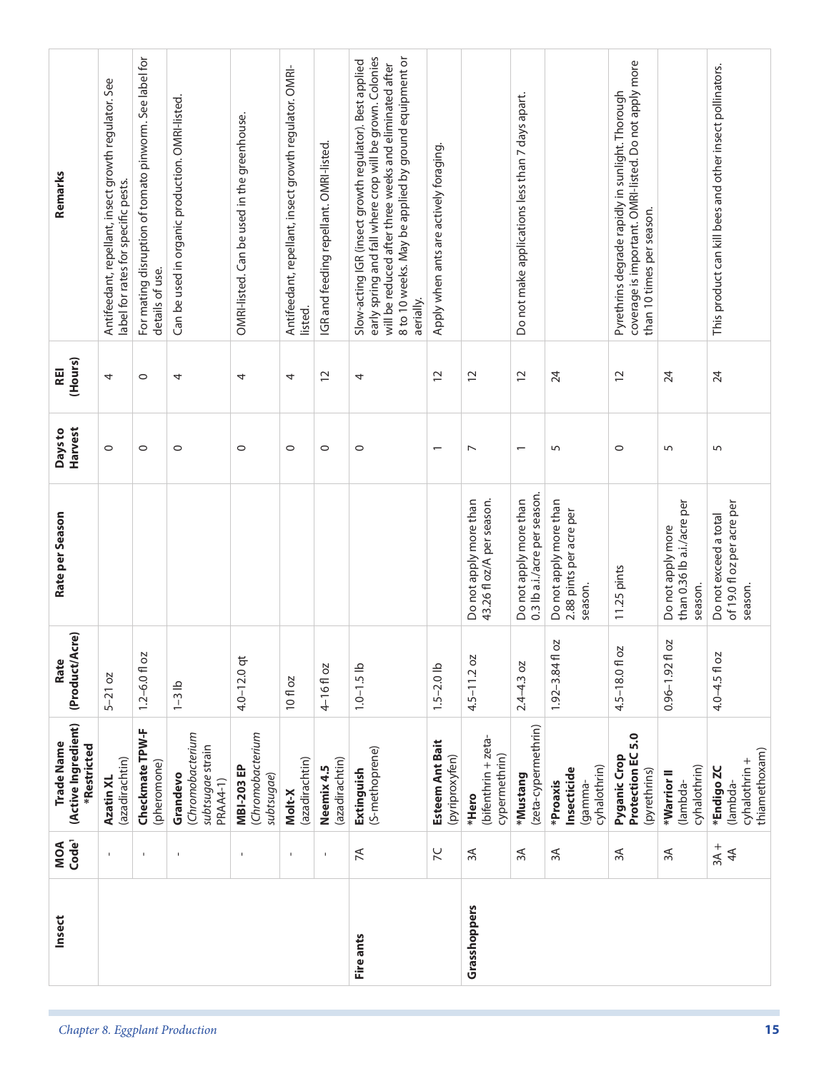| Remarks<br>(Hours)<br>REI<br>Harvest<br>Days to  | Antifeedant, repellant, insect growth regulator. See<br>label for rates for specific pests.<br>4<br>$\circ$ | For mating disruption of tomato pinworm. See label for<br>details of use.<br>$\circ$<br>$\circ$ | Can be used in organic production. OMRI-listed.<br>4<br>$\circ$     | OMRI-listed. Can be used in the greenhouse.<br>4<br>$\circ$ | Antifeedant, repellant, insect growth regulator. OMRI-<br>listed.<br>4<br>$\circ$ | IGR and feeding repellant. OMRI-listed.<br>$\overline{c}$<br>$\circ$ | early spring and fall where crop will be grown. Colonies<br>8 to 10 weeks. May be applied by ground equipment or<br>Slow-acting IGR (insect growth regulator). Best applied<br>will be reduced after three weeks and eliminated after<br>aerially.<br>4<br>$\circ$ | Apply when ants are actively foraging.<br>$\overline{c}$<br>$\overline{\phantom{0}}$ | $\overline{c}$<br>$\overline{ }$                    | Do not make applications less than 7 days apart.<br>$\overline{c}$<br>$\overline{\phantom{0}}$ | 24<br>5                                                      | coverage is important. OMRI-listed. Do not apply more<br>Pyrethrins degrade rapidly in sunlight. Thorough<br>than 10 times per season.<br>$\overline{c}$<br>$\circ$ | 24<br>5                                                    | This product can kill bees and other insect pollinators.<br>24<br>5 |
|--------------------------------------------------|-------------------------------------------------------------------------------------------------------------|-------------------------------------------------------------------------------------------------|---------------------------------------------------------------------|-------------------------------------------------------------|-----------------------------------------------------------------------------------|----------------------------------------------------------------------|--------------------------------------------------------------------------------------------------------------------------------------------------------------------------------------------------------------------------------------------------------------------|--------------------------------------------------------------------------------------|-----------------------------------------------------|------------------------------------------------------------------------------------------------|--------------------------------------------------------------|---------------------------------------------------------------------------------------------------------------------------------------------------------------------|------------------------------------------------------------|---------------------------------------------------------------------|
| Rate per Season                                  |                                                                                                             |                                                                                                 |                                                                     |                                                             |                                                                                   |                                                                      |                                                                                                                                                                                                                                                                    |                                                                                      | Do not apply more than<br>43.26 fl oz/A per season. | 0.3 lb a.i./acre per season.<br>Do not apply more than                                         | Do not apply more than<br>2.88 pints per acre per<br>season. | 11.25 pints                                                                                                                                                         | than 0.36 lb a.i./acre per<br>Do not apply more<br>season. | of 19.0 fl oz per acre per<br>Do not exceed a total<br>season.      |
| (Product/Acre)<br>Rate                           | $5-21$ oz                                                                                                   | $1.2 - 6.0$ floz                                                                                | $1-3$ lb                                                            | $4.0 - 12.0$ qt                                             | 10 fl oz                                                                          | 4-16floz                                                             | $1.0 - 1.5$ lb                                                                                                                                                                                                                                                     | $1.5 - 2.0$ lb                                                                       | $4.5 - 11.2$ oz                                     | $2.4 - 4.3$ oz                                                                                 | 2O<br>$1.92 - 3.84$ fl                                       | b <sub>2</sub><br>$4.5 - 18.0$ fl                                                                                                                                   | 2O<br>$0.96 - 1.92$ fl                                     | 4.0-4.5 fl oz                                                       |
| (Active Ingredient)<br>Trade Name<br>*Restricted | (azadirachtin)<br>Azatin XL                                                                                 | Checkmate TPW-F<br>(pheromone)                                                                  | (Chromobacterium<br>subtsugae strain<br>Grandevo<br><b>PRAA4-1)</b> | (Chromobacterium<br><b>MBI-203 EP</b><br>subtsugae)         | (azadirachtin)<br>Molt-X                                                          | (azadirachtin)<br>Neemix 4.5                                         | (S-methoprene)<br>Extinguish                                                                                                                                                                                                                                       | Esteem Ant Bait<br>(pyriproxyfen)                                                    | (bifenthrin + zeta-<br>cypermethrin)<br>*Hero       | (zeta-cypermethrin)<br>*Mustang                                                                | cyhalothrin)<br>Insecticide<br>*Proaxis<br>(gamma-           | Protection EC 5.0<br><b>Pyganic Crop</b><br>(pyrethrins)                                                                                                            | cyhalothrin)<br>*Warrior II<br>(lambda-                    | thiamethoxam)<br>cyhalothrin +<br>*Endigo ZC<br>(lambda-            |
| Code <sup>1</sup><br>MOA                         | $\mathbf{I}$                                                                                                | $\mathbf I$                                                                                     | $\mathbf{I}$                                                        | $\mathbf{I}$                                                | $\mathbf I$                                                                       | $\mathsf I$                                                          | $\preceq$                                                                                                                                                                                                                                                          | $\overline{C}$                                                                       | $\approx$                                           | $\approx$                                                                                      | $\approx$                                                    | $\approx$                                                                                                                                                           | $\approx$                                                  | $3A +$<br>$4A$                                                      |
| Insect                                           |                                                                                                             |                                                                                                 |                                                                     |                                                             |                                                                                   |                                                                      | Fire ants                                                                                                                                                                                                                                                          |                                                                                      | Grasshoppers                                        |                                                                                                |                                                              |                                                                                                                                                                     |                                                            |                                                                     |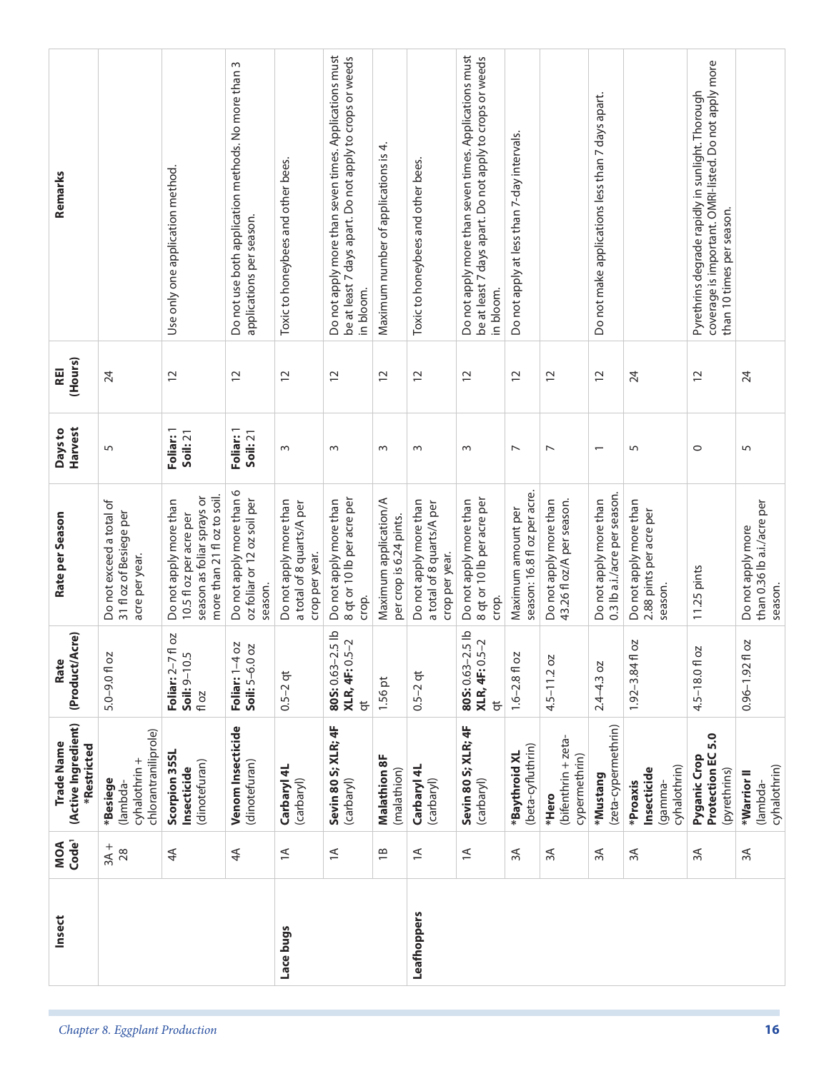| Insect                                           |                                                                       |                                                                                                                |                                                                                 |                                                                       |                                                                                                                                |                                                  | Leafhoppers                                                           |                                                                                                                                |                                                    |                                                     |                                                        |                                                              |                                                                                                                                        |                                                            |
|--------------------------------------------------|-----------------------------------------------------------------------|----------------------------------------------------------------------------------------------------------------|---------------------------------------------------------------------------------|-----------------------------------------------------------------------|--------------------------------------------------------------------------------------------------------------------------------|--------------------------------------------------|-----------------------------------------------------------------------|--------------------------------------------------------------------------------------------------------------------------------|----------------------------------------------------|-----------------------------------------------------|--------------------------------------------------------|--------------------------------------------------------------|----------------------------------------------------------------------------------------------------------------------------------------|------------------------------------------------------------|
|                                                  |                                                                       |                                                                                                                |                                                                                 |                                                                       |                                                                                                                                |                                                  |                                                                       |                                                                                                                                |                                                    |                                                     |                                                        |                                                              |                                                                                                                                        |                                                            |
| MOA<br>Code <sup>1</sup>                         | $3A + 28$                                                             | $\overline{4}$                                                                                                 | $\overline{4}$                                                                  | $\preceq$                                                             | $\preceq$                                                                                                                      | $\frac{1}{1}$                                    | $\preceq$                                                             | $\preceq$                                                                                                                      | ЗA                                                 | 3A                                                  | 3A                                                     | 3A                                                           | 3A                                                                                                                                     | $\approx$                                                  |
| (Active Ingredient)<br>Trade Name<br>*Restricted | chlorantraniliprole)<br>cyhalothrin +<br>*Besiege<br>lambda-          | Scorpion 35SL<br>(dinotefuran)<br>Insecticide                                                                  | Venom Insecticide<br>(dinotefuran)                                              | Carbaryl 4L<br>(carbaryl)                                             | Sevin 80 S; XLR; 4F<br>(carbaryl)                                                                                              | <b>Malathion 8F</b><br>(malathion)               | Carbaryl 4L<br>(carbaryl)                                             | Sevin 80 S; XLR; 4F<br>(carbaryl)                                                                                              | (beta-cyfluthrin)<br>*Baythroid XL                 | (bifenthrin + zeta-<br>cypermethrin)<br>*Hero       | (zeta-cypermethrin)<br>*Mustang                        | cyhalothrin)<br>Insecticide<br>*Proaxis<br>gamma-            | 5.0<br>Protection EC<br>Pyganic Crop<br>(pyrethrins)                                                                                   | cyhalothrin)<br>*Warrior II<br>(lambda-                    |
| (Product/Acre)<br>Rate                           | $5.0 - 9.0$ fl oz                                                     | fl oz<br>Soil: 9-10.5<br>Foliar: 2-7<br>fl oz                                                                  | ΟZ<br>Soil: 5-6.0 oz<br>Foliar: $1-4$                                           | $0.5 - 2$ qt                                                          | $d$ 5.<br>XLR, 4F: 0.5-2<br>805:0.63-2<br>$\overline{a}$                                                                       | 1.56 pt                                          | $0.5 - 2$ qt                                                          | $-5$ lb<br>XLR, 4F: 0.5-2<br>805:0.63-2<br>$\overline{a}$                                                                      | $1.6 - 2.8 f1$ oz                                  | $4.5 - 11.2$ oz                                     | $2.4 - 4.3$ oz                                         | ΟZ<br>$1.92 - 3.84$ fl                                       | 4.5-18.01 oz                                                                                                                           | 5O<br>$0.96 - 1.92f$                                       |
| Rate per Season                                  | Do not exceed a total of<br>31 fl oz of Besiege per<br>acre per year. | more than 21 fl oz to soil.<br>season as foliar sprays or<br>Do not apply more than<br>10.5 fl oz per acre per | Do not apply more than 6<br>oz foliar or 12 oz soil per<br>season.              | Do not apply more than<br>a total of 8 quarts/A per<br>crop per year. | 8 qt or 10 lb per acre per<br>Do not apply more than<br>crop.                                                                  | Maximum application/A<br>per crop is 6.24 pints. | Do not apply more than<br>a total of 8 quarts/A per<br>crop per year. | 8 qt or 10 lb per acre per<br>Do not apply more than<br>crop.                                                                  | season: 16.8 fl oz per acre.<br>Maximum amount per | 43.26 fl oz/A per season.<br>Do not apply more than | 0.3 lb a.i./acre per season.<br>Do not apply more than | Do not apply more than<br>2.88 pints per acre per<br>season. | $11.25$ pints                                                                                                                          | than 0.36 lb a.i./acre per<br>Do not apply more<br>season. |
| Harvest<br>Days to                               | 5                                                                     | Foliar: 1<br>Soil: 21                                                                                          | Foliar: 1<br>Soil: 21                                                           | 3                                                                     | $\sim$                                                                                                                         | $\sim$                                           | $\sim$                                                                | 3                                                                                                                              | $\overline{\phantom{0}}$                           | $\overline{ }$                                      | $\overline{\phantom{0}}$                               | 5                                                            | $\circ$                                                                                                                                | 5                                                          |
| (Hours)<br><b>REI</b>                            | 24                                                                    | $\overline{C}$                                                                                                 | $\overline{c}$                                                                  | $\overline{c}$                                                        | $\overline{c}$                                                                                                                 | $\overline{c}$                                   | $\overline{c}$                                                        | $\overline{c}$                                                                                                                 | $\overline{c}$                                     | $\overline{c}$                                      | $\overline{c}$                                         | 24                                                           | $\overline{C}$                                                                                                                         | 24                                                         |
| Remarks                                          |                                                                       | Use only one application method.                                                                               | Do not use both application methods. No more than 3<br>applications per season. | Toxic to honeybees and other bees.                                    | Do not apply more than seven times. Applications must<br>be at least 7 days apart. Do not apply to crops or weeds<br>in bloom. | Maximum number of applications is 4.             | Toxic to honeybees and other bees.                                    | Do not apply more than seven times. Applications must<br>be at least 7 days apart. Do not apply to crops or weeds<br>in bloom. | Do not apply at less than 7-day intervals.         |                                                     | Do not make applications less than 7 days apart.       |                                                              | coverage is important. OMRI-listed. Do not apply more<br>Pyrethrins degrade rapidly in sunlight. Thorough<br>than 10 times per season. |                                                            |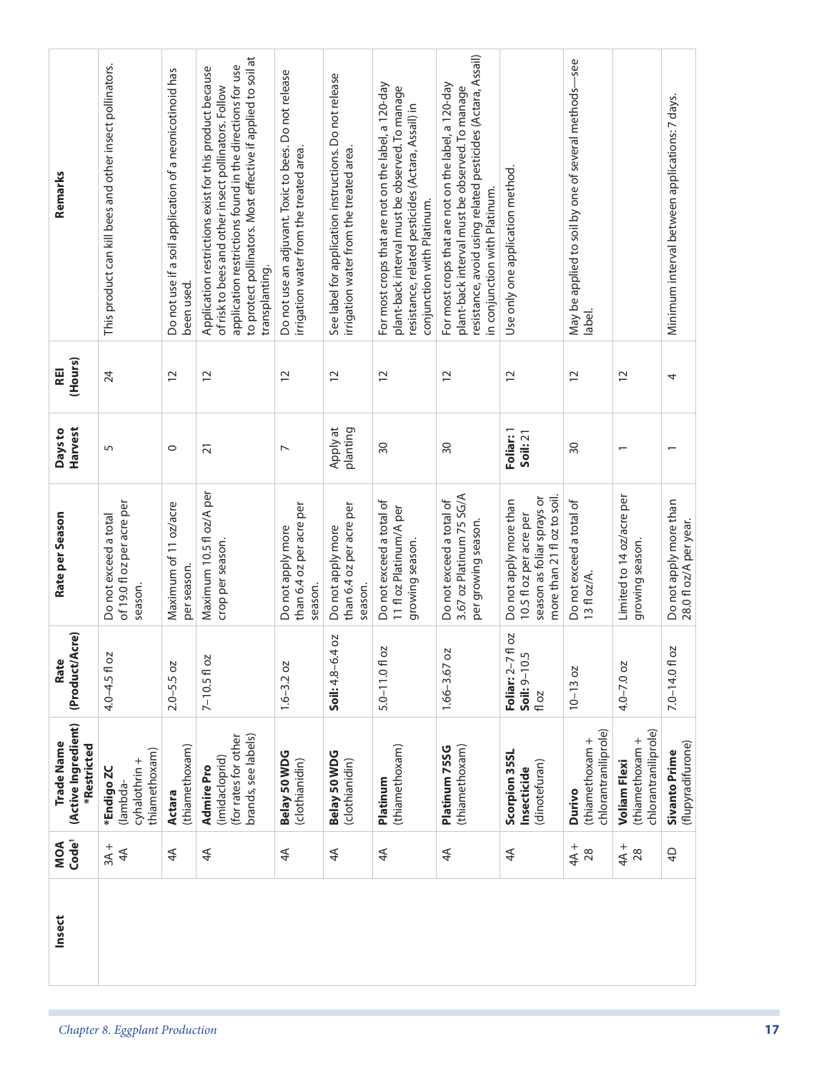| Remarks                                          | This product can kill bees and other insect pollinators.       | Do not use if a soil application of a neonicotinoid has<br>been used. | to protect pollinators. Most effective if applied to soil at<br>application restrictions found in the directions for use<br>Application restrictions exist for this product because<br>of risk to bees and other insect pollinators. Follow<br>transplanting. | Do not use an adjuvant. Toxic to bees. Do not release<br>irrigation water from the treated area. | See label for application instructions. Do not release<br>irrigation water from the treated area. | For most crops that are not on the label, a 120-day<br>plant-back interval must be observed. To manage<br>resistance, related pesticides (Actara, Assail) in<br>conjunction with Platinum. | resistance, avoid using related pesticides (Actara, Assail)<br>For most crops that are not on the label, a 120-day<br>plant-back interval must be observed. To manage<br>in conjunction with Platinum. | Use only one application method.                                                                               | -see<br>May be applied to soil by one of several methods- |                                                                | Minimum interval between applications: 7 days.   |  |
|--------------------------------------------------|----------------------------------------------------------------|-----------------------------------------------------------------------|---------------------------------------------------------------------------------------------------------------------------------------------------------------------------------------------------------------------------------------------------------------|--------------------------------------------------------------------------------------------------|---------------------------------------------------------------------------------------------------|--------------------------------------------------------------------------------------------------------------------------------------------------------------------------------------------|--------------------------------------------------------------------------------------------------------------------------------------------------------------------------------------------------------|----------------------------------------------------------------------------------------------------------------|-----------------------------------------------------------|----------------------------------------------------------------|--------------------------------------------------|--|
| (Hours)<br>REI                                   | 24                                                             | $\overline{c}$                                                        | $\overline{c}$                                                                                                                                                                                                                                                | $\overline{c}$                                                                                   | $\overline{c}$                                                                                    | $\overline{c}$                                                                                                                                                                             | $\overline{c}$                                                                                                                                                                                         | $\overline{c}$                                                                                                 | label.<br>$\overline{c}$                                  | $\overline{c}$                                                 | 4                                                |  |
|                                                  |                                                                |                                                                       |                                                                                                                                                                                                                                                               |                                                                                                  |                                                                                                   |                                                                                                                                                                                            |                                                                                                                                                                                                        |                                                                                                                |                                                           |                                                                |                                                  |  |
| Harvest<br>Days to                               | 5                                                              | $\circ$                                                               | $\overline{2}1$                                                                                                                                                                                                                                               | $\overline{ }$                                                                                   | planting<br>Apply at                                                                              | 30                                                                                                                                                                                         | 30                                                                                                                                                                                                     | Foliar: 1<br>Soil: 21                                                                                          | $\overline{50}$                                           | $\overline{\phantom{0}}$                                       | $\overline{\phantom{0}}$                         |  |
| Rate per Season                                  | of 19.0 fl oz per acre per<br>Do not exceed a total<br>season. | Maximum of 11 oz/acre<br>per season.                                  | Maximum 10.5 fl oz/A per<br>crop per season.                                                                                                                                                                                                                  | than 6.4 oz per acre per<br>Do not apply more<br>season.                                         | than 6.4 oz per acre per<br>Do not apply more<br>season.                                          | Do not exceed a total of<br>11 fl oz Platinum/A per<br>growing season.                                                                                                                     | 3.67 oz Platinum 75 SG/A<br>Do not exceed a total of<br>per growing season.                                                                                                                            | season as foliar sprays or<br>more than 21 fl oz to soil.<br>Do not apply more than<br>10.5 fl oz per acre per | Do not exceed a total of<br>$13f$ oz/A.                   | Limited to 14 oz/acre per<br>growing season.                   | Do not apply more than<br>28.0 fl oz/A per year. |  |
| (Product/Acre)<br>Rate                           | 4.0-4.5 fl oz                                                  | $2.0 - 5.5$ oz                                                        | $7 - 10.5f$ l oz                                                                                                                                                                                                                                              | $1.6 - 3.2 oz$                                                                                   | Soil: 4.8-6.4 oz                                                                                  | SO<br>$5.0 - 11.0$ fl                                                                                                                                                                      | 1.66-3.67 oz                                                                                                                                                                                           | Foliar: 2-7 fl oz<br>Soil: 9-10.5<br>fl oz                                                                     | $10 - 13 oz$                                              | $4.0 - 7.0$ oz                                                 | 7.0-14.0fl oz                                    |  |
| (Active Ingredient)<br>Trade Name<br>*Restricted | thiamethoxam)<br>cyhalothrin +<br>*Endigo ZC<br>(lambda-       | (thiamethoxam)<br><b>Actara</b>                                       | brands, see labels)<br>(for rates for other<br>(imidacloprid)<br>Admire Pro                                                                                                                                                                                   | Belay 50 WDG<br>(clothianidin)                                                                   | Belay 50 WDG<br>(clothianidin)                                                                    | (thiamethoxam)<br>Platinum                                                                                                                                                                 | (thiamethoxam)<br>Platinum 75SG                                                                                                                                                                        | Scorpion 35SL<br>(dinotefuran)<br>Insecticide                                                                  | chlorantraniliprole)<br>(thiamethoxam +<br>Durivo         | chlorantraniliprole)<br>(thiamethoxam +<br><b>Voliam Flexi</b> | (flupyradifurone)<br><b>Sivanto Prime</b>        |  |
| Code <sup>1</sup><br>MOA                         | $3A +$<br>4 <sup>4</sup>                                       | 4 <sup>4</sup>                                                        | $4\overline{4}$                                                                                                                                                                                                                                               | $4\overline{4}$                                                                                  | 4 <sup>4</sup>                                                                                    | $4\overline{4}$                                                                                                                                                                            | 4 <sup>4</sup>                                                                                                                                                                                         | $\overline{4}$                                                                                                 | $4A +$<br>28                                              | $44 + 28$                                                      | $\overline{4}$                                   |  |
| Insect                                           |                                                                |                                                                       |                                                                                                                                                                                                                                                               |                                                                                                  |                                                                                                   |                                                                                                                                                                                            |                                                                                                                                                                                                        |                                                                                                                |                                                           |                                                                |                                                  |  |
|                                                  | Chapter 8. Eggplant Production                                 |                                                                       |                                                                                                                                                                                                                                                               |                                                                                                  |                                                                                                   |                                                                                                                                                                                            |                                                                                                                                                                                                        |                                                                                                                |                                                           |                                                                |                                                  |  |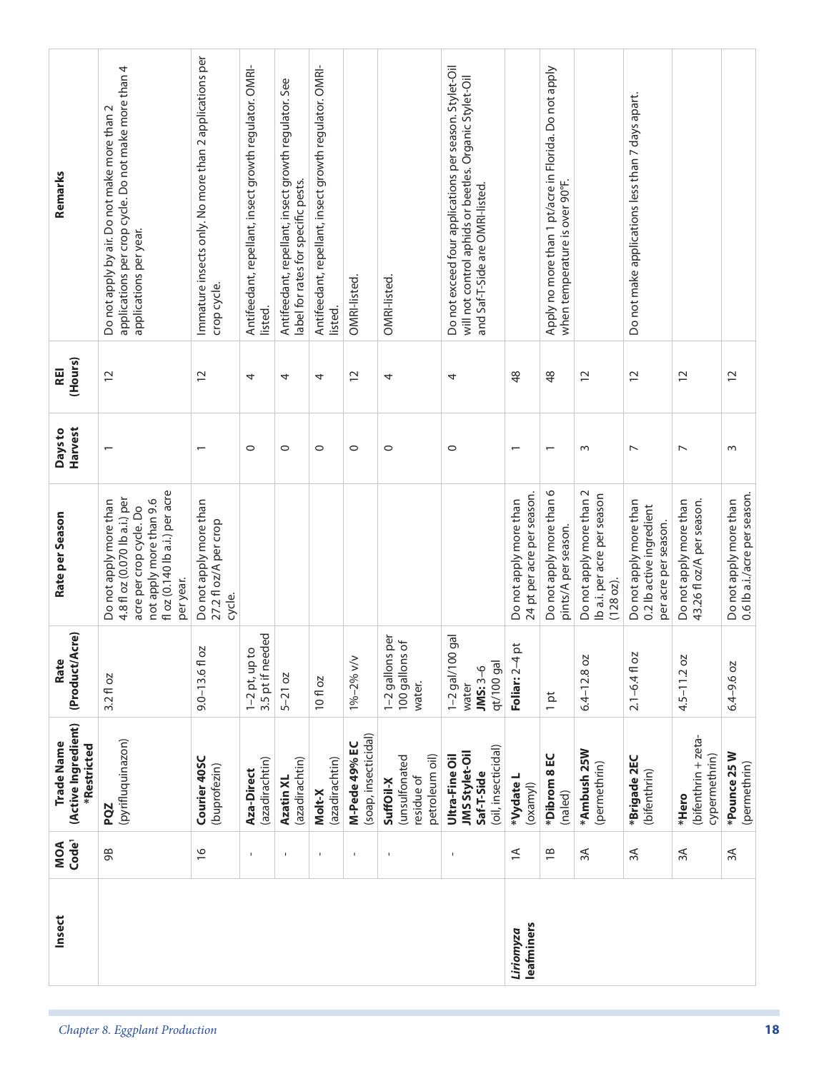| Insect                  | Code <sup>1</sup><br>MOA | (Active Ingredient)<br>Trade Name<br>*Restricted                      | cre)<br>(Product/A<br>Rate                                 | Rate per Season                                                                                                                                              | <b>Harvest</b><br>Days to | (Hours)<br>REI | Remarks                                                                                                                                             |
|-------------------------|--------------------------|-----------------------------------------------------------------------|------------------------------------------------------------|--------------------------------------------------------------------------------------------------------------------------------------------------------------|---------------------------|----------------|-----------------------------------------------------------------------------------------------------------------------------------------------------|
|                         | 98                       | (pyrifluquinazon)<br>PQZ                                              | $3.2f$ oz                                                  | fl oz (0.140 lb a.i.) per acre<br>4.8 fl oz (0.070 lb a.i.) per<br>not apply more than 9.6<br>Do not apply more than<br>acre per crop cycle. Do<br>per year. |                           | $\overline{c}$ | applications per crop cycle. Do not make more than 4<br>Do not apply by air. Do not make more than 2<br>applications per year.                      |
|                         | $\frac{\infty}{\infty}$  | Courier 40SC<br>(buprofezin)                                          | $9.0 - 13.6 f$ oz                                          | Do not apply more than<br>27.2 fl oz/A per crop<br>cycle.                                                                                                    | $\overline{\phantom{0}}$  | $\overline{C}$ | Immature insects only. No more than 2 applications per<br>crop cycle.                                                                               |
|                         | $\mathbf{I}$             | (azadirachtin)<br>Aza-Direct                                          | 3.5 pt if needed<br>$1-2$ pt, up to                        |                                                                                                                                                              | $\circ$                   | 4              | Antifeedant, repellant, insect growth regulator. OMRI-<br>listed.                                                                                   |
|                         | $\mathbf{I}$             | (azadirachtin)<br>Azatin XL                                           | $5-21$ oz                                                  |                                                                                                                                                              | $\circ$                   | 4              | Antifeedant, repellant, insect growth regulator. See<br>label for rates for specific pests.                                                         |
|                         | $\mathbf{I}$             | (azadirachtin)<br>Molt-X                                              | 10 fl oz                                                   |                                                                                                                                                              | $\circ$                   | 4              | Antifeedant, repellant, insect growth regulator. OMRI-<br>listed.                                                                                   |
|                         | $\mathbf{I}$             | (soap, insecticidal)<br>M-Pede 49% EC                                 | 1%-2% v/v                                                  |                                                                                                                                                              | $\circ$                   | $\overline{c}$ | OMRI-listed.                                                                                                                                        |
|                         | $\mathbf I$              | petroleum oil)<br>(unsulfonated<br>residue of<br>SuffOil-X            | per<br>$\sigma$<br>1-2 gallons<br>100 gallons<br>water.    |                                                                                                                                                              | $\circ$                   | 4              | OMRI-listed.                                                                                                                                        |
|                         | $\mathbf{I}$             | (oil, insecticidal)<br>JMS Stylet-Oil<br>Ultra-Fine Oil<br>Saf-T-Side | gal<br>$1 - 2$ gal/100<br>qt/100 gal<br>$JMS:3-6$<br>water |                                                                                                                                                              | $\circ$                   | 4              | Do not exceed four applications per season. Stylet-Oil<br>will not control aphids or beetles. Organic Stylet-Oil<br>and Saf-T-Side are OMRI-listed. |
| leafminers<br>Liriomyza | $\preceq$                | *Vydate L<br>(oxamy)                                                  | $\overline{\mathsf{p}}$<br>Foliar: 2-4                     | 24 pt per acre per season.<br>Do not apply more than                                                                                                         | $\overline{\phantom{0}}$  | 48             |                                                                                                                                                     |
|                         | $\overline{18}$          | *Dibrom 8 EC<br>(naled)                                               | $1$ pt                                                     | Do not apply more than 6<br>pints/A per season.                                                                                                              |                           | $\frac{8}{3}$  | Apply no more than 1 pt/acre in Florida. Do not apply<br>when temperature is over 90°F.                                                             |
|                         | 3A                       | *Ambush 25W<br>(permethrin)                                           | $6.4 - 12.8$ oz                                            | Do not apply more than 2<br>Ib a.i. per acre per season<br>(128 oz).                                                                                         | $\sim$                    | $\overline{c}$ |                                                                                                                                                     |
|                         | $\approx$                | *Brigade 2EC<br>(bifenthrin)                                          | $2.1 - 6.4$ fl oz                                          | Do not apply more than<br>0.2 lb active ingredient<br>per acre per season.                                                                                   | $\overline{ }$            | $\overline{c}$ | Do not make applications less than 7 days apart.                                                                                                    |
|                         | $\approx$                | (bifenthrin + zeta-<br>cypermethrin)<br>*Hero                         | $4.5 - 11.2$ oz                                            | 43.26 fl oz/A per season.<br>Do not apply more than                                                                                                          | $\overline{\phantom{0}}$  | $\overline{c}$ |                                                                                                                                                     |
|                         | $\approx$                | *Pounce 25 W<br>(permethrin)                                          | 6.4-9.6 oz                                                 | 0.6 lb a.i./acre per season.<br>Do not apply more than                                                                                                       | 3                         | $\overline{c}$ |                                                                                                                                                     |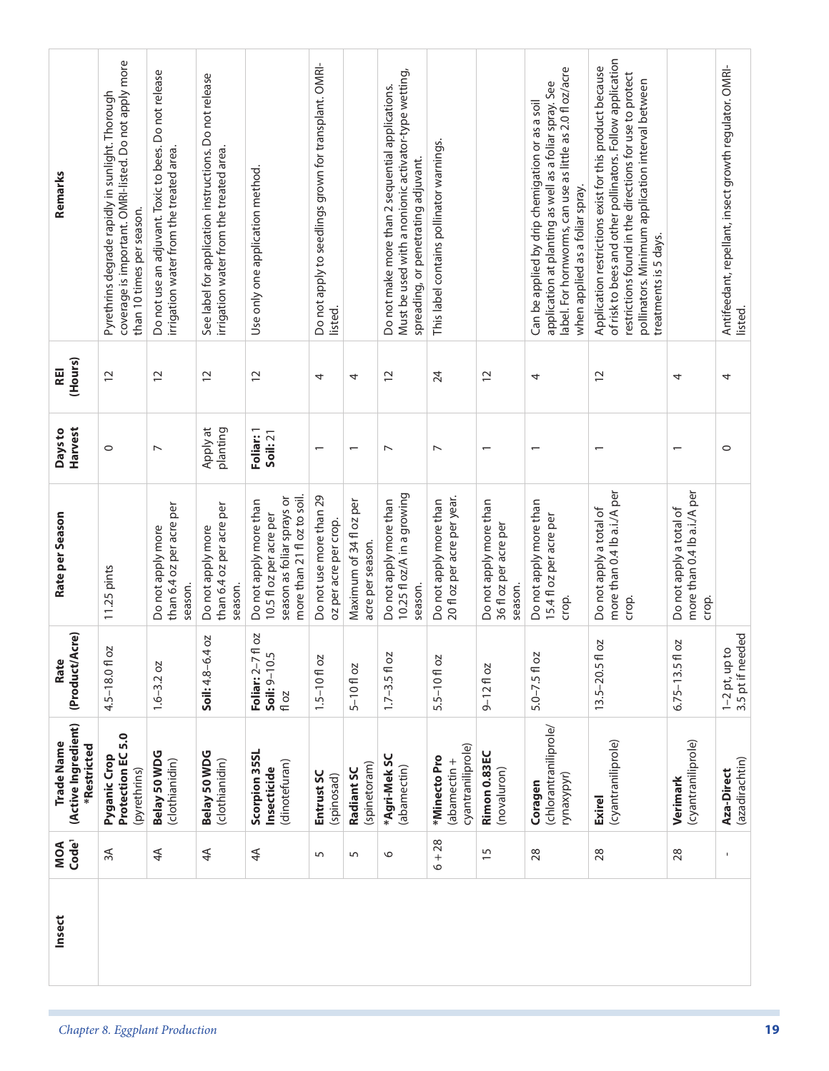| Remarks                                          | coverage is important. OMRI-listed. Do not apply more<br>Pyrethrins degrade rapidly in sunlight. Thorough<br>than 10 times per season. | Do not use an adjuvant. Toxic to bees. Do not release<br>irrigation water from the treated area. | See label for application instructions. Do not release<br>irrigation water from the treated area. | Use only one application method.                                                                               | Do not apply to seedlings grown for transplant. OMRI- |                                             | Must be used with a nonionic activator-type wetting,<br>Do not make more than 2 sequential applications.<br>spreading, or penetrating adjuvant. | This label contains pollinator warnings.              |                                                            | label. For hornworms, can use as little as 2.0 fl oz/acre<br>application at planting as well as a foliar spray. See<br>Can be applied by drip chemigation or as a soil<br>when applied as a foliar spray. | of risk to bees and other pollinators. Follow application<br>Application restrictions exist for this product because<br>restrictions found in the directions for use to protect<br>pollinators. Minimum application interval between<br>treatments is 5 days. |                                                                 | Antifeedant, repellant, insect growth regulator. OMRI- |
|--------------------------------------------------|----------------------------------------------------------------------------------------------------------------------------------------|--------------------------------------------------------------------------------------------------|---------------------------------------------------------------------------------------------------|----------------------------------------------------------------------------------------------------------------|-------------------------------------------------------|---------------------------------------------|-------------------------------------------------------------------------------------------------------------------------------------------------|-------------------------------------------------------|------------------------------------------------------------|-----------------------------------------------------------------------------------------------------------------------------------------------------------------------------------------------------------|---------------------------------------------------------------------------------------------------------------------------------------------------------------------------------------------------------------------------------------------------------------|-----------------------------------------------------------------|--------------------------------------------------------|
|                                                  |                                                                                                                                        |                                                                                                  |                                                                                                   |                                                                                                                | listed.                                               |                                             |                                                                                                                                                 |                                                       |                                                            |                                                                                                                                                                                                           |                                                                                                                                                                                                                                                               |                                                                 | listed.                                                |
| (Hours)<br>REI                                   | 12                                                                                                                                     | $\overline{c}$                                                                                   | $\overline{c}$                                                                                    | $\overline{c}$                                                                                                 | 4                                                     | 4                                           | $\overline{c}$                                                                                                                                  | 24                                                    | $\overline{c}$                                             | 4                                                                                                                                                                                                         | $\overline{c}$                                                                                                                                                                                                                                                | 4                                                               | 4                                                      |
| Harvest<br>Days to                               | $\circ$                                                                                                                                | $\overline{ }$                                                                                   | Apply at<br>planting                                                                              | Foliar: 1<br>Soil: 21                                                                                          | $\overline{\phantom{0}}$                              |                                             | $\overline{ }$                                                                                                                                  | $\overline{ }$                                        | $\overline{\phantom{0}}$                                   |                                                                                                                                                                                                           |                                                                                                                                                                                                                                                               |                                                                 | $\circ$                                                |
| Rate per Season                                  | 11.25 pints                                                                                                                            | than 6.4 oz per acre per<br>Do not apply more<br>season.                                         | than 6.4 oz per acre per<br>Do not apply more<br>season.                                          | season as foliar sprays or<br>more than 21 fl oz to soil.<br>Do not apply more than<br>10.5 fl oz per acre per | Do not use more than 29<br>oz per acre per crop.      | Maximum of 34 fl oz per<br>acre per season. | 10.25 fl oz/A in a growing<br>Do not apply more than<br>season.                                                                                 | 20 fl oz per acre per year.<br>Do not apply more than | Do not apply more than<br>36 fl oz per acre per<br>season. | Do not apply more than<br>15.4 fl oz per acre per<br>crop.                                                                                                                                                | more than 0.4 lb a.i./A per<br>Do not apply a total of<br>crop.                                                                                                                                                                                               | more than 0.4 lb a.i./A per<br>Do not apply a total of<br>crop. |                                                        |
| (Product/Acre)<br>Rate                           | <b>DZ</b><br>$4.5 - 18.0$ fl                                                                                                           | $1.6 - 3.2 oz$                                                                                   | 40z<br>Soil: $4.8 - 6$ .                                                                          | zo lj.<br>Soil: 9-10.5<br>Foliar: 2-7<br>fl oz                                                                 | $1.5 - 10f$ oz                                        | $5 - 10f$ oz                                | $1.7 - 3.5 f$ oz                                                                                                                                | $5.5 - 10f$ oz                                        | $9 - 12$ floz                                              | $5.0 - 7.5f$ oz                                                                                                                                                                                           | 2O<br>$13.5 - 20.5$ f                                                                                                                                                                                                                                         | 2O<br>$6.75 - 13.5f$                                            | 3.5 pt if needed<br>$1-2$ pt, up to                    |
| (Active Ingredient)<br>Trade Name<br>*Restricted | Protection EC 5.0<br>Pyganic Crop<br>(pyrethrins)                                                                                      | Belay 50 WDG<br>(clothianidin)                                                                   | Belay 50 WDG<br>(clothianidin)                                                                    | Scorpion 35SL<br>(dinotefuran)<br>Insecticide                                                                  | Entrust SC<br>(spinosad)                              | (spinetoram)<br>Radiant SC                  | *Agri-Mek SC<br>(abamectin)                                                                                                                     | cyantraniliprole)<br>*Minecto Pro<br>$(abamectin +$   | Rimon 0.83EC<br>(novaluron)                                | (chlorantraniliprole/<br>rynaxypyr)<br>Coragen                                                                                                                                                            | (cyantraniliprole)<br><b>Exirel</b>                                                                                                                                                                                                                           | (cyantraniliprole)<br>Verimark                                  | (azadirachtin)<br>Aza-Direct                           |
| Code <sup>1</sup><br>MOA                         | $\approx$                                                                                                                              | 4 <sup>4</sup>                                                                                   | $\overline{4}$                                                                                    | 4 <sup>4</sup>                                                                                                 | $\overline{5}$                                        | $\sqrt{2}$                                  | $\circ$                                                                                                                                         | $6 + 28$                                              | $\overline{15}$                                            | 28                                                                                                                                                                                                        | 28                                                                                                                                                                                                                                                            | 28                                                              | Ţ                                                      |
| Insect                                           |                                                                                                                                        |                                                                                                  |                                                                                                   |                                                                                                                |                                                       |                                             |                                                                                                                                                 |                                                       |                                                            |                                                                                                                                                                                                           |                                                                                                                                                                                                                                                               |                                                                 |                                                        |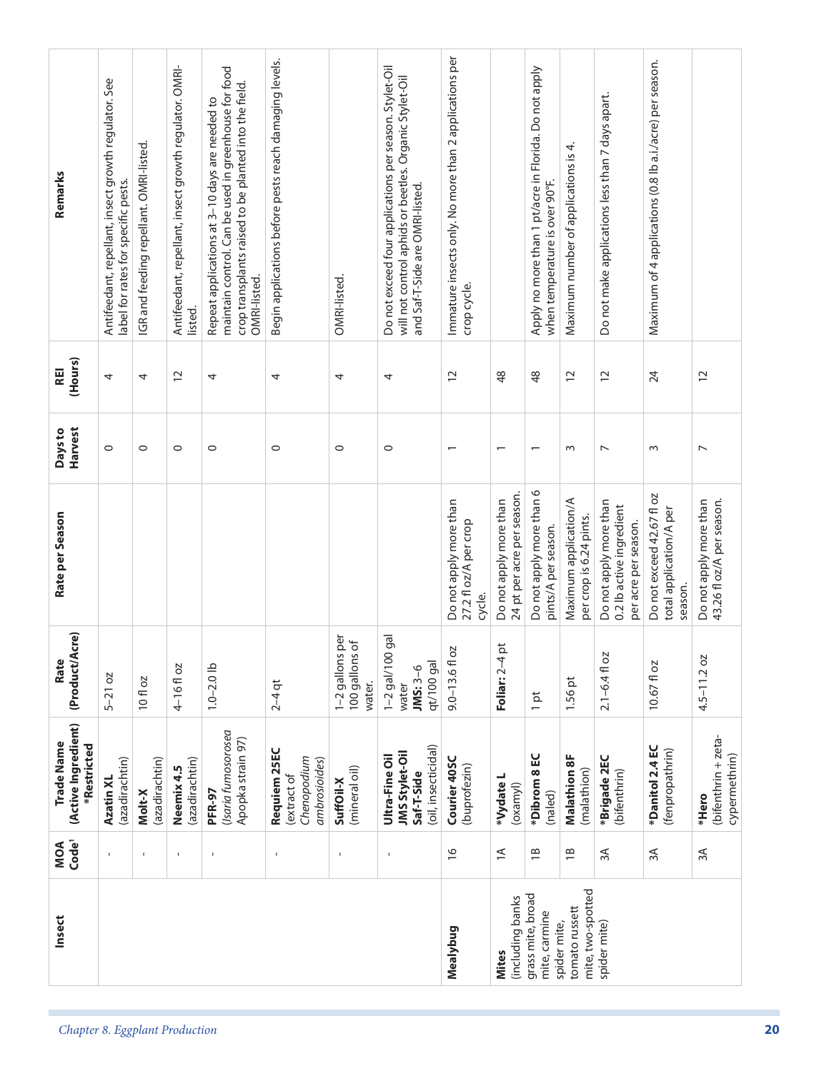| Remarks                                          | Antifeedant, repellant, insect growth regulator. See<br>label for rates for specific pests. | IGR and feeding repellant. OMRI-listed. | Antifeedant, repellant, insect growth regulator. OMRI<br>listed. | maintain control. Can be used in greenhouse for food<br>crop transplants raised to be planted into the field.<br>Repeat applications at 3-10 days are needed to<br>OMRI-listed. | Begin applications before pests reach damaging levels.      | OMRI-listed.                                          | Do not exceed four applications per season. Stylet-Oil<br>will not control aphids or beetles. Organic Stylet-Oil<br>and Saf-T-Side are OMRI-listed. | Immature insects only. No more than 2 applications per<br>crop cycle. |                                                      | Apply no more than 1 pt/acre in Florida. Do not apply<br>when temperature is over 90°F. | Maximum number of applications is 4.             | Do not make applications less than 7 days apart.                           | Maximum of 4 applications (0.8 lb a.i./acre) per season.        |                                                     |
|--------------------------------------------------|---------------------------------------------------------------------------------------------|-----------------------------------------|------------------------------------------------------------------|---------------------------------------------------------------------------------------------------------------------------------------------------------------------------------|-------------------------------------------------------------|-------------------------------------------------------|-----------------------------------------------------------------------------------------------------------------------------------------------------|-----------------------------------------------------------------------|------------------------------------------------------|-----------------------------------------------------------------------------------------|--------------------------------------------------|----------------------------------------------------------------------------|-----------------------------------------------------------------|-----------------------------------------------------|
| (Hours)<br>REI                                   | 4                                                                                           | 4                                       | $\overline{c}$                                                   | 4                                                                                                                                                                               | 4                                                           | 4                                                     | 4                                                                                                                                                   | $\overline{c}$                                                        | $\frac{8}{3}$                                        | 48                                                                                      | $\overline{c}$                                   | $\overline{c}$                                                             | 24                                                              | $\overline{c}$                                      |
| Harvest<br>Days to                               | $\circ$                                                                                     | $\circ$                                 | $\circ$                                                          | $\circ$                                                                                                                                                                         | $\circ$                                                     | $\circ$                                               | $\circ$                                                                                                                                             | $\overline{\phantom{0}}$                                              | $\overline{\phantom{0}}$                             | $\overline{\phantom{0}}$                                                                | $\sim$                                           | $\overline{ }$                                                             | S                                                               | $\overline{ }$                                      |
| Rate per Season                                  |                                                                                             |                                         |                                                                  |                                                                                                                                                                                 |                                                             |                                                       |                                                                                                                                                     | Do not apply more than<br>27.2 fl oz/A per crop<br>cycle.             | 24 pt per acre per season.<br>Do not apply more than | Do not apply more than 6<br>pints/A per season.                                         | Maximum application/A<br>per crop is 6.24 pints. | Do not apply more than<br>0.2 lb active ingredient<br>per acre per season. | Do not exceed 42.67 fl oz<br>total application/A per<br>season. | 43.26 fl oz/A per season.<br>Do not apply more than |
| cre)<br>(Product/A<br>Rate                       | $5-21$ oz                                                                                   | 10 fl oz                                | 4-16floz                                                         | $1.0 - 2.0$ lb                                                                                                                                                                  | $2 - 4$ qt                                                  | <u>ष</u><br>ठ<br>1-2 gallons<br>100 gallons<br>water. | gal<br>$1 - 2$ gal/100<br>qt/100 gal<br>$JMS:3-6$<br>water                                                                                          | ΣÇ<br>$9.0 - 13.6f$ C                                                 | $\vec{p}$<br>Foliar: 2-4                             | $1$ pt                                                                                  | 1.56 pt                                          | $2.1 - 6.4$ fl oz                                                          | 10.67 fl oz                                                     | $4.5 - 11.2$ oz                                     |
| (Active Ingredient)<br>Trade Name<br>*Restricted | (azadirachtin)<br>Azatin XL                                                                 | (azadirachtin)<br>Molt-X                | (azadirachtin)<br>Neemix 4.5                                     | (Isaria fumosorosea<br>Apopka strain 97)<br>PFR-97                                                                                                                              | Requiem 25EC<br>Chenopodium<br>ambrosioides)<br>(extract of | (mineral oil)<br>SuffOil-X                            | (oil, insecticidal)<br><b>JMS Stylet-Oil</b><br>Ultra-Fine Oil<br>Saf-T-Side                                                                        | Courier 40SC<br>(buprofezin)                                          | *Vydate L<br>(oxamy)                                 | *Dibrom 8 EC<br>(naled)                                                                 | <b>Malathion 8F</b><br>(malathion)               | *Brigade 2EC<br>(bifenthrin)                                               | *Danitol 2.4 EC<br>(fenpropathrin)                              | (bifenthrin + zeta-<br>cypermethrin)<br>*Hero       |
| MOA<br>Code <sup>1</sup>                         | $\mathbf{I}$                                                                                | $\mathbf{I}$                            | $\mathbf{I}$                                                     |                                                                                                                                                                                 | $\mathbf{I}$                                                |                                                       | $\mathbf{I}$                                                                                                                                        | $\frac{1}{2}$                                                         | $\preceq$                                            | $\overline{18}$                                                                         | $\overline{18}$                                  | 3A                                                                         | ЗÁ                                                              | $\approx$                                           |
| Insect                                           |                                                                                             |                                         |                                                                  |                                                                                                                                                                                 |                                                             |                                                       |                                                                                                                                                     | Mealybug                                                              | (including banks<br><b>Mites</b>                     | grass mite, broad<br>mite, carmine<br>spider mite,                                      | mite, two-spotted<br>tomato russett              | spider mite)                                                               |                                                                 |                                                     |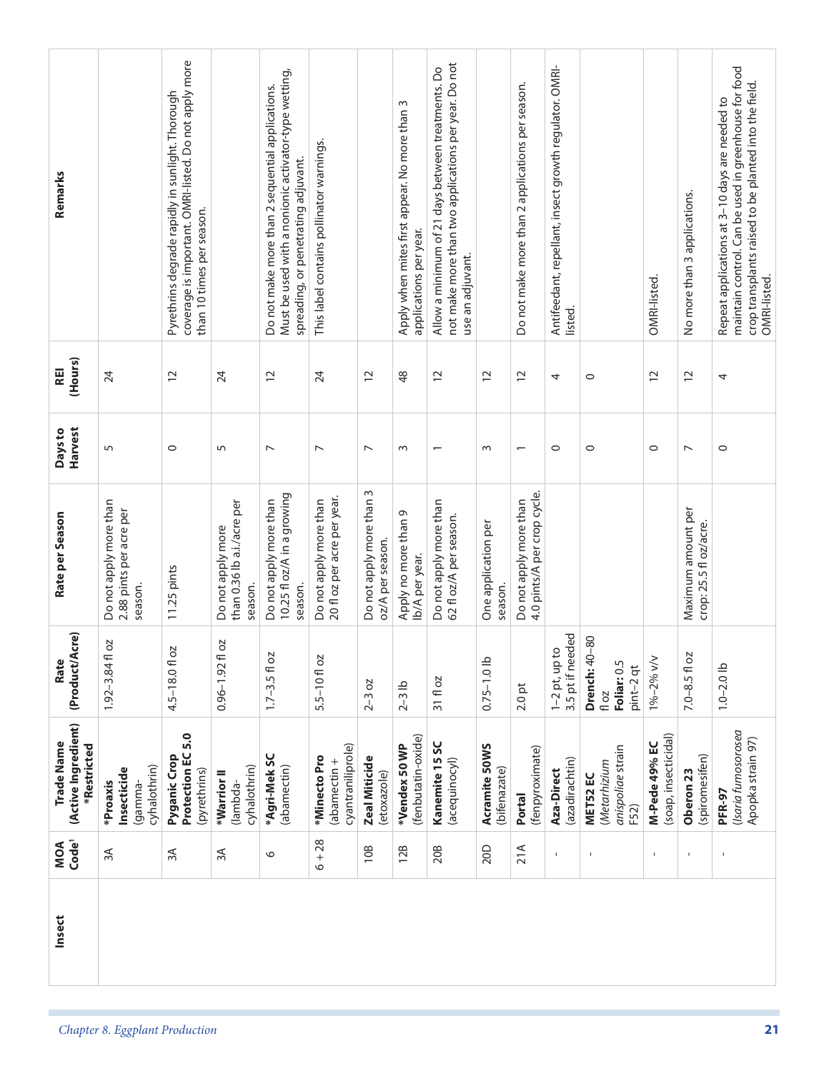|    | Insect | Code <sup>1</sup><br>MOA | (Active Ingredient)<br>Trade Name<br>*Restricted      | (Product/Acre)<br>Rate                                   | Rate per Season                                                 | Harvest<br>Days to       | (Hours)<br><b>REI</b> | Remarks                                                                                                                                                                         |
|----|--------|--------------------------|-------------------------------------------------------|----------------------------------------------------------|-----------------------------------------------------------------|--------------------------|-----------------------|---------------------------------------------------------------------------------------------------------------------------------------------------------------------------------|
|    |        | $\approx$                | cyhalothrin)<br>Insecticide<br>*Proaxis<br>(gamma-    | 20<br>$1.92 - 3.84$ fl                                   | Do not apply more than<br>2.88 pints per acre per<br>season.    | 5                        | 24                    |                                                                                                                                                                                 |
|    |        | 3A                       | Protection EC 5.0<br>Pyganic Crop<br>(pyrethrins)     | 4.5-18.01 oz                                             | 11.25 pints                                                     | $\circ$                  | $\overline{c}$        | coverage is important. OMRI-listed. Do not apply more<br>Pyrethrins degrade rapidly in sunlight. Thorough<br>than 10 times per season.                                          |
|    |        | 3A                       | cyhalothrin)<br>*Warrior II<br>(lambda-               | OZ<br>$0.96 - 1.92$ f                                    | than 0.36 lb a.i./acre per<br>Do not apply more<br>season.      | 5                        | 24                    |                                                                                                                                                                                 |
|    |        | $\circ$                  | *Agri-MekSC<br>(abamectin)                            | $1.7 - 3.5 f$ 0z                                         | 10.25 fl oz/A in a growing<br>Do not apply more than<br>season. | $\overline{ }$           | $\overline{c}$        | Must be used with a nonionic activator-type wetting,<br>Do not make more than 2 sequential applications.<br>spreading, or penetrating adjuvant.                                 |
|    |        | $6 + 28$                 | cyantraniliprole)<br>*Minecto Pro<br>abamectin +      | 5.5-10 fl oz                                             | 20 fl oz per acre per year.<br>Do not apply more than           | $\overline{ }$           | 24                    | This label contains pollinator warnings.                                                                                                                                        |
|    |        | 10B                      | <b>Zeal Miticide</b><br>(etoxazole)                   | $2 - 3 oz$                                               | Do not apply more than 3<br>oz/A per season.                    | $\overline{\phantom{0}}$ | $\overline{c}$        |                                                                                                                                                                                 |
|    |        | 12B                      | (fenbutatin-oxide)<br>*Vendex 50 WP                   | $2-3$ lb                                                 | Apply no more than 9<br>lb/A per year.                          | $\sim$                   | $\frac{8}{3}$         | Apply when mites first appear. No more than 3<br>applications per year.                                                                                                         |
|    |        | 20B                      | Kanemite 15 SC<br>(acequinocyl)                       | 31 fl oz                                                 | Do not apply more than<br>62 fl oz/A per season.                | $\overline{\phantom{0}}$ | $\overline{C}$        | not make more than two applications per year. Do not<br>Allow a minimum of 21 days between treatments. Do<br>use an adjuvant.                                                   |
|    |        | 20D                      | Acramite 50WS<br>(bifenazate)                         | $0.75 - 1.0$ lb                                          | One application per<br>season.                                  | $\sim$                   | $\overline{C}$        |                                                                                                                                                                                 |
|    |        | 21A                      | (fenpyroximate)<br>Portal                             | $2.0$ pt                                                 | 4.0 pints/A per crop cycle.<br>Do not apply more than           | $\overline{\phantom{0}}$ | $\overline{c}$        | Do not make more than 2 applications per season.                                                                                                                                |
|    |        | $\mathbf I$              | (azadirachtin)<br>Aza-Direct                          | 3.5 pt if needed<br>$1-2$ pt, up to                      |                                                                 | $\circ$                  | 4                     | Antifeedant, repellant, insect growth regulator. OMRI-<br>listed.                                                                                                               |
|    |        | Ţ                        | anispoliae strain<br>(Metarhizium<br>MET52 EC<br>F52) | $-80$<br>Drench: 40<br>Foliar: 0.5<br>pint-2 qt<br>fl oz |                                                                 | $\circ$                  | $\circ$               |                                                                                                                                                                                 |
|    |        | 1                        | (soap, insecticidal)<br>M-Pede 49% EC                 | 1%-2% v/v                                                |                                                                 | $\circ$                  | $\overline{c}$        | OMRI-listed.                                                                                                                                                                    |
|    |        | $\mathbf{I}$             | (spiromesifen)<br>Oberon <sub>23</sub>                | $7.0 - 8.5 f$ 0z                                         | Maximum amount per<br>crop: 25.5 fl oz/acre.                    | $\overline{\phantom{0}}$ | $\overline{c}$        | No more than 3 applications.                                                                                                                                                    |
| 21 |        |                          | (Isaria fumosorosea<br>Apopka strain 97)<br>PFR-97    | $1.0 - 2.0$ lb                                           |                                                                 | $\circ$                  | 4                     | maintain control. Can be used in greenhouse for food<br>crop transplants raised to be planted into the field.<br>Repeat applications at 3-10 days are needed to<br>OMRI-listed. |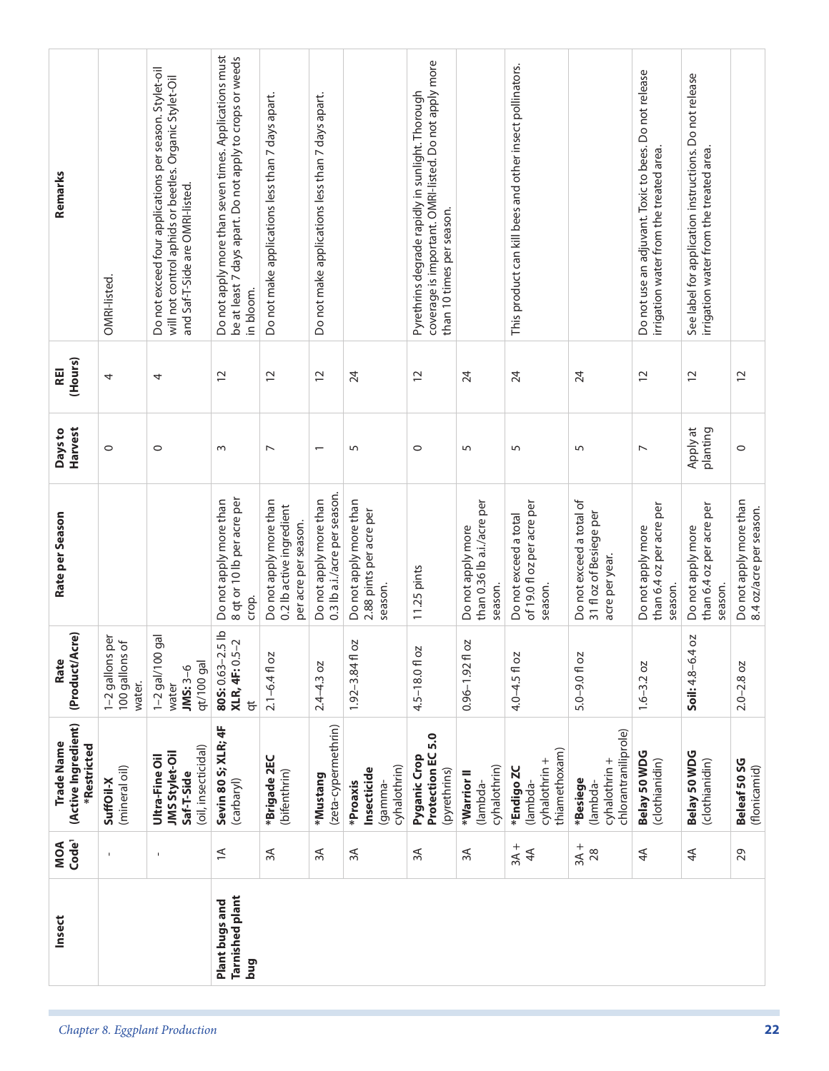| Remarks                                          |                                                         | Do not exceed four applications per season. Stylet-oil<br>will not control aphids or beetles. Organic Stylet-Oil<br>and Saf-T-Side are OMRI-listed. | Do not apply more than seven times. Applications must<br>be at least 7 days apart. Do not apply to crops or weeds | Do not make applications less than 7 days apart.                           | Do not make applications less than 7 days apart.       |                                                              | coverage is important. OMRI-listed. Do not apply more<br>Pyrethrins degrade rapidly in sunlight. Thorough<br>than 10 times per season. |                                                            | This product can kill bees and other insect pollinators.       |                                                                       | Do not use an adjuvant. Toxic to bees. Do not release<br>irrigation water from the treated area. | See label for application instructions. Do not release<br>irrigation water from the treated area. |                                                   |
|--------------------------------------------------|---------------------------------------------------------|-----------------------------------------------------------------------------------------------------------------------------------------------------|-------------------------------------------------------------------------------------------------------------------|----------------------------------------------------------------------------|--------------------------------------------------------|--------------------------------------------------------------|----------------------------------------------------------------------------------------------------------------------------------------|------------------------------------------------------------|----------------------------------------------------------------|-----------------------------------------------------------------------|--------------------------------------------------------------------------------------------------|---------------------------------------------------------------------------------------------------|---------------------------------------------------|
|                                                  | OMRI-listed.                                            |                                                                                                                                                     | in bloom.                                                                                                         |                                                                            |                                                        |                                                              |                                                                                                                                        |                                                            |                                                                |                                                                       |                                                                                                  |                                                                                                   |                                                   |
| (Hours)<br><b>REI</b>                            | 4                                                       | 4                                                                                                                                                   | $\overline{c}$                                                                                                    | $\overline{c}$                                                             | $\overline{c}$                                         | 24                                                           | $\overline{12}$                                                                                                                        | 24                                                         | 24                                                             | 24                                                                    | $\overline{c}$                                                                                   | $\overline{c}$                                                                                    | $\overline{12}$                                   |
| Harvest<br>Days to                               | $\circ$                                                 | $\circ$                                                                                                                                             | $\sim$                                                                                                            | $\overline{ }$                                                             | $\overline{\phantom{0}}$                               | 5                                                            | $\circ$                                                                                                                                | 5                                                          | 5                                                              | 5                                                                     | $\overline{ }$                                                                                   | Apply at<br>planting                                                                              | $\circ$                                           |
| Rate per Season                                  |                                                         |                                                                                                                                                     | 8 qt or 10 lb per acre per<br>Do not apply more than<br>crop.                                                     | Do not apply more than<br>0.2 lb active ingredient<br>per acre per season. | 0.3 lb a.i./acre per season.<br>Do not apply more than | Do not apply more than<br>2.88 pints per acre per<br>season. | 11.25 pints                                                                                                                            | than 0.36 lb a.i./acre per<br>Do not apply more<br>season. | of 19.0 fl oz per acre per<br>Do not exceed a total<br>season. | Do not exceed a total of<br>31 fl oz of Besiege per<br>acre per year. | than 6.4 oz per acre per<br>Do not apply more<br>season.                                         | than 6.4 oz per acre per<br>Do not apply more<br>season.                                          | Do not apply more than<br>8.4 oz/acre per season. |
| (Product/Acre)<br>Rate                           | per<br>$\sigma$<br>1-2 gallons<br>100 gallons<br>water. | gal<br>$1 - 2$ gal/100<br>qt/100 gal<br>$JMS:3-6$<br>water                                                                                          | 80S: 0.63-2.5 lb<br>XLR, 4F: 0.5-2<br>$\overline{a}$                                                              | $2.1 - 6.4$ fl oz                                                          | $2.4 - 4.3$ oz                                         | ΟZ<br>$1.92 - 3.84$ fl                                       | 4.5-18.0 fl oz                                                                                                                         | ΟZ<br>$0.96 - 1.92f$                                       | 4.0-4.5 fl oz                                                  | $5.0 - 9.0$ fl oz                                                     | $1.6 - 3.2 oz$                                                                                   | 40z<br>Soil: $4.8 - 6$ .                                                                          | $2.0 - 2.8$ oz                                    |
| (Active Ingredient)<br>Trade Name<br>*Restricted | (mineral oil)<br>SuffOil-X                              | (oil, insecticidal)<br><b>JMS Stylet-Oil</b><br>Ultra-Fine Oil<br>Saf-T-Side                                                                        | Sevin 80 S; XLR; 4F<br>(carbaryl)                                                                                 | *Brigade 2EC<br>(bifenthrin)                                               | (zeta-cypermethrin)<br>*Mustang                        | cyhalothrin)<br>Insecticide<br>*Proaxis<br>(gamma-           | Protection EC 5.0<br>Pyganic Crop<br>(pyrethrins)                                                                                      | cyhalothrin)<br>*Warrior <sup>II</sup><br>(lambda-         | thiamethoxam)<br>cyhalothrin +<br>*Endigo ZC<br>(lambda-       | chlorantraniliprole)<br>cyhalothrin +<br>*Besiege<br>(lambda-         | Belay 50 WDG<br>(clothianidin)                                                                   | Belay 50 WDG<br>(clothianidin)                                                                    | Beleaf 50 SG<br>(flonicamid)                      |
| Code <sup>1</sup><br>MOA                         | $\blacksquare$                                          | $\mathbf{I}$                                                                                                                                        | $\preceq$                                                                                                         | 3A                                                                         | 3A                                                     | 3A                                                           | $\approx$                                                                                                                              | 3A                                                         | $3A +$<br>4 <sup>4</sup>                                       | $3A + 28$                                                             | $\overline{4}$                                                                                   | $4\overline{4}$                                                                                   | 29                                                |
| Insect                                           |                                                         |                                                                                                                                                     | Tarnished plant<br>Plant bugs and<br>pug                                                                          |                                                                            |                                                        |                                                              |                                                                                                                                        |                                                            |                                                                |                                                                       |                                                                                                  |                                                                                                   |                                                   |
|                                                  |                                                         | Chapter 8. Eggplant Production                                                                                                                      |                                                                                                                   |                                                                            |                                                        |                                                              |                                                                                                                                        |                                                            |                                                                |                                                                       |                                                                                                  |                                                                                                   | 22                                                |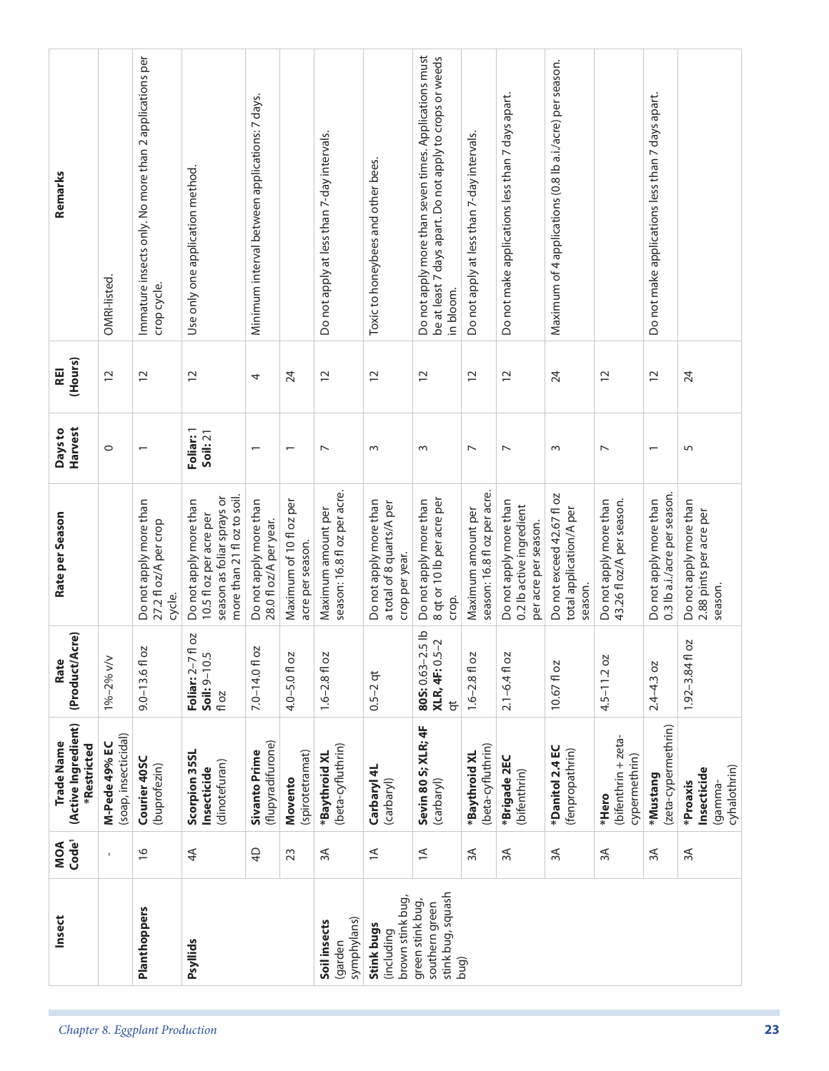| Remarks                                          | OMRI-listed.                          | Immature insects only. No more than 2 applications per<br>crop cycle. | Use only one application method.                                                                               | Minimum interval between applications: 7 days.   |                                             | Do not apply at less than 7-day intervals.         | Toxic to honeybees and other bees.                                    | Do not apply more than seven times. Applications must<br>be at least 7 days apart. Do not apply to crops or weeds<br>in bloom. | Do not apply at less than 7-day intervals.         | Do not make applications less than 7 days apart.                           | Maximum of 4 applications (0.8 lb a.i./acre) per season.        |                                                     | Do not make applications less than 7 days apart.       |                                                              |
|--------------------------------------------------|---------------------------------------|-----------------------------------------------------------------------|----------------------------------------------------------------------------------------------------------------|--------------------------------------------------|---------------------------------------------|----------------------------------------------------|-----------------------------------------------------------------------|--------------------------------------------------------------------------------------------------------------------------------|----------------------------------------------------|----------------------------------------------------------------------------|-----------------------------------------------------------------|-----------------------------------------------------|--------------------------------------------------------|--------------------------------------------------------------|
| (Hours)<br><b>REI</b>                            | $\overline{c}$                        | $\overline{c}$                                                        | $\overline{c}$                                                                                                 | 4                                                | 24                                          | $\overline{c}$                                     | $\overline{c}$                                                        | $\overline{c}$                                                                                                                 | $\overline{c}$                                     | $\overline{c}$                                                             | 24                                                              | $\overline{c}$                                      | $\overline{c}$                                         | 24                                                           |
| Harvest<br>Days to                               | $\circ$                               | $\overline{\phantom{0}}$                                              | Foliar: 1<br>Soil: 21                                                                                          | $\overline{\phantom{0}}$                         | $\overline{\phantom{0}}$                    | $\overline{ }$                                     | $\sim$                                                                | $\sim$                                                                                                                         | $\overline{ }$                                     | $\overline{ }$                                                             | S                                                               | $\overline{ }$                                      | $\overline{\phantom{0}}$                               | 5                                                            |
| Rate per Season                                  |                                       | Do not apply more than<br>27.2 fl oz/A per crop<br>cycle.             | more than 21 fl oz to soil.<br>season as foliar sprays or<br>Do not apply more than<br>10.5 fl oz per acre per | Do not apply more than<br>28.0 fl oz/A per year. | Maximum of 10 fl oz per<br>acre per season. | season: 16.8 fl oz per acre.<br>Maximum amount per | Do not apply more than<br>a total of 8 quarts/A per<br>crop per year. | 8 qt or 10 lb per acre per<br>Do not apply more than<br>crop.                                                                  | season: 16.8 fl oz per acre.<br>Maximum amount per | Do not apply more than<br>0.2 lb active ingredient<br>per acre per season. | Do not exceed 42.67 fl oz<br>total application/A per<br>season. | 43.26 fl oz/A per season.<br>Do not apply more than | 0.3 lb a.i./acre per season.<br>Do not apply more than | Do not apply more than<br>2.88 pints per acre per<br>season. |
| (Product/Acre)<br>Rate                           | 1%-2% v/v                             | $9.0 - 13.6 f$ oz                                                     | T oz<br>Soil: 9-10.5<br>Foliar: 2-7<br>fl oz                                                                   | ΟZ<br>$7.0 - 14.0$ fl                            | 4.0-5.0 fl oz                               | $1.6 - 2.8 f1$ oz                                  | $0.5 - 2$ qt                                                          | 80S: 0.63-2.5 lb<br>XLR, 4F: 0.5-2<br>$\overline{a}$                                                                           | $1.6 - 2.8 f$ oz                                   | $2.1 - 6.4$ fl oz                                                          | 10.67 fl oz                                                     | $4.5 - 11.2$ oz                                     | $2.4 - 4.3$ oz                                         | 2O<br>$1.92 - 3.84$ fl                                       |
| (Active Ingredient)<br>Trade Name<br>*Restricted | (soap, insecticidal)<br>M-Pede 49% EC | Courier 40SC<br>(buprofezin)                                          | Scorpion 35SL<br>(dinotefuran)<br>Insecticide                                                                  | (flupyradifurone)<br><b>Sivanto Prime</b>        | (spirotetramat)<br>Movento                  | (beta-cyfluthrin)<br>*Baythroid XL                 | Carbaryl 4L<br>(carbaryl)                                             | Sevin 80 S; XLR; 4F<br>(carbaryl)                                                                                              | (beta-cyfluthrin)<br>*Baythroid XL                 | *Brigade 2EC<br>(bifenthrin)                                               | *Danitol 2.4 EC<br>(fenpropathrin)                              | (bifenthrin + zeta-<br>cypermethrin)<br>*Hero       | (zeta-cypermethrin)<br>*Mustang                        | cyhalothrin)<br>Insecticide<br>*Proaxis<br>gamma-            |
| MOA<br>Code <sup>1</sup>                         | $\mathbf I$                           | $\frac{\infty}{2}$                                                    | 4 <sup>4</sup>                                                                                                 | $\overline{4}$                                   | 23                                          | $\approx$                                          | $\preceq$                                                             | $\preceq$                                                                                                                      | $\approx$                                          | 3A                                                                         | $\approx$                                                       | $\approx$                                           | $3A$                                                   | $\approx$                                                    |
| Insect                                           |                                       | Planthoppers                                                          | Psyllids                                                                                                       |                                                  |                                             | symphylans)<br>Soil insects<br>(garden             | brown stink bug,<br>Stink bugs<br>(including                          | stink bug, squash<br>green stink bug,<br>southern green                                                                        | bug)                                               |                                                                            |                                                                 |                                                     |                                                        |                                                              |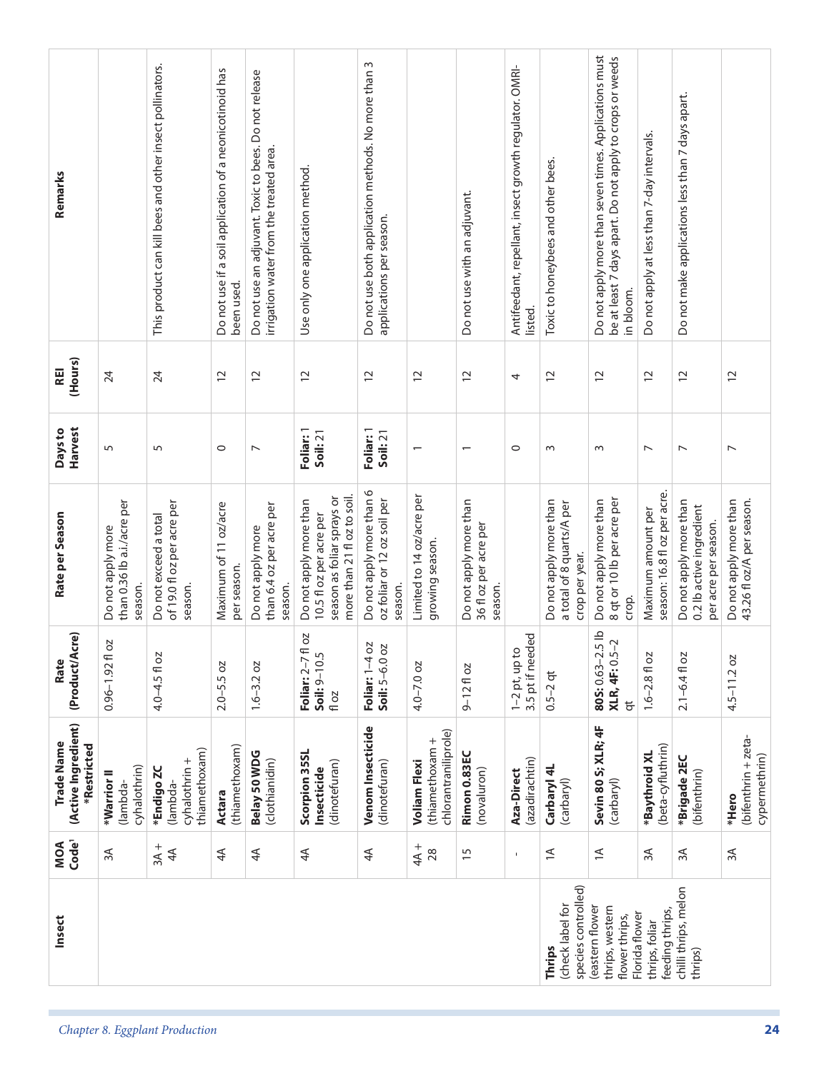| Remarks                                          |                                                            | This product can kill bees and other insect pollinators.       | Do not use if a soil application of a neonicotinoid has | Do not use an adjuvant. Toxic to bees. Do not release<br>irrigation water from the treated area. | Use only one application method                                                                                | Do not use both application methods. No more than 3<br>applications per season. |                                                                | Do not use with an adjuvant.                               | Antifeedant, repellant, insect growth regulator. OMRI- | Toxic to honeybees and other bees.                                    | Do not apply more than seven times. Applications must<br>be at least 7 days apart. Do not apply to crops or weeds | Do not apply at less than 7-day intervals.         | Do not make applications less than 7 days apart.                           |                                                     |
|--------------------------------------------------|------------------------------------------------------------|----------------------------------------------------------------|---------------------------------------------------------|--------------------------------------------------------------------------------------------------|----------------------------------------------------------------------------------------------------------------|---------------------------------------------------------------------------------|----------------------------------------------------------------|------------------------------------------------------------|--------------------------------------------------------|-----------------------------------------------------------------------|-------------------------------------------------------------------------------------------------------------------|----------------------------------------------------|----------------------------------------------------------------------------|-----------------------------------------------------|
|                                                  |                                                            |                                                                | been used.                                              |                                                                                                  |                                                                                                                |                                                                                 |                                                                |                                                            | listed.                                                |                                                                       | in bloom.                                                                                                         |                                                    |                                                                            |                                                     |
| (Hours)<br><b>REI</b>                            | 24                                                         | 24                                                             | $\overline{c}$                                          | $\overline{c}$                                                                                   | $\overline{C}$                                                                                                 | $\overline{c}$                                                                  | $\overline{c}$                                                 | $\overline{c}$                                             | 4                                                      | $\overline{c}$                                                        | $\overline{c}$                                                                                                    | $\overline{c}$                                     | $\overline{c}$                                                             | $\overline{C}$                                      |
| <b>Harvest</b><br>Days to                        | 5                                                          | 5                                                              | $\circ$                                                 | $\overline{ }$                                                                                   | Foliar: 1<br>Soil: 21                                                                                          | Foliar: 1<br>Soil: 21                                                           |                                                                | $\overline{\phantom{0}}$                                   | $\circ$                                                | $\sim$                                                                | $\sim$                                                                                                            | $\overline{ }$                                     | $\overline{ }$                                                             | $\overline{ }$                                      |
| Rate per Season                                  | than 0.36 lb a.i./acre per<br>Do not apply more<br>season. | of 19.0 fl oz per acre per<br>Do not exceed a total<br>season. | Maximum of 11 oz/acre<br>per season.                    | than 6.4 oz per acre per<br>Do not apply more<br>season.                                         | more than 21 fl oz to soil.<br>season as foliar sprays or<br>Do not apply more than<br>10.5 fl oz per acre per | Do not apply more than 6<br>oz foliar or 12 oz soil per<br>season               | Limited to 14 oz/acre per<br>growing season.                   | Do not apply more than<br>36 fl oz per acre per<br>season. |                                                        | Do not apply more than<br>a total of 8 quarts/A per<br>crop per year. | 8 qt or 10 lb per acre per<br>Do not apply more than<br>crop.                                                     | season: 16.8 fl oz per acre.<br>Maximum amount per | Do not apply more than<br>0.2 lb active ingredient<br>per acre per season. | Do not apply more than<br>43.26 fl oz/A per season. |
| (Product/Acre)<br>Rate                           | 2O<br>$0.96 - 1.92$ fl                                     | 4.0-4.5 fl oz                                                  | $2.0 - 5.5$ oz                                          | ΟZ<br>$1.6 - 3.2$                                                                                | fl oz<br>Soil: 9-10.5<br>Foliar: 2-7<br>fl oz                                                                  | SO<br>$\overline{O}$<br>Foliar: $1-4$<br>Soil: $5-6.0$                          | $4.0 - 7.0$ oz                                                 | $9 - 12$ fl oz                                             | 3.5 pt if needed<br>$1-2$ pt, up to                    | $0.5 - 2$ qt                                                          | $-5$ lb<br>XLR, 4F: 0.5-2<br>805:0.63-2<br>$\overline{a}$                                                         | $1.6 - 2.8$ fl oz                                  | $2.1 - 6.4$ fl oz                                                          | $4.5 - 11.2$ oz                                     |
| (Active Ingredient)<br>Trade Name<br>*Restricted | cyhalothrin)<br>*Warrior <sup>II</sup><br>(lambda-         | thiamethoxam)<br>cyhalothrin +<br>*Endigo ZC<br>(lambda-       | (thiamethoxam)<br><b>Actara</b>                         | Belay 50 WDG<br>(clothianidin)                                                                   | Scorpion 35SL<br>(dinotefuran)<br>Insecticide                                                                  | Venom Insecticide<br>(dinotefuran)                                              | chlorantraniliprole)<br>(thiamethoxam +<br><b>Voliam Flexi</b> | Rimon 0.83EC<br>(novaluron)                                | (azadirachtin)<br>Aza-Direct                           | Carbaryl 4L<br>(carbaryl)                                             | Sevin 80 S; XLR; 4F<br>(carbaryl)                                                                                 | (beta-cyfluthrin)<br>*Baythroid XL                 | *Brigade 2EC<br>(bifenthrin)                                               | (bifenthrin + zeta-<br>cypermethrin)<br>*Hero       |
| Code <sup>1</sup><br>MOA                         | $\approx$                                                  | $3A +$<br>4A                                                   | 4 <sup>4</sup>                                          | 4 <sup>4</sup>                                                                                   | $\overline{4}$                                                                                                 | 4 <sup>4</sup>                                                                  | $4A +$<br>28                                                   | $\overline{1}$                                             | $\mathbf{I}$                                           | $\leq$                                                                | $\preceq$                                                                                                         | $\approx$                                          | 3A                                                                         | $3A$                                                |
| Insect                                           |                                                            |                                                                |                                                         |                                                                                                  |                                                                                                                |                                                                                 |                                                                |                                                            |                                                        | species controlled)<br>(check label for<br>Thrips                     | thrips, western<br>(eastern flower<br>Florida flower<br>flower thrips,                                            | feeding thrips,<br>thrips, foliar                  | chilli thrips, melon<br>thrips)                                            |                                                     |
|                                                  |                                                            | Chapter 8. Eggplant Production                                 |                                                         |                                                                                                  |                                                                                                                |                                                                                 |                                                                |                                                            |                                                        |                                                                       |                                                                                                                   |                                                    |                                                                            | 24                                                  |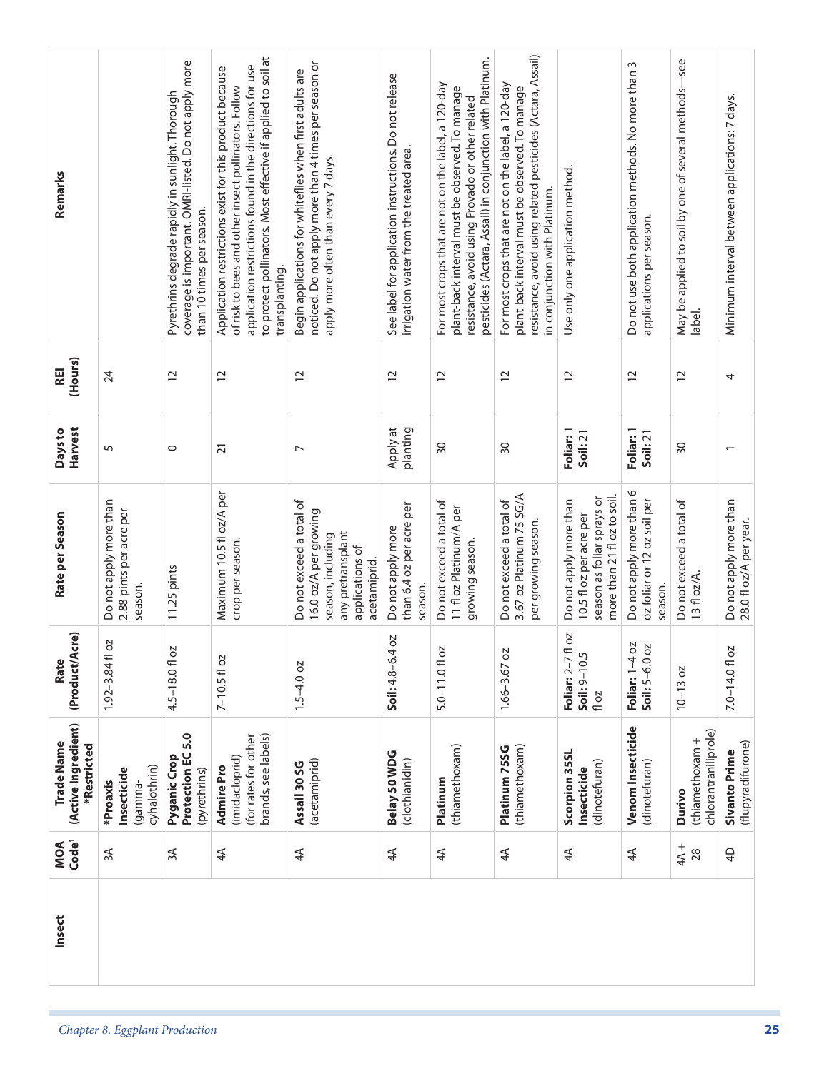| Remarks                                          |                                                              | coverage is important. OMRI-listed. Do not apply more<br>Pyrethrins degrade rapidly in sunlight. Thorough<br>than 10 times per season. | to protect pollinators. Most effective if applied to soil at<br>application restrictions found in the directions for use<br>Application restrictions exist for this product because<br>of risk to bees and other insect pollinators. Follow<br>transplanting. | noticed. Do not apply more than 4 times per season or<br>Begin applications for whiteflies when first adults are<br>apply more often than every 7 days. | See label for application instructions. Do not release<br>irrigation water from the treated area. | pesticides (Actara, Assail) in conjunction with Platinum.<br>For most crops that are not on the label, a 120-day<br>plant-back interval must be observed. To manage<br>resistance, avoid using Provado or other related | resistance, avoid using related pesticides (Actara, Assail)<br>For most crops that are not on the label, a 120-day<br>plant-back interval must be observed. To manage<br>in conjunction with Platinum. | Use only one application method                                                                                | Do not use both application methods. No more than 3<br>applications per season. | May be applied to soil by one of several methods-see<br>label. | Minimum interval between applications: 7 days.   |
|--------------------------------------------------|--------------------------------------------------------------|----------------------------------------------------------------------------------------------------------------------------------------|---------------------------------------------------------------------------------------------------------------------------------------------------------------------------------------------------------------------------------------------------------------|---------------------------------------------------------------------------------------------------------------------------------------------------------|---------------------------------------------------------------------------------------------------|-------------------------------------------------------------------------------------------------------------------------------------------------------------------------------------------------------------------------|--------------------------------------------------------------------------------------------------------------------------------------------------------------------------------------------------------|----------------------------------------------------------------------------------------------------------------|---------------------------------------------------------------------------------|----------------------------------------------------------------|--------------------------------------------------|
| (Hours)<br><b>REI</b>                            | 24                                                           | $\overline{c}$                                                                                                                         | $\overline{c}$                                                                                                                                                                                                                                                | $\overline{c}$                                                                                                                                          | $\overline{1}$                                                                                    | $\overline{c}$                                                                                                                                                                                                          | $\overline{c}$                                                                                                                                                                                         | $\overline{c}$                                                                                                 | $\overline{c}$                                                                  | $\overline{c}$                                                 | 4                                                |
| Harvest<br>Days to                               | 5                                                            | $\circ$                                                                                                                                | $\overline{2}1$                                                                                                                                                                                                                                               | $\overline{\phantom{a}}$                                                                                                                                | Apply at<br>planting                                                                              | 30                                                                                                                                                                                                                      | $\overline{50}$                                                                                                                                                                                        | Foliar: 1<br>Soil:21                                                                                           | Foliar: 1<br>Soil: 21                                                           | $\overline{50}$                                                | $\overline{\phantom{0}}$                         |
| Rate per Season                                  | Do not apply more than<br>2.88 pints per acre per<br>season. | 11.25 pints                                                                                                                            | Maximum 10.5 fl oz/A per<br>crop per season.                                                                                                                                                                                                                  | Do not exceed a total of<br>16.0 oz/A per growing<br>any pretransplant<br>season, including<br>applications of<br>acetamiprid.                          | than 6.4 oz per acre per<br>Do not apply more<br>season.                                          | Do not exceed a total of<br>11 fl oz Platinum/A per<br>growing season.                                                                                                                                                  | 3.67 oz Platinum 75 SG/A<br>Do not exceed a total of<br>per growing season.                                                                                                                            | more than 21 fl oz to soil.<br>season as foliar sprays or<br>Do not apply more than<br>10.5 fl oz per acre per | Do not apply more than 6<br>oz foliar or 12 oz soil per<br>season.              | Do not exceed a total of<br>13 fl oz/A.                        | Do not apply more than<br>28.0 fl oz/A per year. |
| <b>ACTE</b><br>(Product/A<br>Rate                | 2O<br>$1.92 - 3.84$ fl                                       | 4.5-18.0fl oz                                                                                                                          | $7 - 10.5f$ l oz                                                                                                                                                                                                                                              | $1.5 - 4.0$ oz                                                                                                                                          | 4 oz<br>Soil: $4.8 - 6$ .                                                                         | SO<br>$5.0 - 11.0$ fl                                                                                                                                                                                                   | OZ<br>$1.66 - 3.67$                                                                                                                                                                                    | ¶ oz<br>Soil: 9-10.5<br>Foliar: 2-7<br>fl oz                                                                   | ŏ<br><b>SO</b><br>Foliar: 1-4<br>Soil: 5-6.0                                    | $10 - 13 oz$                                                   | 7.0-14.01 oz                                     |
| (Active Ingredient)<br>Trade Name<br>*Restricted | cyhalothrin)<br>Insecticide<br>*Proaxis<br>lgamma-           | Protection EC 5.0<br>Pyganic Crop<br>(pyrethrins)                                                                                      | brands, see labels)<br>(for rates for other<br>(imidacloprid)<br><b>Admire Pro</b>                                                                                                                                                                            | (acetamiprid)<br>Assail 30 SG                                                                                                                           | Belay 50 WDG<br>(clothianidin)                                                                    | (thiamethoxam)<br>Platinum                                                                                                                                                                                              | (thiamethoxam)<br>Platinum 75SG                                                                                                                                                                        | Scorpion 35SL<br>(dinotefuran)<br>Insecticide                                                                  | Venom Insecticide<br>(dinotefuran)                                              | chlorantraniliprole)<br>(thiamethoxam +<br>Durivo              | (flupyradifurone)<br><b>Sivanto Prime</b>        |
| Code <sup>1</sup><br>MOA                         | $\approx$                                                    | 3A                                                                                                                                     | 4 <sup>4</sup>                                                                                                                                                                                                                                                | 4 <sup>4</sup>                                                                                                                                          | 4A                                                                                                | $4\overline{4}$                                                                                                                                                                                                         | $\overline{4}$                                                                                                                                                                                         | 4 <sup>4</sup>                                                                                                 | 4 <sup>4</sup>                                                                  | $+$ A<br>28                                                    | $\overline{4}$                                   |
| Insect                                           |                                                              |                                                                                                                                        |                                                                                                                                                                                                                                                               |                                                                                                                                                         |                                                                                                   |                                                                                                                                                                                                                         |                                                                                                                                                                                                        |                                                                                                                |                                                                                 |                                                                |                                                  |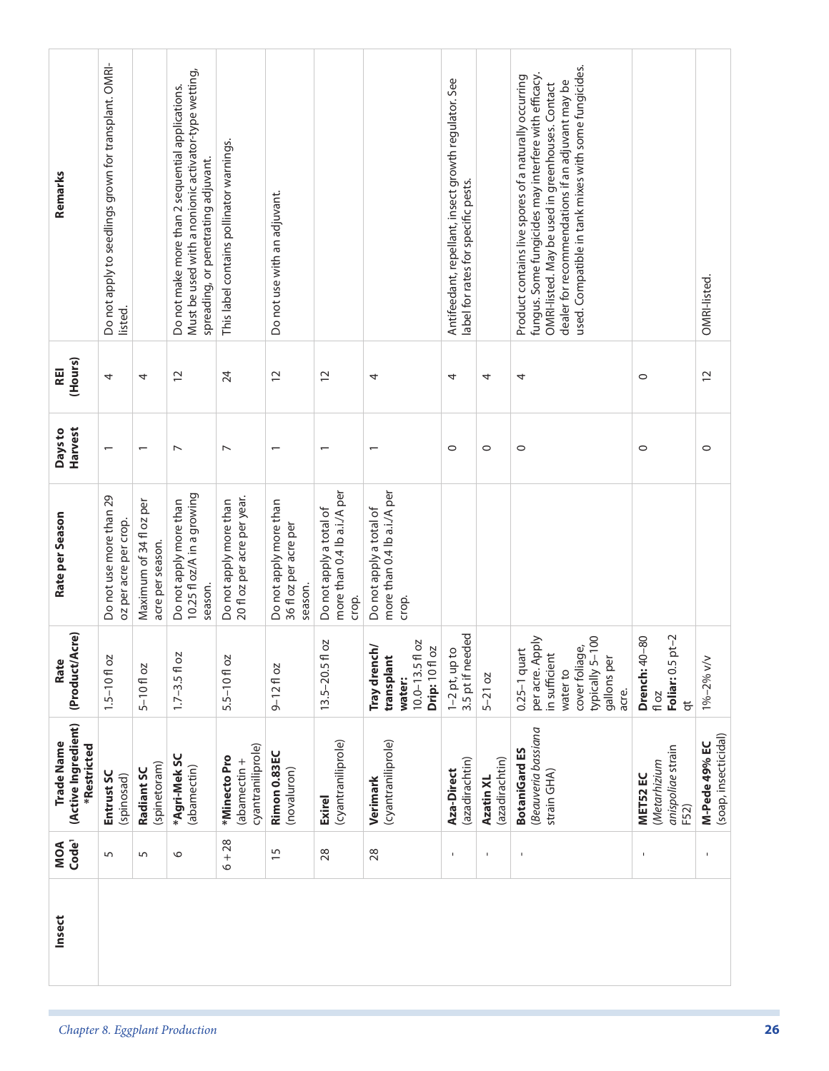| Remarks                                                 | Do not apply to seedlings grown for transplant. OMRI-<br>listed. |                                             | Must be used with a nonionic activator-type wetting,<br>Do not make more than 2 sequential applications.<br>spreading, or penetrating adjuvant. | This label contains pollinator warnings.              | Do not use with an adjuvant.                               |                                                                 |                                                                                  | Antifeedant, repellant, insect growth regulator. See<br>label for rates for specific pests. |                             | used. Compatible in tank mixes with some fungicides.<br>fungus. Some fungicides may interfere with efficacy.<br>Product contains live spores of a naturally occurring<br>dealer for recommendations if an adjuvant may be<br>OMRI-listed. May be used in greenhouses. Contact |                                                                     | OMRI-listed.                          |
|---------------------------------------------------------|------------------------------------------------------------------|---------------------------------------------|-------------------------------------------------------------------------------------------------------------------------------------------------|-------------------------------------------------------|------------------------------------------------------------|-----------------------------------------------------------------|----------------------------------------------------------------------------------|---------------------------------------------------------------------------------------------|-----------------------------|-------------------------------------------------------------------------------------------------------------------------------------------------------------------------------------------------------------------------------------------------------------------------------|---------------------------------------------------------------------|---------------------------------------|
| (Hours)<br>REI                                          | 4                                                                | 4                                           | $\overline{c}$                                                                                                                                  | 24                                                    | $\overline{c}$                                             | $\overline{c}$                                                  | 4                                                                                | 4                                                                                           | 4                           | 4                                                                                                                                                                                                                                                                             | $\circ$                                                             | $\overline{c}$                        |
| <b>Harvest</b><br>Days to                               | $\overline{\phantom{0}}$                                         | $\overline{\phantom{0}}$                    | $\overline{ }$                                                                                                                                  | $\overline{ }$                                        | $\overline{ }$                                             | $\overline{\phantom{0}}$                                        | $\overline{\phantom{0}}$                                                         | $\circ$                                                                                     | $\circ$                     | $\circ$                                                                                                                                                                                                                                                                       | $\circ$                                                             | $\circ$                               |
| Rate per Season                                         | Do not use more than 29<br>oz per acre per crop.                 | Maximum of 34 fl oz per<br>acre per season. | 10.25 fl oz/A in a growing<br>Do not apply more than<br>season.                                                                                 | 20 fl oz per acre per year.<br>Do not apply more than | Do not apply more than<br>36 fl oz per acre per<br>season. | more than 0.4 lb a.i./A per<br>Do not apply a total of<br>crop. | more than 0.4 lb a.i./A per<br>Do not apply a total of<br>crop.                  |                                                                                             |                             |                                                                                                                                                                                                                                                                               |                                                                     |                                       |
| (Product/Acre)<br>Rate                                  | $1.5 - 10f$ oz                                                   | $5 - 10f$ oz                                | $1.7 - 3.5 f$ oz                                                                                                                                | $5.5 - 10f$ oz                                        | $9 - 12$ floz                                              | SO<br>$13.5 - 20.5$ fl                                          | OZ<br>Tray drench/<br>Drip: 10 fl oz<br>transplant<br>$10.0 - 13.5$ fl<br>water: | 3.5 pt if needed<br>$1-2$ pt, up to                                                         | $5 - 21$ oz                 | $-100$<br>per acre. Apply<br>cover foliage,<br>$0.25-1$ quart<br>in sufficient<br>gallons per<br>typically 5-<br>water to<br>acre.                                                                                                                                            | Foliar: 0.5 pt-2<br><b>Drench: 40-80</b><br>fl oz<br>$\overline{a}$ | 1%-2% v/v                             |
| (Active Ingredient)<br><b>Trade Name</b><br>*Restricted | Entrust SC<br>(spinosad)                                         | (spinetoram)<br>Radiant SC                  | *Agri-MekSC<br>(abamectin)                                                                                                                      | cyantraniliprole)<br>*Minecto Pro<br>(abamectin +     | Rimon 0.83EC<br>(novaluron)                                | (cyantraniliprole)<br><b>Exirel</b>                             | (cyantraniliprole)<br>Verimark                                                   | (azadirachtin)<br>Aza-Direct                                                                | (azadirachtin)<br>Azatin XL | Beauveria bassiana<br><b>BotaniGard ES</b><br>strain GHA)                                                                                                                                                                                                                     | anispoliae strain<br>(Metarhizium<br>MET52 EC<br>F52)               | (soap, insecticidal)<br>M-Pede 49% EC |
| MOA<br>Code <sup>1</sup>                                | 5                                                                | $\sqrt{2}$                                  | $\circ$                                                                                                                                         | $6 + 28$                                              | $\overline{15}$                                            | 28                                                              | 28                                                                               | $\mathbf{I}$                                                                                | $\mathbf{I}$                | $\mathbf I$                                                                                                                                                                                                                                                                   | J.                                                                  | $\blacksquare$                        |
| Insect                                                  |                                                                  |                                             |                                                                                                                                                 |                                                       |                                                            |                                                                 |                                                                                  |                                                                                             |                             |                                                                                                                                                                                                                                                                               |                                                                     |                                       |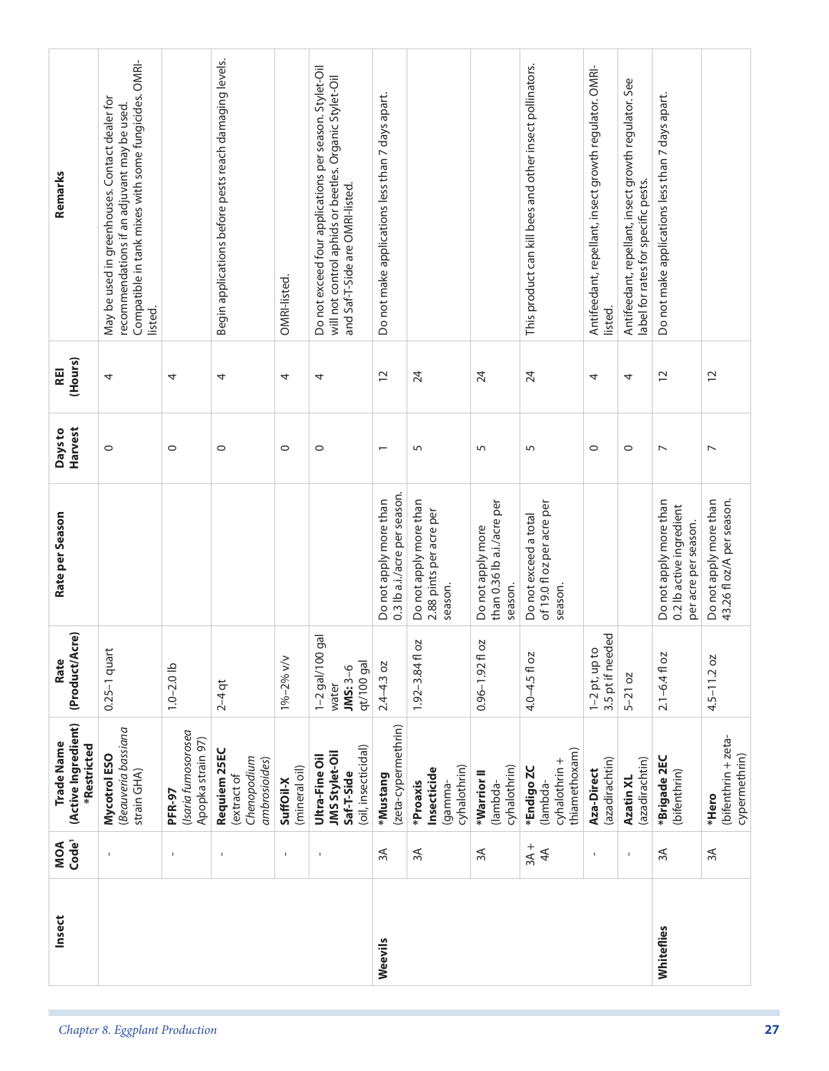| MOA<br>Code <sup>1</sup>                         | ı                                                                                                                                                                | $\mathbf I$                                        | $\overline{\phantom{a}}$                                   | $\mathbf I$                | $\mathbf I$                                                                                                                                         | 3A                                                     | 3A                                                           | $\approx$                                                  | $3A +$<br>4 <sup>4</sup>                                       | $\mathbf I$                                                       | $\mathbf{I}$                                                                                | 3A                                                                         | $\approx$                                           |
|--------------------------------------------------|------------------------------------------------------------------------------------------------------------------------------------------------------------------|----------------------------------------------------|------------------------------------------------------------|----------------------------|-----------------------------------------------------------------------------------------------------------------------------------------------------|--------------------------------------------------------|--------------------------------------------------------------|------------------------------------------------------------|----------------------------------------------------------------|-------------------------------------------------------------------|---------------------------------------------------------------------------------------------|----------------------------------------------------------------------------|-----------------------------------------------------|
|                                                  |                                                                                                                                                                  |                                                    |                                                            |                            |                                                                                                                                                     |                                                        |                                                              |                                                            |                                                                |                                                                   |                                                                                             |                                                                            |                                                     |
| (Active Ingredient)<br>Trade Name<br>*Restricted | Beauveria bassiana<br>Mycotrol ESO<br>strain GHA)                                                                                                                | (Isaria fumosorosea<br>Apopka strain 97)<br>PFR-97 | Requiem 25EC<br>Chenopodium<br>ambrosioides)<br>extract of | (mineral oil)<br>SuffOil-X | (oil, insecticidal)<br><b>JMS Stylet-Oil</b><br>Ultra-Fine Oil<br>Saf-T-Side                                                                        | (zeta-cypermethrin)<br>*Mustang                        | cyhalothrin)<br>Insecticide<br>*Proaxis<br>gamma-            | cyhalothrin)<br>*Warrior II<br>lambda-                     | thiamethoxam)<br>cyhalothrin +<br>*Endigo ZC<br>lambda-        | (azadirachtin)<br>Aza-Direct                                      | (azadirachtin)<br>Azatin XL                                                                 | *Brigade 2EC<br>(bifenthrin)                                               | (bifenthrin + zeta-<br>cypermethrin)<br>*Hero       |
| (Product/Acre)<br>Rate                           | $0.25-1$ quart                                                                                                                                                   | $1.0 - 2.0$ lb                                     | $2 - 4$ qt                                                 | 1%-2% v/v                  | $\overline{g}$<br>1-2 gal/100<br>qt/100 gal<br>$JMS:3-6$<br>water                                                                                   | $2.4 - 4.3$ oz                                         | ΟZ<br>$1.92 - 3.84$ fl                                       | ΟZ<br>$0.96 - 1.92$ fl                                     | 4.0-4.5 fl oz                                                  | 3.5 pt if needed<br>$1-2$ pt, up to                               | $5 - 21$ oz                                                                                 | $2.1 - 6.4$ fl oz                                                          | $4.5 - 11.2$ oz                                     |
| Rate per Season                                  |                                                                                                                                                                  |                                                    |                                                            |                            |                                                                                                                                                     | 0.3 lb a.i./acre per season.<br>Do not apply more than | Do not apply more than<br>2.88 pints per acre per<br>season. | than 0.36 lb a.i./acre per<br>Do not apply more<br>season. | of 19.0 fl oz per acre per<br>Do not exceed a total<br>season. |                                                                   |                                                                                             | Do not apply more than<br>0.2 lb active ingredient<br>per acre per season. | Do not apply more than<br>43.26 fl oz/A per season. |
| Harvest<br>Days to                               | $\circ$                                                                                                                                                          | $\circ$                                            | $\circ$                                                    | $\circ$                    | $\circ$                                                                                                                                             | $\overline{\phantom{0}}$                               | 5                                                            | 5                                                          | 5                                                              | $\circ$                                                           | $\circ$                                                                                     | $\overline{\phantom{0}}$                                                   | $\overline{ }$                                      |
| (Hours)<br><b>REI</b>                            | 4                                                                                                                                                                | 4                                                  | 4                                                          | 4                          | 4                                                                                                                                                   | $\overline{c}$                                         | 24                                                           | 24                                                         | 24                                                             | 4                                                                 | 4                                                                                           | $\overline{c}$                                                             | $\overline{C}$                                      |
| Remarks                                          | Compatible in tank mixes with some fungicides. OMRI-<br>May be used in greenhouses. Contact dealer for<br>recommendations if an adjuvant may be used.<br>listed. |                                                    | Begin applications before pests reach damaging levels.     | OMRI-listed                | Do not exceed four applications per season. Stylet-Oil<br>will not control aphids or beetles. Organic Stylet-Oil<br>and Saf-T-Side are OMRI-listed. | Do not make applications less than 7 days apart.       |                                                              |                                                            | This product can kill bees and other insect pollinators.       | Antifeedant, repellant, insect growth regulator. OMRI-<br>listed. | Antifeedant, repellant, insect growth regulator. See<br>label for rates for specific pests. | Do not make applications less than 7 days apart.                           |                                                     |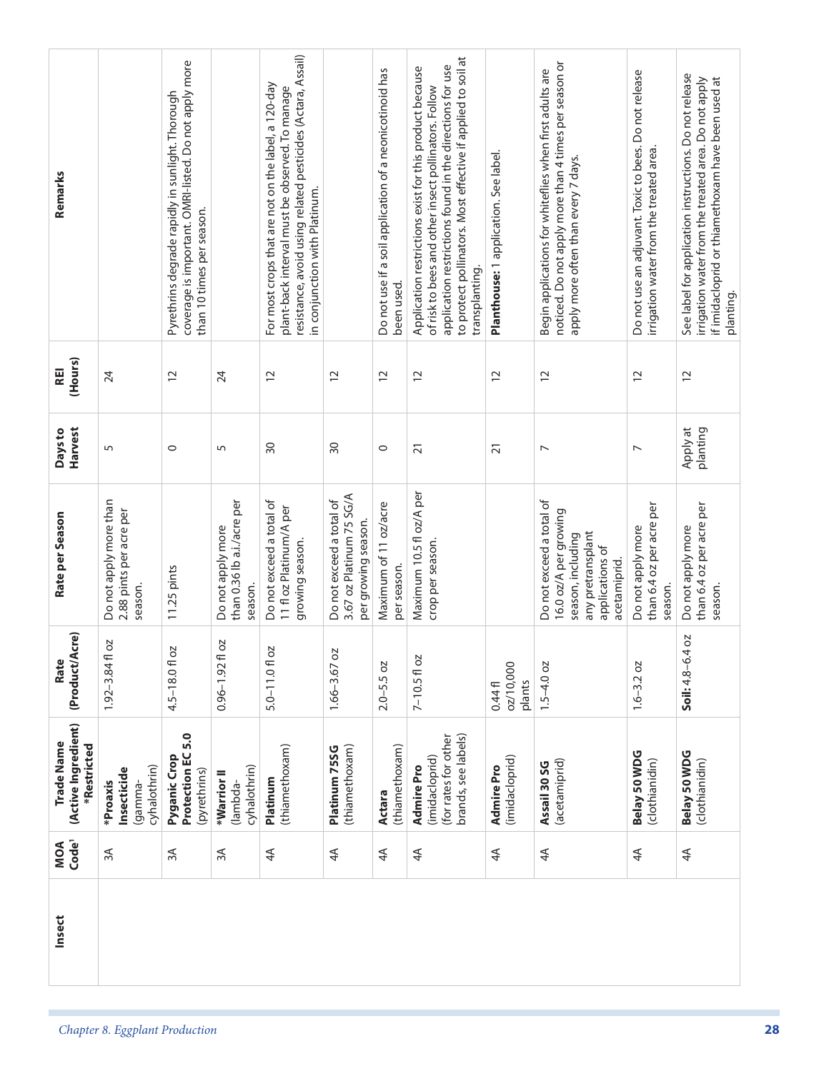| Remarks                                          |                                                              | coverage is important. OMRI-listed. Do not apply more<br>Pyrethrins degrade rapidly in sunlight. Thorough<br>than 10 times per season. |                                                            | resistance, avoid using related pesticides (Actara, Assail)<br>For most crops that are not on the label, a 120-day<br>plant-back interval must be observed. To manage<br>in conjunction with Platinum. |                                                                             | Do not use if a soil application of a neonicotinoid has<br>been used. | to protect pollinators. Most effective if applied to soil at<br>application restrictions found in the directions for use<br>Application restrictions exist for this product because<br>of risk to bees and other insect pollinators. Follow<br>transplanting. | Planthouse: 1 application. See label. | noticed. Do not apply more than 4 times per season or<br>Begin applications for whiteflies when first adults are<br>apply more often than every 7 days. | Do not use an adjuvant. Toxic to bees. Do not release<br>irrigation water from the treated area. | See label for application instructions. Do not release<br>irrigation water from the treated area. Do not apply<br>if imidacloprid or thiamethoxam have been used at<br>planting. |
|--------------------------------------------------|--------------------------------------------------------------|----------------------------------------------------------------------------------------------------------------------------------------|------------------------------------------------------------|--------------------------------------------------------------------------------------------------------------------------------------------------------------------------------------------------------|-----------------------------------------------------------------------------|-----------------------------------------------------------------------|---------------------------------------------------------------------------------------------------------------------------------------------------------------------------------------------------------------------------------------------------------------|---------------------------------------|---------------------------------------------------------------------------------------------------------------------------------------------------------|--------------------------------------------------------------------------------------------------|----------------------------------------------------------------------------------------------------------------------------------------------------------------------------------|
| (Hours)<br><b>REI</b>                            | 24                                                           | $\overline{c}$                                                                                                                         | 24                                                         | $\overline{C}$                                                                                                                                                                                         | $\overline{c}$                                                              | $\overline{c}$                                                        | $\overline{c}$                                                                                                                                                                                                                                                | $\overline{c}$                        | $\overline{c}$                                                                                                                                          | $\overline{c}$                                                                                   | $\overline{C}$                                                                                                                                                                   |
| Harvest<br>Days to                               | 5                                                            | $\circ$                                                                                                                                | 5                                                          | $\overline{50}$                                                                                                                                                                                        | $\overline{30}$                                                             | $\circ$                                                               | $\overline{21}$                                                                                                                                                                                                                                               | $\overline{21}$                       | $\overline{\phantom{0}}$                                                                                                                                | $\overline{ }$                                                                                   | Apply at<br>planting                                                                                                                                                             |
| Rate per Season                                  | Do not apply more than<br>2.88 pints per acre per<br>season. | 11.25 pints                                                                                                                            | than 0.36 lb a.i./acre per<br>Do not apply more<br>season. | Do not exceed a total of<br>11 fl oz Platinum/A per<br>growing season.                                                                                                                                 | 3.67 oz Platinum 75 SG/A<br>Do not exceed a total of<br>per growing season. | Maximum of 11 oz/acre<br>per season.                                  | Maximum 10.5 fl oz/A per<br>crop per season.                                                                                                                                                                                                                  |                                       | Do not exceed a total of<br>16.0 oz/A per growing<br>any pretransplant<br>season, including<br>applications of<br>acetamiprid.                          | than 6.4 oz per acre per<br>Do not apply more<br>season.                                         | than 6.4 oz per acre per<br>Do not apply more<br>season.                                                                                                                         |
| Cre)<br>(Product/A<br>Rate                       | 2O<br>$1.92 - 3.84$ fl                                       | 4.5-18.0fl oz                                                                                                                          | <b>DZ</b><br>$0.96 - 1.92f$                                | 5.0-11.01 oz                                                                                                                                                                                           | ΟZ<br>$1.66 - 3.67$                                                         | $2.0 - 5.5$ oz                                                        | $7 - 10.5f$ oz                                                                                                                                                                                                                                                | 02/10,000<br>plants<br>0.44f          | $1.5 - 4.0$ oz                                                                                                                                          | $1.6 - 3.2 oz$                                                                                   | 4 0 Z<br>Soil: $4.8 - 6.$                                                                                                                                                        |
| (Active Ingredient)<br>Trade Name<br>*Restricted | cyhalothrin)<br>Insecticide<br>*Proaxis<br>(gamma-           | Protection EC 5.0<br>Pyganic Crop<br>(pyrethrins)                                                                                      | cyhalothrin)<br>*Warrior II<br>(lambda-                    | (thiamethoxam)<br>Platinum                                                                                                                                                                             | (thiamethoxam)<br>Platinum 75SG                                             | (thiamethoxam)<br>Actara                                              | brands, see labels)<br>(for rates for other<br>(imidacloprid)<br><b>Admire Pro</b>                                                                                                                                                                            | (imidacloprid)<br><b>Admire Pro</b>   | (acetamiprid)<br>Assail 30 SG                                                                                                                           | Belay 50 WDG<br>(clothianidin)                                                                   | Belay 50 WDG<br>(clothianidin)                                                                                                                                                   |
| Code <sup>1</sup><br>MOA                         | 3A                                                           | 3A                                                                                                                                     | $\approx$                                                  | 4 <sup>4</sup>                                                                                                                                                                                         | 4 <sup>4</sup>                                                              | $4\overline{4}$                                                       | $\overline{4}$                                                                                                                                                                                                                                                | 4 <sup>4</sup>                        | 4 <sup>4</sup>                                                                                                                                          | 4 <sup>4</sup>                                                                                   | $4\overline{4}$                                                                                                                                                                  |
| Insect                                           |                                                              |                                                                                                                                        |                                                            |                                                                                                                                                                                                        |                                                                             |                                                                       |                                                                                                                                                                                                                                                               |                                       |                                                                                                                                                         |                                                                                                  |                                                                                                                                                                                  |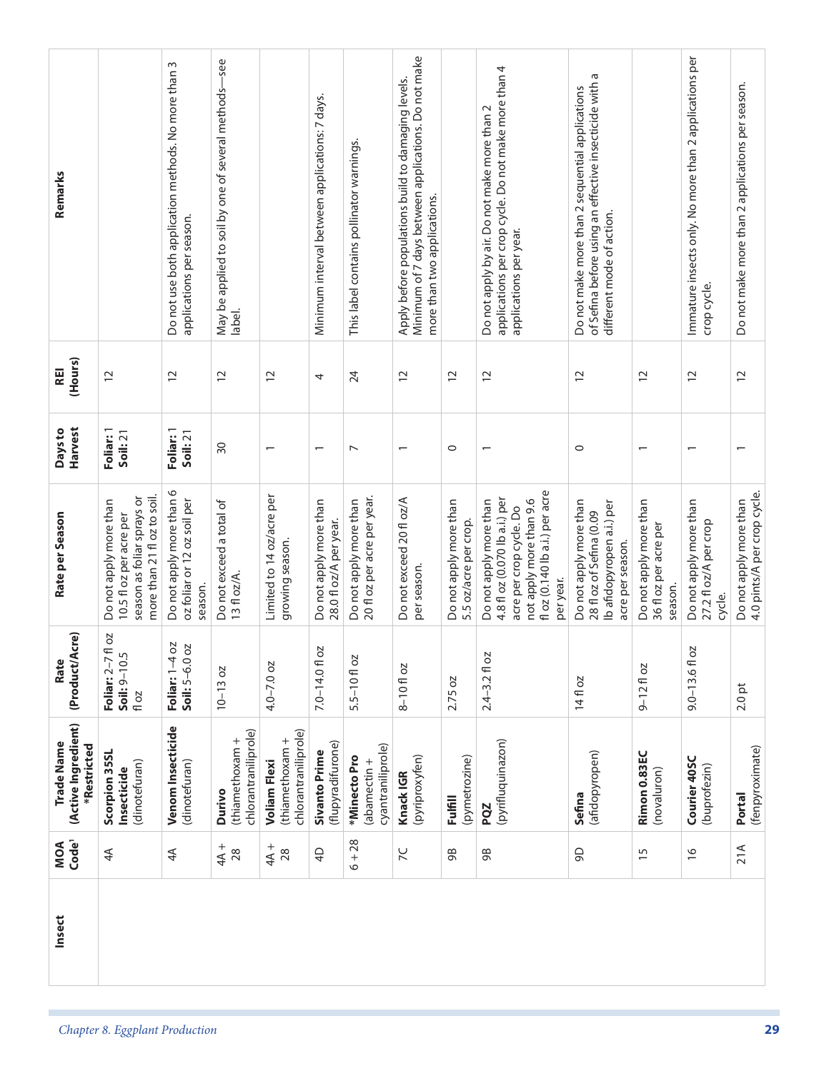| Remarks                                                 |                                                                                                                | Do not use both application methods. No more than 3<br>applications per season. | -see<br>May be applied to soil by one of several methods-<br>label. |                                                                | Minimum interval between applications: 7 days.   | This label contains pollinator warnings.              | Minimum of 7 days between applications. Do not make<br>Apply before populations build to damaging levels.<br>more than two applications. |                                                 | applications per crop cycle. Do not make more than 4<br>Do not apply by air. Do not make more than 2<br>applications per year.                               | of Sefina before using an effective insecticide with a<br>Do not make more than 2 sequential applications<br>different mode of action. |                                                            | Immature insects only. No more than 2 applications per<br>crop cycle. | Do not make more than 2 applications per season.      |
|---------------------------------------------------------|----------------------------------------------------------------------------------------------------------------|---------------------------------------------------------------------------------|---------------------------------------------------------------------|----------------------------------------------------------------|--------------------------------------------------|-------------------------------------------------------|------------------------------------------------------------------------------------------------------------------------------------------|-------------------------------------------------|--------------------------------------------------------------------------------------------------------------------------------------------------------------|----------------------------------------------------------------------------------------------------------------------------------------|------------------------------------------------------------|-----------------------------------------------------------------------|-------------------------------------------------------|
| (Hours)<br>REI                                          | $\tilde{c}$                                                                                                    | $\overline{c}$                                                                  | $\overline{c}$                                                      | $\overline{c}$                                                 | 4                                                | 24                                                    | $\overline{c}$                                                                                                                           | $\overline{c}$                                  | $\overline{c}$                                                                                                                                               | $\overline{c}$                                                                                                                         | $\overline{c}$                                             | $\overline{c}$                                                        | $\overline{12}$                                       |
| <b>Harvest</b><br>Days to                               | Foliar: 1<br>Soil:21                                                                                           | Foliar: 1<br>Soil: 21                                                           | $\overline{30}$                                                     | $\overline{\phantom{0}}$                                       | $\overline{\phantom{0}}$                         | $\overline{ }$                                        | $\overline{\phantom{0}}$                                                                                                                 | $\circ$                                         |                                                                                                                                                              | $\circ$                                                                                                                                | $\overline{\phantom{0}}$                                   |                                                                       | $\overline{\phantom{0}}$                              |
| Rate per Season                                         | more than 21 fl oz to soil.<br>season as foliar sprays or<br>Do not apply more than<br>10.5 fl oz per acre per | Do not apply more than 6<br>oz foliar or 12 oz soil per<br>season.              | Do not exceed a total of<br>13 fl oz/A.                             | Limited to 14 oz/acre per<br>growing season.                   | Do not apply more than<br>28.0 fl oz/A per year. | 20 fl oz per acre per year.<br>Do not apply more than | Do not exceed 20 fl oz/A<br>per season.                                                                                                  | Do not apply more than<br>5.5 oz/acre per crop. | fl oz (0.140 lb a.i.) per acre<br>4.8 fl oz (0.070 lb a.i.) per<br>Do not apply more than<br>not apply more than 9.6<br>acre per crop cycle. Do<br>per year. | Do not apply more than<br>Ib afidopyropen a.i.) per<br>28 fl oz of Sefina (0.09<br>acre per season.                                    | Do not apply more than<br>36 fl oz per acre per<br>season. | Do not apply more than<br>27.2 fl oz/A per crop<br>cycle.             | 4.0 pints/A per crop cycle.<br>Do not apply more than |
| (Product/Acre)<br>Rate                                  | T oz<br>Soil: 9-10.5<br>Foliar: 2-7<br>fl oz                                                                   | SO<br><b>DZ</b><br>Foliar: 1-4<br>$Soli: 5-6.0$                                 | $10 - 13 oz$                                                        | $4.0 - 7.0$ oz                                                 | 7.0-14.01 oz                                     | $5.5 - 10f$ oz                                        | $8 - 10f$ oz                                                                                                                             | 2.75 oz                                         | $2.4 - 3.2$ fl oz                                                                                                                                            | 14fl oz                                                                                                                                | $9 - 12$ floz                                              | 9.0-13.6fl oz                                                         | $2.0$ pt                                              |
| (Active Ingredient)<br><b>Trade Name</b><br>*Restricted | Scorpion 35SL<br>(dinotefuran)<br>Insecticide                                                                  | Venom Insecticide<br>(dinotefuran)                                              | chlorantraniliprole)<br>(thiamethoxam +<br>Durivo                   | chlorantraniliprole)<br>(thiamethoxam +<br><b>Voliam Flexi</b> | (flupyradifurone)<br>Sivanto Prime               | cyantraniliprole)<br>*Minecto Pro<br>(abamectin +     | (pyriproxyfen)<br>Knack IGR                                                                                                              | (pymetrozine)<br><b>Fulfill</b>                 | (pyrifluquinazon)<br>PQZ                                                                                                                                     | (afidopyropen)<br>Sefina                                                                                                               | Rimon 0.83EC<br>(novaluron)                                | Courier 40SC<br>(buprofezin)                                          | (fenpyroximate)<br>Portal                             |
| MOA<br>Code <sup>1</sup>                                | 4 <sup>4</sup>                                                                                                 | 4 <sup>4</sup>                                                                  | $+$ A+<br>28                                                        | $+$ A+<br>28                                                   | $\overline{4}$                                   | $6 + 28$                                              | $\overline{\chi}$                                                                                                                        | 98                                              | 98                                                                                                                                                           | 9D                                                                                                                                     | $\overline{15}$                                            | $\frac{9}{2}$                                                         | 21A                                                   |
| Insect                                                  |                                                                                                                |                                                                                 |                                                                     |                                                                |                                                  |                                                       |                                                                                                                                          |                                                 |                                                                                                                                                              |                                                                                                                                        |                                                            |                                                                       |                                                       |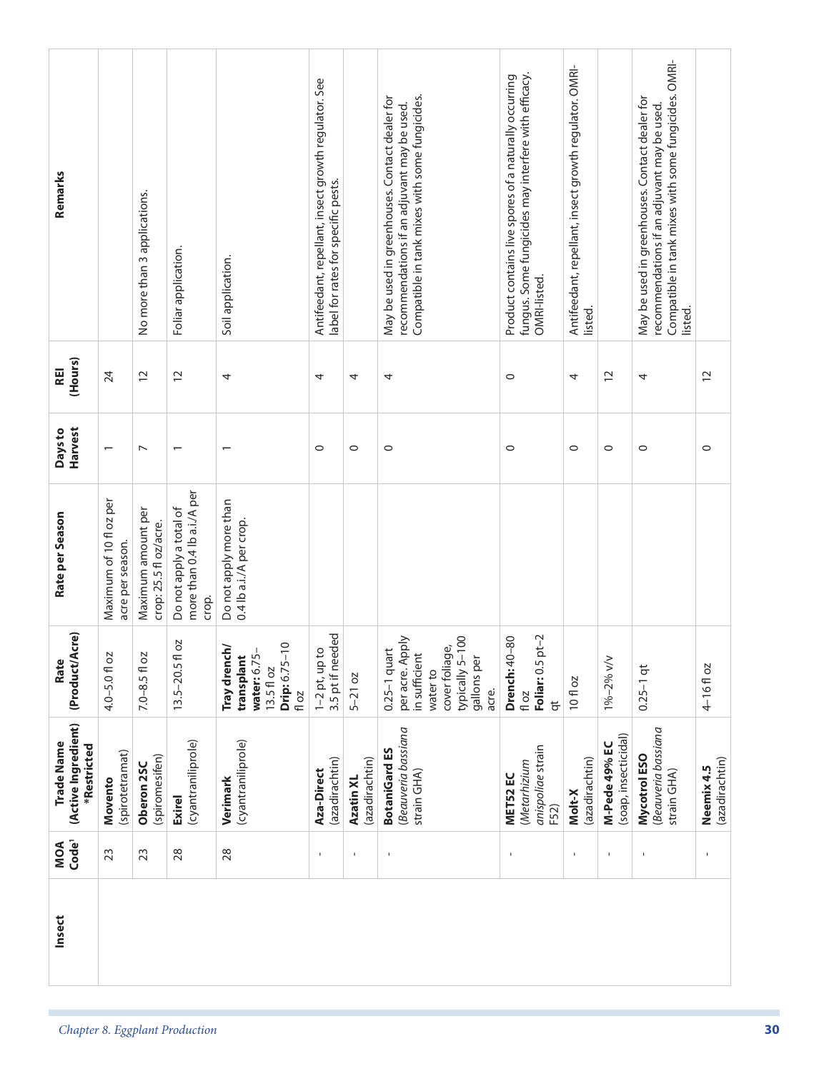| Remarks                                          |                                             | No more than 3 applications.                 | Foliar application.                                             | Soil application.                                                                                       | Antifeedant, repellant, insect growth regulator. See<br>label for rates for specific pests. |                             | May be used in greenhouses. Contact dealer for<br>Compatible in tank mixes with some fungicides.<br>recommendations if an adjuvant may be used. | fungus. Some fungicides may interfere with efficacy.<br>Product contains live spores of a naturally occurring<br>OMRI-listed. | Antifeedant, repellant, insect growth regulator. OMRI-<br>listed. |                                       | Compatible in tank mixes with some fungicides. OMRI-<br>May be used in greenhouses. Contact dealer for<br>recommendations if an adjuvant may be used.<br>listed. |                              |
|--------------------------------------------------|---------------------------------------------|----------------------------------------------|-----------------------------------------------------------------|---------------------------------------------------------------------------------------------------------|---------------------------------------------------------------------------------------------|-----------------------------|-------------------------------------------------------------------------------------------------------------------------------------------------|-------------------------------------------------------------------------------------------------------------------------------|-------------------------------------------------------------------|---------------------------------------|------------------------------------------------------------------------------------------------------------------------------------------------------------------|------------------------------|
| (Hours)<br>REI                                   | 24                                          | $\overline{c}$                               | $\overline{c}$                                                  | 4                                                                                                       | 4                                                                                           | 4                           | 4                                                                                                                                               | $\circ$                                                                                                                       | 4                                                                 | $\overline{c}$                        | 4                                                                                                                                                                | $\overline{c}$               |
| Harvest<br>Days to                               | $\overline{\phantom{0}}$                    | $\overline{ }$                               | $\overline{\phantom{0}}$                                        |                                                                                                         | $\circ$                                                                                     | $\circ$                     | $\circ$                                                                                                                                         | $\circ$                                                                                                                       | $\circ$                                                           | $\circ$                               | $\circ$                                                                                                                                                          | $\circ$                      |
| Rate per Season                                  | Maximum of 10 fl oz per<br>acre per season. | Maximum amount per<br>crop: 25.5 fl oz/acre. | more than 0.4 lb a.i./A per<br>Do not apply a total of<br>crop. | Do not apply more than<br>0.4 lb a.i./A per crop.                                                       |                                                                                             |                             |                                                                                                                                                 |                                                                                                                               |                                                                   |                                       |                                                                                                                                                                  |                              |
| (Product/Acre)<br>Rate                           | 4.0-5.0 fl oz                               | $7.0 - 8.5$ fl oz                            | SO<br>$13.5 - 20.5f$                                            | $\frac{0}{1}$<br>Tray drench/<br>transplant<br>water: 6.75<br><b>Drip:</b> 6.75-<br>13.5 fl oz<br>fl oz | 3.5 pt if needed<br>$1-2$ pt, up to                                                         | $5-21$ oz                   | $-100$<br>per acre. Apply<br>cover foliage,<br>$0.25-1$ quart<br>in sufficient<br>gallons per<br>typically 5-<br>water to<br>acre.              | Foliar: 0.5 pt-2<br><b>Drench: 40-80</b><br>fl oz<br>$\overline{a}$                                                           | 10 fl oz                                                          | 1%-2% v/v                             | $0.25 - 1$ qt                                                                                                                                                    | 4-16floz                     |
| (Active Ingredient)<br>Trade Name<br>*Restricted | (spirotetramat)<br>Movento                  | (spiromesifen)<br>Oberon 2SC                 | (cyantraniliprole)<br><b>Exirel</b>                             | (cyantraniliprole)<br>Verimark                                                                          | (azadirachtin)<br>Aza-Direct                                                                | (azadirachtin)<br>Azatin XL | Beauveria bassiana<br><b>BotaniGard ES</b><br>strain GHA)                                                                                       | anispoliae strain<br>(Metarhizium<br>MET52 EC<br>F52)                                                                         | (azadirachtin)<br>Molt-X                                          | (soap, insecticidal)<br>M-Pede 49% EC | Beauveria bassiana<br>Mycotrol ESO<br>strain GHA)                                                                                                                | (azadirachtin)<br>Neemix 4.5 |
| MOA<br>Code <sup>1</sup>                         | 23                                          | 23                                           | 28                                                              | 28                                                                                                      | $\mathbf I$                                                                                 | $\mathbf{I}$                |                                                                                                                                                 | $\mathbf{I}$                                                                                                                  | $\mathbf{I}$                                                      | $\mathbf{I}$                          | $\,$                                                                                                                                                             | $\mathbf{I}$                 |
| Insect                                           |                                             |                                              |                                                                 |                                                                                                         |                                                                                             |                             |                                                                                                                                                 |                                                                                                                               |                                                                   |                                       |                                                                                                                                                                  |                              |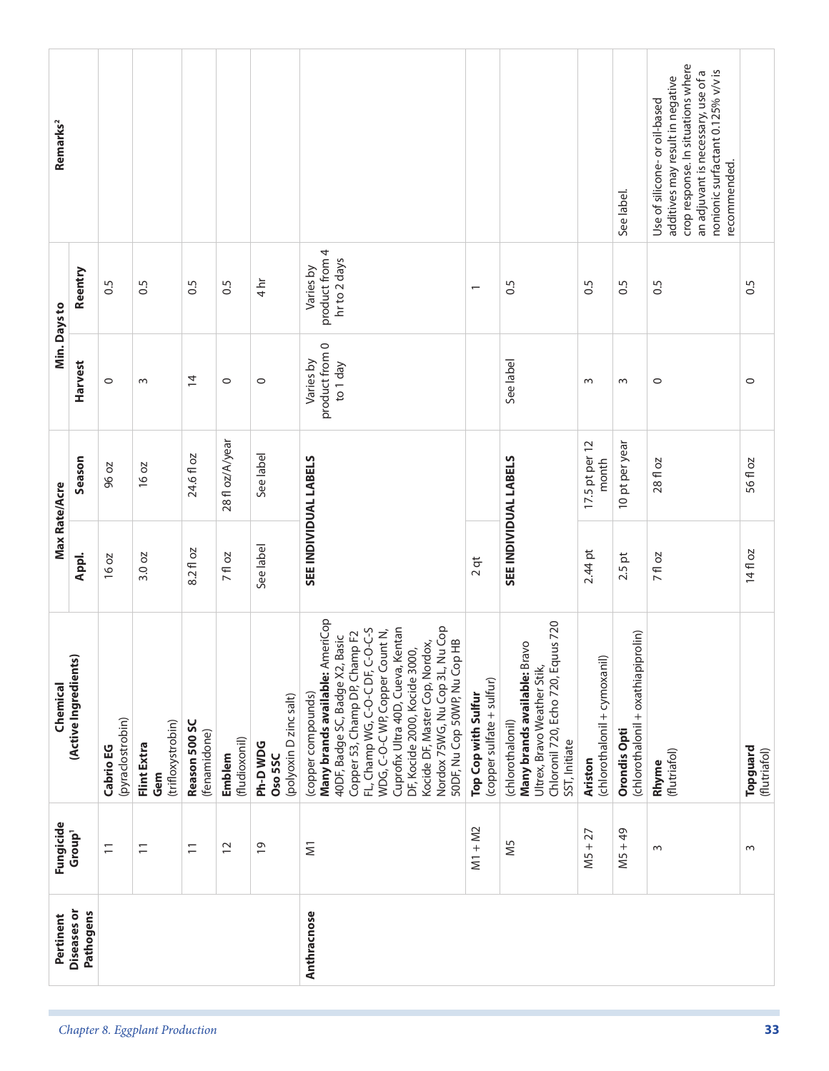|                                | Pertinent                       | Fungicide                | Chemical                                                                                                                                                                                                                                                                                                                                                                               |           | Max Rate/Acre           | Min. Days to                            |                                             | Remarks <sup>2</sup>                                                                                                                                                                              |
|--------------------------------|---------------------------------|--------------------------|----------------------------------------------------------------------------------------------------------------------------------------------------------------------------------------------------------------------------------------------------------------------------------------------------------------------------------------------------------------------------------------|-----------|-------------------------|-----------------------------------------|---------------------------------------------|---------------------------------------------------------------------------------------------------------------------------------------------------------------------------------------------------|
|                                | <b>Diseases</b> or<br>Pathogens | Group <sup>1</sup>       | (Active Ingredients)                                                                                                                                                                                                                                                                                                                                                                   | Appl.     | Season                  | <b>Harvest</b>                          | Reentry                                     |                                                                                                                                                                                                   |
|                                |                                 | $\overline{1}$           | (pyraclostrobin)<br>Cabrio EG                                                                                                                                                                                                                                                                                                                                                          | 16 oz     | 96 oz                   | $\circ$                                 | 6.5                                         |                                                                                                                                                                                                   |
| Chapter 8. Eggplant Production |                                 | $\overline{\phantom{0}}$ | (trifloxystrobin)<br>Flint Extra<br>Gem                                                                                                                                                                                                                                                                                                                                                | 3.0 oz    | 16 oz                   | $\sim$                                  | 0.5                                         |                                                                                                                                                                                                   |
|                                |                                 | $\overline{1}$           | Reason 500 SC<br>(fenamidone)                                                                                                                                                                                                                                                                                                                                                          | 8.2 fl oz | 24.6 fl oz              | $\overline{4}$                          | 0.5                                         |                                                                                                                                                                                                   |
|                                |                                 | $\overline{c}$           | (fludioxonil)<br>Emblem                                                                                                                                                                                                                                                                                                                                                                | 7 fl oz   | 28 fl oz/A/year         | $\circ$                                 | 0.5                                         |                                                                                                                                                                                                   |
|                                |                                 | $\overline{0}$           | (polyoxin D zinc salt)<br>Ph-DWDG<br>Oso 5SC                                                                                                                                                                                                                                                                                                                                           | See label | See label               | $\circ$                                 | $4 h$ r                                     |                                                                                                                                                                                                   |
|                                | Anthracnose                     | $\overline{\leq}$        | Many brands available: AmeriCop<br>Nordox 75WG, Nu Cop 3L, Nu Cop<br>FL, Champ WG, C-O-C DF, C-O-C-S<br>Cuprofix Ultra 40D, Cueva, Kentan<br>WDG, C-O-C WP, Copper Count N,<br>Copper 53, Champ DP, Champ F2<br>40DF, Badge SC, Badge X2, Basic<br>$\frac{1}{2}$<br>Kocide DF, Master Cop, Nordox,<br>DF, Kocide 2000, Kocide 3000,<br>50DF, Nu Cop 50WP, Nu Cop<br>(copper compounds) |           | SEE INDIVIDUAL LABELS   | product from 0<br>Varies by<br>to 1 day | product from 4<br>hr to 2 days<br>Varies by |                                                                                                                                                                                                   |
|                                |                                 | $M1 + M2$                | (copper sulfate + sulfur)<br>Top Cop with Sulfur                                                                                                                                                                                                                                                                                                                                       | $2$ qt    |                         |                                         |                                             |                                                                                                                                                                                                   |
|                                |                                 | N <sub>5</sub>           | Chloronil 720, Echo 720, Equus 720<br>Many brands available: Bravo<br>Ultrex, Bravo Weather Stik,<br>(chlorothalonil)<br>SST, Initiate                                                                                                                                                                                                                                                 |           | SEE INDIVIDUAL LABELS   | See label                               | 0.5                                         |                                                                                                                                                                                                   |
|                                |                                 | $M5 + 27$                | (chlorothalonil + cymoxanil)<br>Ariston                                                                                                                                                                                                                                                                                                                                                | $2.44$ pt | 17.5 pt per 12<br>month | $\sim$                                  | 0.5                                         |                                                                                                                                                                                                   |
|                                |                                 | $M5 + 49$                | (chlorothalonil + oxathiapiprolin)<br>Orondis Opti                                                                                                                                                                                                                                                                                                                                     | $2.5$ pt  | 10 pt per year          | $\sim$                                  | $\frac{5}{2}$                               | See label.                                                                                                                                                                                        |
|                                |                                 | $\sim$                   | (flutriafol)<br>Rhyme                                                                                                                                                                                                                                                                                                                                                                  | 7 fl oz   | 28 fl oz                | $\circ$                                 | 0.5                                         | crop response. In situations where<br>nonionic surfactant 0.125% v/v is<br>an adjuvant is necessary, use of a<br>additives may result in negative<br>Use of silicone-or oil-based<br>recommended. |
| 33                             |                                 | $\sim$                   | Topguard<br>(flutriafol)                                                                                                                                                                                                                                                                                                                                                               | 14 fl oz  | 56 fl oz                | $\circ$                                 | 0.5                                         |                                                                                                                                                                                                   |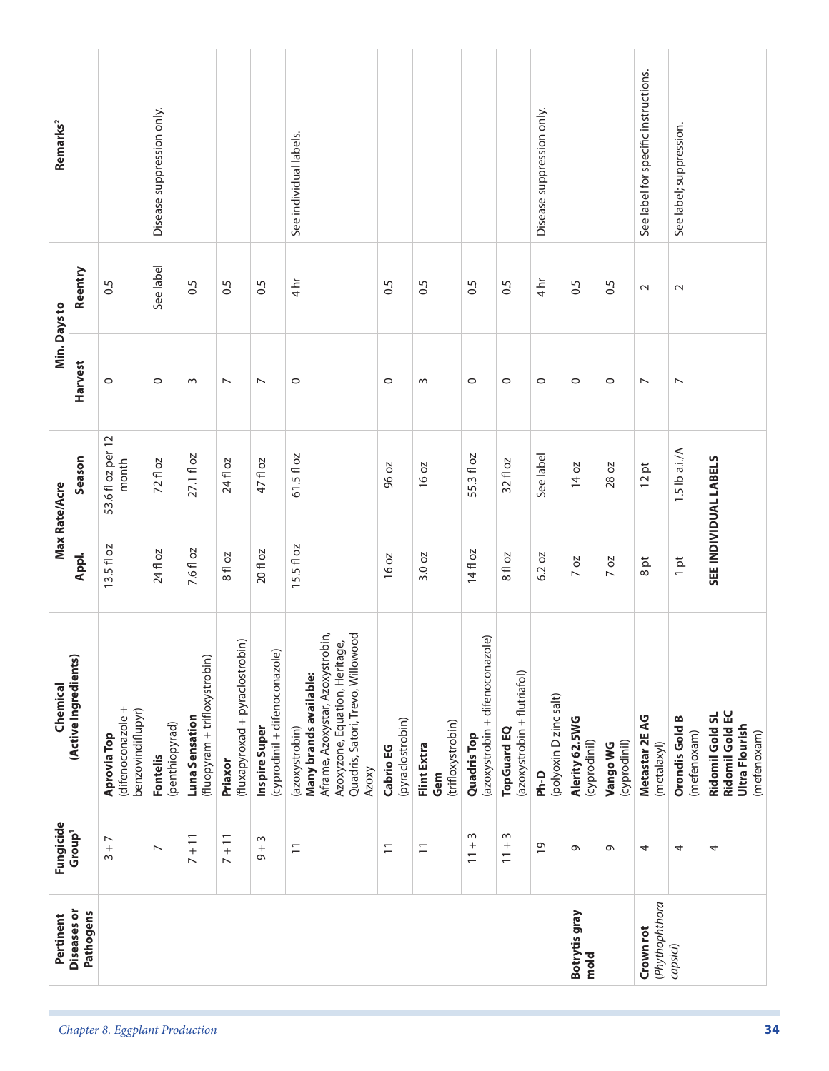| Pertinent                   | Fungicide                          | Chemical                                                                                                                                                            |             | Max Rate/Acre              | Min. Days to             |                   | Remarks <sup>2</sup>                 |
|-----------------------------|------------------------------------|---------------------------------------------------------------------------------------------------------------------------------------------------------------------|-------------|----------------------------|--------------------------|-------------------|--------------------------------------|
| Diseases or<br>Pathogens    | Group <sup>1</sup>                 | (Active Ingredients)                                                                                                                                                | Appl.       | Season                     | <b>Harvest</b>           | Reentry           |                                      |
|                             | $3+7$                              | (difenoconazole +<br>benzovindiflupyr)<br><b>Aprovia Top</b>                                                                                                        | $13.5f$ loz | 53.6 fl oz per 12<br>month | $\circ$                  | 0.5               |                                      |
|                             | $\overline{ }$                     | (penthiopyrad)<br><b>Fontelis</b>                                                                                                                                   | 24 fl oz    | 72 fl oz                   | $\circ$                  | See label         | Disease suppression only.            |
|                             | $7 + 11$                           | (fluopyram + trifloxystrobin)<br>Luna Sensation                                                                                                                     | 7.6 fl oz   | 27.1 fl oz                 | $\sim$                   | 0.5               |                                      |
|                             | $7 + 11$                           | (fluxapyroxad + pyraclostrobin)<br>Priaxor                                                                                                                          | 8 fl oz     | 24 fl oz                   | $\overline{ }$           | 0.5               |                                      |
|                             | $\sim$<br>$\frac{+}{\infty}$       | (cyprodinil + difenoconazole)<br>Inspire Super                                                                                                                      | 20 fl oz    | 47 fl oz                   | $\overline{\phantom{a}}$ | 0.5               |                                      |
|                             | $\overline{1}$                     | Aframe, Azoxystar, Azoxystrobin,<br>Quadris, Satori, Trevo, Willowood<br>Azoxyzone, Equation, Heritage,<br>Many brands available:<br>(azoxystrobin)<br><b>Azoxy</b> | $15.5f$ loz | 61.5 fl oz                 | $\circ$                  | $4 \overline{hr}$ | See individual labels.               |
|                             | $\overline{1}$                     | (pyraclostrobin)<br>Cabrio EG                                                                                                                                       | 16 oz       | 96 oz                      | $\circ$                  | 0.5               |                                      |
|                             | $\overline{1}$                     | (trifloxystrobin)<br>Flint Extra<br>Gem                                                                                                                             | 3.0 oz      | 16 oz                      | $\sim$                   | 0.5               |                                      |
|                             | $\sim$<br>$^{+}$<br>$\overline{1}$ | (azoxystrobin + difenoconazole)<br><b>Quadris Top</b>                                                                                                               | 14 fl oz    | 55.3 fl oz                 | $\circ$                  | 0.5               |                                      |
|                             | $\sim$<br>$^{+}$<br>$\overline{1}$ | (azoxystrobin + flutriafol)<br><b>TopGuard EQ</b>                                                                                                                   | 8 fl oz     | 32 fl oz                   | $\circ$                  | 0.5               |                                      |
|                             | $\overline{0}$                     | (polyoxin D zinc salt)<br>Ph-D                                                                                                                                      | 6.2 oz      | See label                  | $\circ$                  | $4 h$ r           | Disease suppression only.            |
| Botrytis gray<br>mold       | $\sigma$                           | Alerity 62.5WG<br>(cyprodinil)                                                                                                                                      | 7 oz        | 14 oz                      | $\circ$                  | 0.5               |                                      |
|                             | G                                  | (cyprodinil)<br>Vango WG                                                                                                                                            | $7$ oz      | 28 oz                      | $\circ$                  | 0.5               |                                      |
| (Phythophthora<br>Crown rot | 4                                  | Metastar 2E AG<br>(metalaxyl)                                                                                                                                       | 8 pt        | 12 pt                      | $\overline{ }$           | $\sim$            | See label for specific instructions. |
| capsici)                    | 4                                  | <b>Orondis Gold B</b><br>(mefenoxam)                                                                                                                                | $1$ pt      | 1.5 lb a.i./A              | $\overline{\phantom{0}}$ | $\sim$            | See label; suppression.              |
|                             | 4                                  | <b>Ridomil Gold EC</b><br><b>Ridomil Gold SL</b><br>Ultra Flourish<br>(mefenoxam)                                                                                   |             | SEE INDIVIDUAL LABELS      |                          |                   |                                      |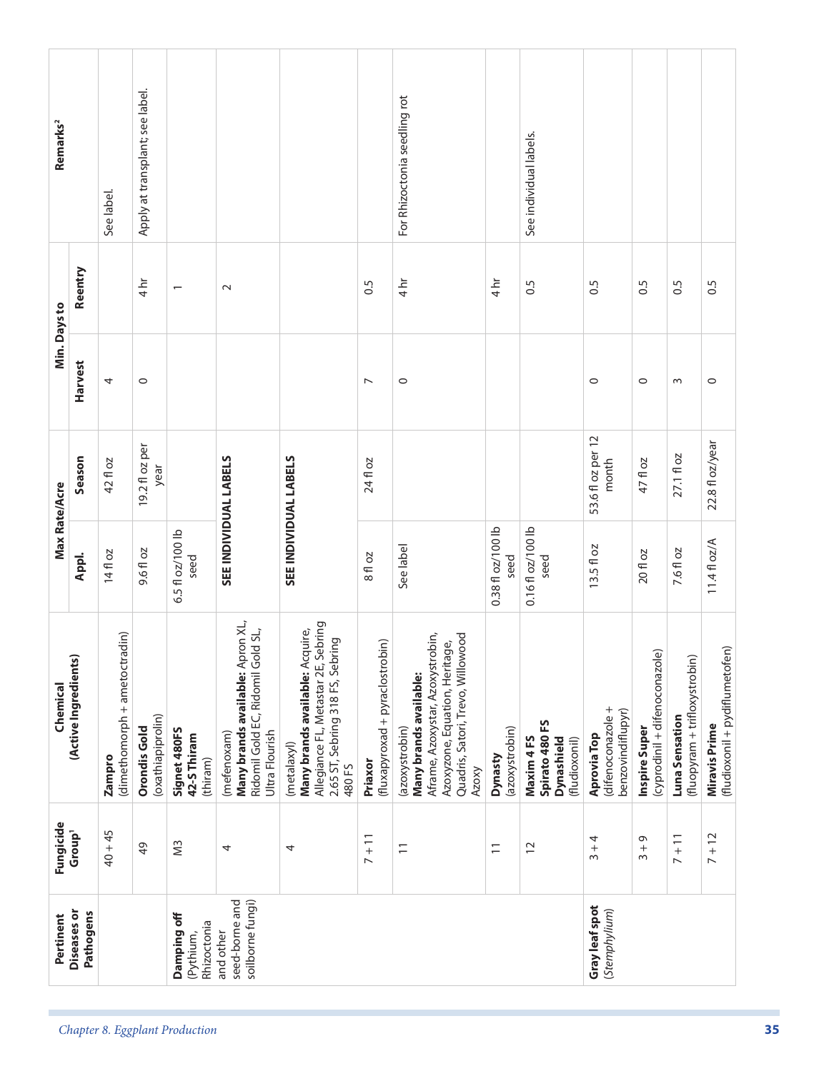| Pertinent                                       | Fungicide                 | Chemical                                                                                                                                                            | Max Rate/Acre             |                            | Min. Days to   |                          | Remarks <sup>2</sup>            |
|-------------------------------------------------|---------------------------|---------------------------------------------------------------------------------------------------------------------------------------------------------------------|---------------------------|----------------------------|----------------|--------------------------|---------------------------------|
| <b>Diseases or</b><br>Pathogens                 | Group <sup>1</sup>        | (Active Ingredients)                                                                                                                                                | Appl.                     | Season                     | Harvest        | Reentry                  |                                 |
|                                                 | $40 + 45$                 | (dimethomorph + ametoctradin)<br>Zampro                                                                                                                             | 14 fl oz                  | 42 fl oz                   | 4              |                          | See label.                      |
|                                                 | 49                        | (oxathiapiprolin)<br><b>Orondis Gold</b>                                                                                                                            | 9.6 fl oz                 | 19.2 fl oz per<br>year     | $\circ$        | $4 h$ r                  | Apply at transplant; see label. |
| Damping off<br>Rhizoctonia<br>(Pythium,         | SW                        | Signet 480FS<br>42-S Thiram<br>(thiram)                                                                                                                             | 6.5 fl oz/100 lb<br>seed  |                            |                | $\overline{\phantom{0}}$ |                                 |
| seed-borne and<br>soilborne fungi)<br>and other | 4                         | Many brands available: Apron XL,<br>Ridomil Gold EC, Ridomil Gold SL,<br>Ultra Flourish<br>(mefenoxam)                                                              | SEE INDIVIDUAL LABELS     |                            |                | $\sim$                   |                                 |
|                                                 | 4                         | Allegiance FL, Metastar 2E, Sebring<br>Many brands available: Acquire,<br>2.65 ST, Sebring 318 FS, Sebring<br>(metalaxyl)<br>480 FS                                 | SEE INDIVIDUAL LABELS     |                            |                |                          |                                 |
|                                                 | $7 + 11$                  | (fluxapyroxad + pyraclostrobin)<br>Priaxor                                                                                                                          | 8 fl oz                   | 24 fl oz                   | $\overline{ }$ | 0.5                      |                                 |
|                                                 | $\equiv$                  | Aframe, Azoxystar, Azoxystrobin,<br>Quadris, Satori, Trevo, Willowood<br>Azoxyzone, Equation, Heritage,<br>Many brands available:<br>(azoxystrobin)<br><b>Azoxy</b> | See label                 |                            | $\circ$        | $4 h$ r                  | For Rhizoctonia seedling rot    |
|                                                 | $\overline{1}$            | (azoxystrobin)<br>Dynasty                                                                                                                                           | 0.38 fl oz/100 lb<br>seed |                            |                | 4hr                      |                                 |
|                                                 | $\overline{c}$            | Spirato 480 FS<br><b>Dynashield</b><br>Maxim 4FS<br>(fludioxonil)                                                                                                   | $0.16f$ $oz/100P$<br>seed |                            |                | 0.5                      | See individual labels.          |
| Gray leaf spot<br>(Stemphylium)                 | $3 + 4$                   | (difenoconazole +<br>benzovindiflupyr)<br>Aprovia Top                                                                                                               | 13.5 fl oz                | 53.6 fl oz per 12<br>month | $\circ$        | 0.5                      |                                 |
|                                                 | $\sigma$<br>$\frac{+}{3}$ | (cyprodinil + difenoconazole)<br>Inspire Super                                                                                                                      | 20 fl oz                  | 47 fl oz                   | $\circ$        | 0.5                      |                                 |
|                                                 | $7 + 11$                  | (fluopyram + trifloxystrobin)<br>Luna Sensation                                                                                                                     | 7.6 fl oz                 | 27.1 fl oz                 | $\sim$         | $\ddot{0}$ .             |                                 |
|                                                 | $7 + 12$                  | (fludioxonil + pydiflumetofen)<br><b>Miravis Prime</b>                                                                                                              | 11.4 fl oz/A              | 22.8 fl oz/year            | $\circ$        | 0.5                      |                                 |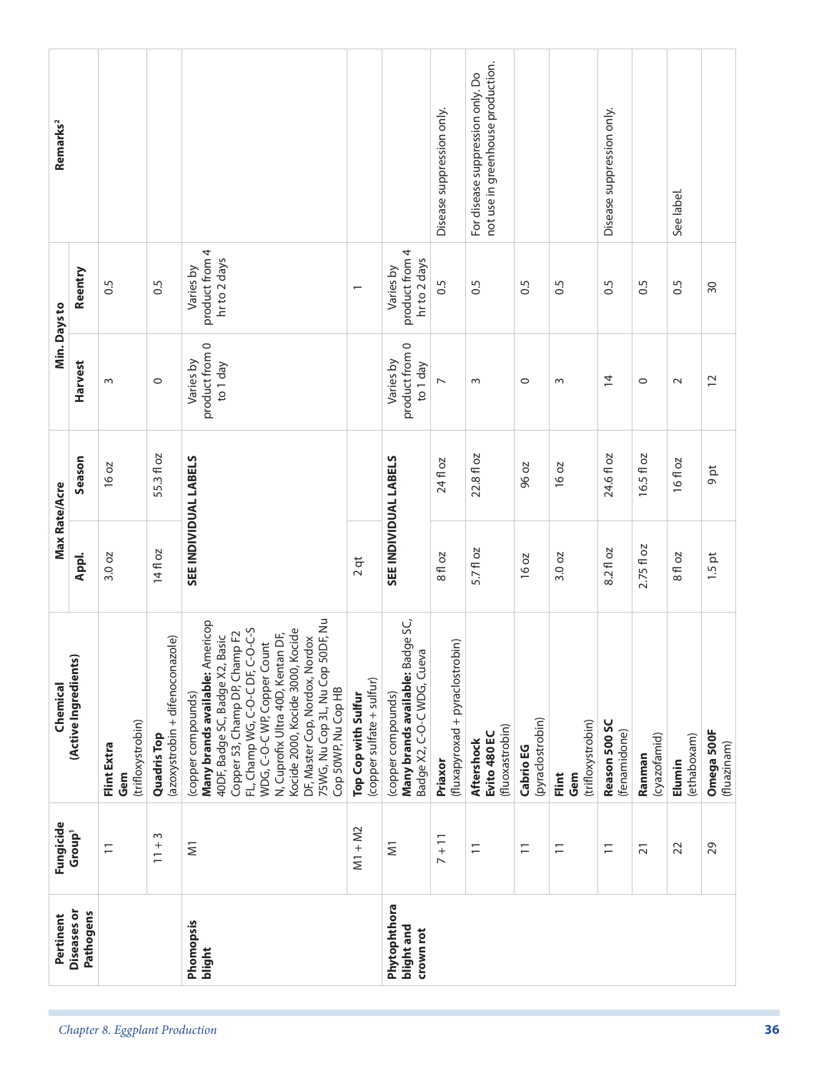| Chemical<br>Fungicide<br>Pertinent | Appl.<br>(Active Ingredients)<br>Group <sup>1</sup><br><b>Diseases or</b><br>Pathogens | 3.0 oz<br>(trifloxystrobin)<br>Flint Extra<br>Gem<br>$\overline{1}$ | 14 fl oz<br>(azoxystrobin + difenoconazole)<br><b>Quadris Top</b><br>w<br>$^{+}$<br>$\overline{1}$ | 75WG, Nu Cop 3L, Nu Cop 50DF, Nu<br>Many brands available: Americop<br>FL, Champ WG, C-O-C DF, C-O-C-S<br>Kocide 2000, Kocide 3000, Kocide<br>Copper 53, Champ DP, Champ F2<br>N, Cuprofix Ultra 40D, Kentan DF,<br>40DF, Badge SC, Badge X2, Basic<br>WDG, C-O-C WP, Copper Count<br>DF, Master Cop, Nordox, Nordox<br>Cop 50WP, Nu Cop HB<br>(copper compounds)<br>$\overline{\epsilon}$<br>Phomopsis | $2$ qt<br>(copper sulfate + sulfur)<br>Top Cop with Sulfur<br>$M1 + M2$ | Many brands available: Badge SC,<br>Badge X2, C-O-C WDG, Cueva<br>(copper compounds)<br>$\overline{\mathsf{S}}$<br>Phytophthora<br>blight and<br>crown rot | 8 fl oz<br>(fluxapyroxad + pyraclostrobin)<br>Priaxor<br>$7 + 11$ | 5.7 fl oz<br>(fluoxastrobin)<br>Evito 480 EC<br>Aftershock<br>$\overline{1}$ | <b>16 oz</b><br>(pyraclostrobin)<br>Cabrio EG<br>$\overline{1}$ | 3.0 oz<br>(trifloxystrobin)<br>Flint<br>Gem<br>$\overline{\phantom{0}}$ | 8.2 fl oz<br>Reason 500 SC<br>(fenamidone)<br>$\overline{1}$ | 2.75 fl oz<br>(cyazofamid)<br>Ranman<br>$\overline{2}1$ | 8 fl oz<br>(ethaboxam)<br>Elumin<br>22 |                 |
|------------------------------------|----------------------------------------------------------------------------------------|---------------------------------------------------------------------|----------------------------------------------------------------------------------------------------|---------------------------------------------------------------------------------------------------------------------------------------------------------------------------------------------------------------------------------------------------------------------------------------------------------------------------------------------------------------------------------------------------------|-------------------------------------------------------------------------|------------------------------------------------------------------------------------------------------------------------------------------------------------|-------------------------------------------------------------------|------------------------------------------------------------------------------|-----------------------------------------------------------------|-------------------------------------------------------------------------|--------------------------------------------------------------|---------------------------------------------------------|----------------------------------------|-----------------|
| Max Rate/Acre                      | Season                                                                                 | 16 oz                                                               | 55.3 fl oz                                                                                         | SEE INDIVIDUAL LABELS                                                                                                                                                                                                                                                                                                                                                                                   |                                                                         | SEE INDIVIDUAL LABELS                                                                                                                                      | 24 fl oz                                                          | 22.8 fl oz                                                                   | 96 oz                                                           | 16 oz                                                                   | 24.6 fl oz                                                   | 16.5 fl oz                                              | 16 fl oz                               |                 |
|                                    | <b>Harvest</b>                                                                         | $\sim$                                                              | $\circ$                                                                                            | product from 0<br>Varies by<br>to 1 day                                                                                                                                                                                                                                                                                                                                                                 |                                                                         | product from 0<br>Varies by<br>to 1 day                                                                                                                    | $\overline{ }$                                                    | $\sim$                                                                       | $\circ$                                                         | $\sim$                                                                  | $\overline{4}$                                               | $\circ$                                                 | $\sim$                                 |                 |
| Min. Days to                       | Reentry                                                                                | 0.5                                                                 | $\ddot{0}$                                                                                         | product from 4<br>hr to 2 days<br>Varies by                                                                                                                                                                                                                                                                                                                                                             | $\overline{\phantom{0}}$                                                | product from 4<br>hr to 2 days<br>Varies by                                                                                                                | 0.5                                                               | 0.5                                                                          | 0.5                                                             | 0.5                                                                     | $\ddot{0}$                                                   | $\overline{0}$ .5                                       | 0.5                                    | $\overline{50}$ |
| Remarks <sup>2</sup>               |                                                                                        |                                                                     |                                                                                                    |                                                                                                                                                                                                                                                                                                                                                                                                         |                                                                         |                                                                                                                                                            | Disease suppression only.                                         | not use in greenhouse production.<br>For disease suppression only. Do        |                                                                 |                                                                         | Disease suppression only.                                    |                                                         | See label.                             |                 |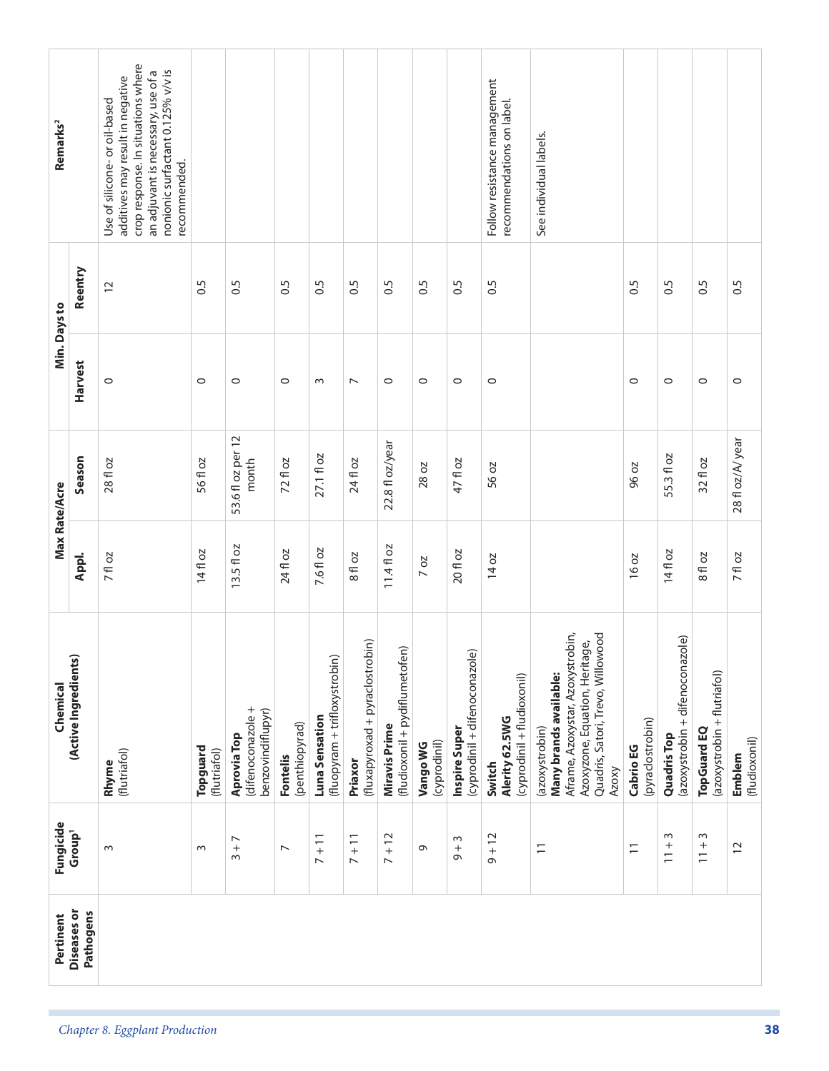| Pertinent                       | Fungicide                                 | Chemical                                                                                                                                                     |            | Max Rate/Acre              |                | Min. Days to      | Remarks <sup>2</sup>                                                                                                                                                                              |
|---------------------------------|-------------------------------------------|--------------------------------------------------------------------------------------------------------------------------------------------------------------|------------|----------------------------|----------------|-------------------|---------------------------------------------------------------------------------------------------------------------------------------------------------------------------------------------------|
| <b>Diseases or</b><br>Pathogens | Group <sup>1</sup>                        | (Active Ingredients)                                                                                                                                         | Appl.      | Season                     | Harvest        | Reentry           |                                                                                                                                                                                                   |
|                                 | $\sim$                                    | (flutriafol)<br>Rhyme                                                                                                                                        | 7 fl oz    | 28 fl oz                   | $\circ$        | $\overline{c}$    | crop response. In situations where<br>nonionic surfactant 0.125% v/v is<br>an adjuvant is necessary, use of a<br>additives may result in negative<br>Use of silicone-or oil-based<br>recommended. |
|                                 | $\sim$                                    | Topguard<br>(flutriafol)                                                                                                                                     | 14 fl oz   | 56 fl oz                   | $\circ$        | $\overline{0}$ .5 |                                                                                                                                                                                                   |
|                                 | $\overline{\phantom{0}}$<br>$\frac{+}{3}$ | (difenoconazole +<br>benzovindiflupyr)<br>Aprovia Top                                                                                                        | 13.5 fl oz | 53.6 fl oz per 12<br>month | $\circ$        | 0.5               |                                                                                                                                                                                                   |
|                                 | $\overline{\phantom{0}}$                  | (penthiopyrad)<br>Fontelis                                                                                                                                   | 24 fl oz   | 72 fl oz                   | $\circ$        | 0.5               |                                                                                                                                                                                                   |
|                                 | $7 + 11$                                  | (fluopyram + trifloxystrobin)<br>Luna Sensation                                                                                                              | 7.6 fl oz  | 27.1 fl oz                 | $\sim$         | $\frac{5}{2}$     |                                                                                                                                                                                                   |
|                                 | $7 + 11$                                  | (fluxapyroxad + pyraclostrobin)<br>Priaxor                                                                                                                   | 8 fl oz    | 24 fl oz                   | $\overline{ }$ | $\frac{5}{2}$     |                                                                                                                                                                                                   |
|                                 | $7 + 12$                                  | (fludioxonil + pydiflumetofen)<br><b>Miravis Prime</b>                                                                                                       | $11.4f$ oz | 22.8 fl oz/year            | $\circ$        | $\frac{5}{2}$     |                                                                                                                                                                                                   |
|                                 | $\circ$                                   | (cyprodinil)<br>Vango WG                                                                                                                                     | $7$ oz     | 28 oz                      | $\circ$        | 0.5               |                                                                                                                                                                                                   |
|                                 | $\sim$<br>$+$                             | (cyprodinil + difenoconazole)<br>Inspire Super                                                                                                               | 20 fl oz   | 47 fl oz                   | $\circ$        | 0.5               |                                                                                                                                                                                                   |
|                                 | $9 + 12$                                  | (cyprodinil + fludioxonil)<br>Alerity 62.5WG<br>Switch                                                                                                       | 14 oz      | 56 oz                      | $\circ$        | $\frac{5}{2}$     | Follow resistance management<br>recommendations on label.                                                                                                                                         |
|                                 | $\overline{1}$                            | Aframe, Azoxystar, Azoxystrobin,<br>Quadris, Satori, Trevo, Willowood<br>Azoxyzone, Equation, Heritage,<br>Many brands available:<br>(azoxystrobin)<br>Azoxy |            |                            |                |                   | See individual labels.                                                                                                                                                                            |
|                                 | $\overline{1}$                            | (pyraclostrobin)<br>Cabrio EG                                                                                                                                | 16 oz      | 96 oz                      | $\circ$        | 0.5               |                                                                                                                                                                                                   |
|                                 | $\sim$<br>$\frac{+}{-}$                   | (azoxystrobin + difenoconazole)<br>Quadris Top                                                                                                               | 14 fl oz   | 55.3 fl oz                 | $\circ$        | $\sim$            |                                                                                                                                                                                                   |
|                                 | $\sim$<br>$^{+}$<br>$\overline{1}$        | (azoxystrobin + flutriafol)<br><b>TopGuard EQ</b>                                                                                                            | 8 fl oz    | 32 fl oz                   | $\circ$        | 0.5               |                                                                                                                                                                                                   |
|                                 | $\overline{c}$                            | (fludioxonil)<br>Emblem                                                                                                                                      | 7 fl oz    | 28 fl oz/A/year            | $\circ$        | 0.5               |                                                                                                                                                                                                   |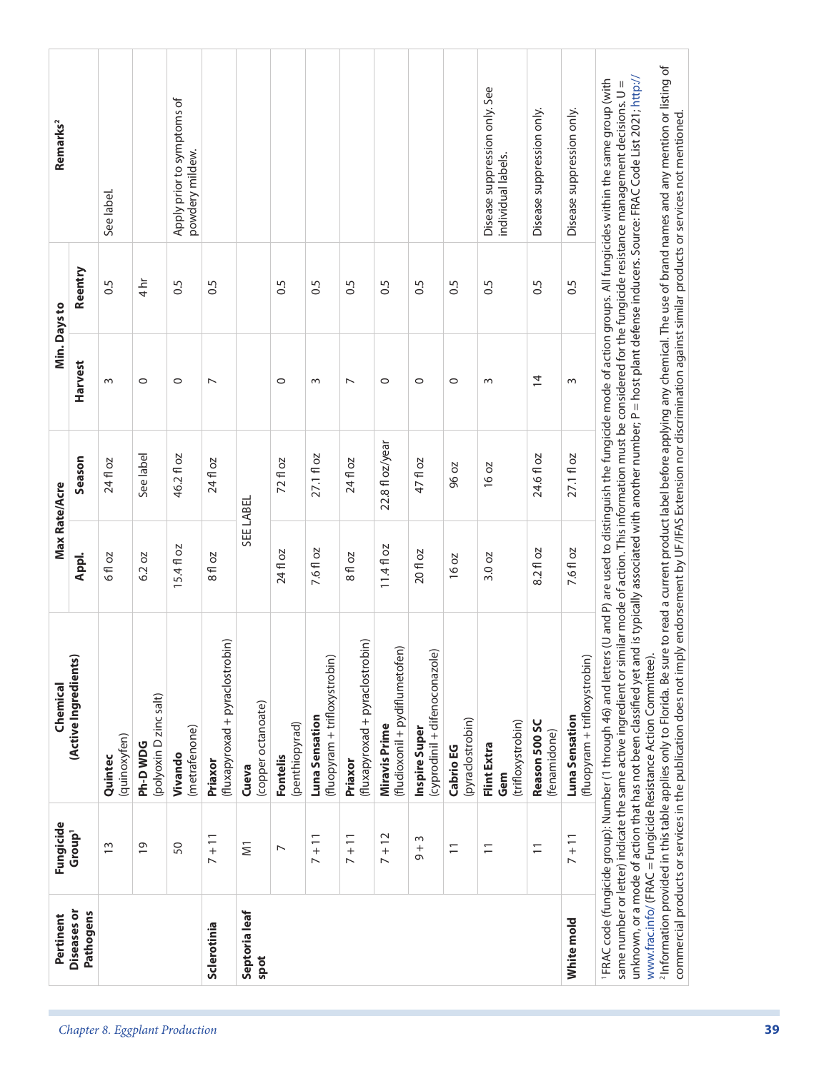| Pertinent                       | Fungicide                    | Chemical                                                                                                                                                                                                                                                                                                                                                                                                                                                                                                                                                                                                                                                                                                                                                                                                                                                                                                                                                                                                           |              | Max Rate/Acre   |                | Min. Days to   | Remarks <sup>2</sup>                                |
|---------------------------------|------------------------------|--------------------------------------------------------------------------------------------------------------------------------------------------------------------------------------------------------------------------------------------------------------------------------------------------------------------------------------------------------------------------------------------------------------------------------------------------------------------------------------------------------------------------------------------------------------------------------------------------------------------------------------------------------------------------------------------------------------------------------------------------------------------------------------------------------------------------------------------------------------------------------------------------------------------------------------------------------------------------------------------------------------------|--------------|-----------------|----------------|----------------|-----------------------------------------------------|
| <b>Diseases or</b><br>Pathogens | Group <sup>1</sup>           | (Active Ingredients)                                                                                                                                                                                                                                                                                                                                                                                                                                                                                                                                                                                                                                                                                                                                                                                                                                                                                                                                                                                               | Appl.        | Season          | <b>Harvest</b> | Reentry        |                                                     |
|                                 | $\frac{3}{2}$                | (quinoxyfen)<br>Quintec                                                                                                                                                                                                                                                                                                                                                                                                                                                                                                                                                                                                                                                                                                                                                                                                                                                                                                                                                                                            | 6 fl oz      | 24 fl oz        | w              | $\sim$         | See label.                                          |
|                                 | $\overline{0}$               | (polyoxin D zinc salt)<br>Ph-DWDG                                                                                                                                                                                                                                                                                                                                                                                                                                                                                                                                                                                                                                                                                                                                                                                                                                                                                                                                                                                  | 6.2 oz       | See label       | $\circ$        | $4 h$ r        |                                                     |
|                                 | 50                           | (metrafenone)<br>Vivando                                                                                                                                                                                                                                                                                                                                                                                                                                                                                                                                                                                                                                                                                                                                                                                                                                                                                                                                                                                           | ΟZ<br>15.4f1 | 46.2 fl oz      | $\circ$        | $\ddot{0}$     | Apply prior to symptoms of<br>powdery mildew.       |
| Sclerotinia                     | $7 + 11$                     | (fluxapyroxad + pyraclostrobin)<br>Priaxor                                                                                                                                                                                                                                                                                                                                                                                                                                                                                                                                                                                                                                                                                                                                                                                                                                                                                                                                                                         | 8 fl oz      | 24 fl oz        | $\overline{ }$ | 0.5            |                                                     |
| Septoria leaf<br>spot           | $\overline{\mathsf{S}}$      | (copper octanoate)<br>Cueva                                                                                                                                                                                                                                                                                                                                                                                                                                                                                                                                                                                                                                                                                                                                                                                                                                                                                                                                                                                        |              | SEE LABEL       |                |                |                                                     |
|                                 | $\overline{ }$               | (penthiopyrad)<br>Fontelis                                                                                                                                                                                                                                                                                                                                                                                                                                                                                                                                                                                                                                                                                                                                                                                                                                                                                                                                                                                         | 24 fl oz     | 72 fl oz        | $\circ$        | 0.5            |                                                     |
|                                 | $7 + 11$                     | (fluopyram + trifloxystrobin)<br>Luna Sensation                                                                                                                                                                                                                                                                                                                                                                                                                                                                                                                                                                                                                                                                                                                                                                                                                                                                                                                                                                    | 7.6 fl oz    | 27.1 fl oz      | $\sim$         | 0.5            |                                                     |
|                                 | $7 + 11$                     | (fluxapyroxad + pyraclostrobin)<br>Priaxor                                                                                                                                                                                                                                                                                                                                                                                                                                                                                                                                                                                                                                                                                                                                                                                                                                                                                                                                                                         | 8 fl oz      | 24 fl oz        | $\overline{ }$ | 6.5            |                                                     |
|                                 | $7 + 12$                     | (fludioxonil + pydiflumetofen)<br>Miravis Prime                                                                                                                                                                                                                                                                                                                                                                                                                                                                                                                                                                                                                                                                                                                                                                                                                                                                                                                                                                    | 11.4fl oz    | 22.8 fl oz/year | $\circ$        | $\sim$         |                                                     |
|                                 | $\sim$<br>$\frac{+}{\infty}$ | (cyprodinil + difenoconazole)<br>Inspire Super                                                                                                                                                                                                                                                                                                                                                                                                                                                                                                                                                                                                                                                                                                                                                                                                                                                                                                                                                                     | 20 fl oz     | 47 fl oz        | $\circ$        | $\sim$         |                                                     |
|                                 | $\overline{1}$               | (pyraclostrobin)<br>Cabrio EG                                                                                                                                                                                                                                                                                                                                                                                                                                                                                                                                                                                                                                                                                                                                                                                                                                                                                                                                                                                      | <b>16 oz</b> | 96 oz           | 0              | 0.5            |                                                     |
|                                 | $\Xi$                        | (trifloxystrobin)<br>Flint Extra<br>Gem                                                                                                                                                                                                                                                                                                                                                                                                                                                                                                                                                                                                                                                                                                                                                                                                                                                                                                                                                                            | 3.0 oz       | 16 oz           | w              | $\overline{0}$ | Disease suppression only. See<br>individual labels. |
|                                 | $\overline{1}$               | Reason 500 SC<br>(fenamidone)                                                                                                                                                                                                                                                                                                                                                                                                                                                                                                                                                                                                                                                                                                                                                                                                                                                                                                                                                                                      | 8.2 fl oz    | 24.6 fl oz      | $\overline{4}$ | 0.5            | Disease suppression only.                           |
| White mold                      | $7 + 11$                     | (fluopyram + trifloxystrobin)<br>Luna Sensation                                                                                                                                                                                                                                                                                                                                                                                                                                                                                                                                                                                                                                                                                                                                                                                                                                                                                                                                                                    | 7.6 fl oz    | 27.1 fl oz      | $\sim$         | 0.5            | Disease suppression only                            |
|                                 |                              | <sup>2</sup> Information provided in this table applies only to Florida. Be sure to read a current product label before applying any chemical. The use of brand names and any mention or listing of<br>unknown, or a mode of action that has not been classified yet and is typically associated with another number; P = host plant defense inducers. Source: FRAC Code List 2021; http://<br>'FRAC code (fungicide group): Number (1 through 46) and letters (U and P) are used to distinguish the fungicide mode of action groups. All fungicides within the same group (with<br>same number or letter) indicate the same active ingredient or similar mode of action. This information must be considered for the fungicide resistance management decisions. U =<br>commercial products or services in the publication does not imply endorsement by UF/IFAS Extension nor discrimination against similar products or services not mentioned.<br>www.frac.info/ (FRAC = Fungicide Resistance Action Committee) |              |                 |                |                |                                                     |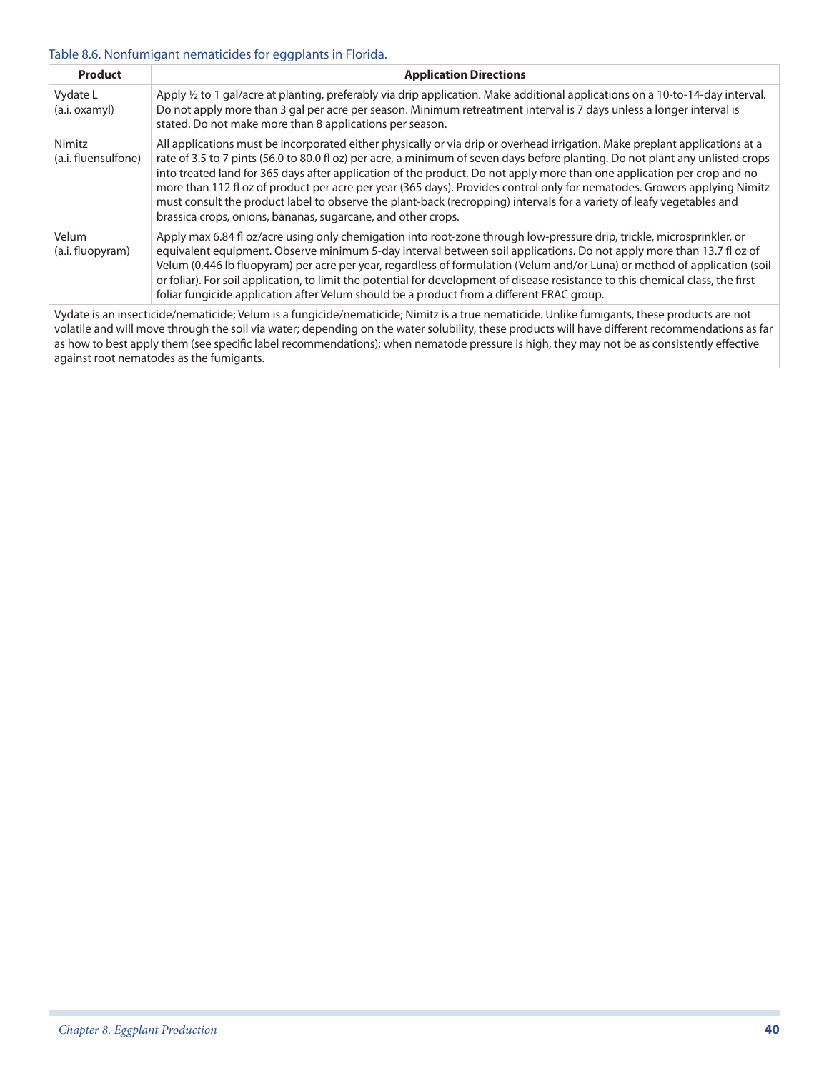#### Table 8.6. Nonfumigant nematicides for eggplants in Florida.

| <b>Product</b>                | <b>Application Directions</b>                                                                                                                                                                                                                                                                                                                                                                                                                                                                                                                                                                                                                                                                                  |
|-------------------------------|----------------------------------------------------------------------------------------------------------------------------------------------------------------------------------------------------------------------------------------------------------------------------------------------------------------------------------------------------------------------------------------------------------------------------------------------------------------------------------------------------------------------------------------------------------------------------------------------------------------------------------------------------------------------------------------------------------------|
| Vydate L<br>(a.i. oxamyl)     | Apply 1/2 to 1 gal/acre at planting, preferably via drip application. Make additional applications on a 10-to-14-day interval.<br>Do not apply more than 3 gal per acre per season. Minimum retreatment interval is 7 days unless a longer interval is<br>stated. Do not make more than 8 applications per season.                                                                                                                                                                                                                                                                                                                                                                                             |
| Nimitz<br>(a.i. fluensulfone) | All applications must be incorporated either physically or via drip or overhead irrigation. Make preplant applications at a<br>rate of 3.5 to 7 pints (56.0 to 80.0 fl oz) per acre, a minimum of seven days before planting. Do not plant any unlisted crops<br>into treated land for 365 days after application of the product. Do not apply more than one application per crop and no<br>more than 112 fl oz of product per acre per year (365 days). Provides control only for nematodes. Growers applying Nimitz<br>must consult the product label to observe the plant-back (recropping) intervals for a variety of leafy vegetables and<br>brassica crops, onions, bananas, sugarcane, and other crops. |
| Velum<br>(a.i. fluopyram)     | Apply max 6.84 fl oz/acre using only chemigation into root-zone through low-pressure drip, trickle, microsprinkler, or<br>equivalent equipment. Observe minimum 5-day interval between soil applications. Do not apply more than 13.7 fl oz of<br>Velum (0.446 lb fluopyram) per acre per year, regardless of formulation (Velum and/or Luna) or method of application (soil<br>or foliar). For soil application, to limit the potential for development of disease resistance to this chemical class, the first<br>foliar fungicide application after Velum should be a product from a different FRAC group.                                                                                                  |
|                               | Vydate is an insecticide/nematicide; Velum is a fungicide/nematicide; Nimitz is a true nematicide. Unlike fumigants, these products are not<br>uelatile and will move through the soil via water depending on the water solubility these products will have different recommendations as far                                                                                                                                                                                                                                                                                                                                                                                                                   |

volatile and will move through the soil via water; depending on the water solubility, these products will have different recommendations as far as how to best apply them (see specific label recommendations); when nematode pressure is high, they may not be as consistently effective against root nematodes as the fumigants.